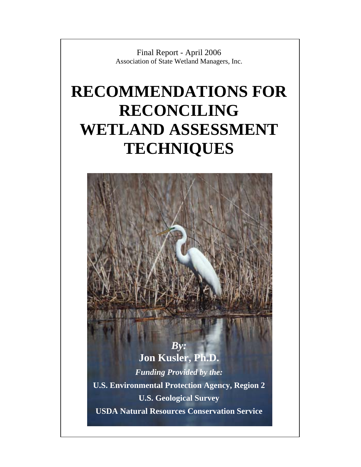Final Report - April 2006 Association of State Wetland Managers, Inc.

## **RECOMMENDATIONS FOR RECONCILING WETLAND ASSESSMENT TECHNIQUES**

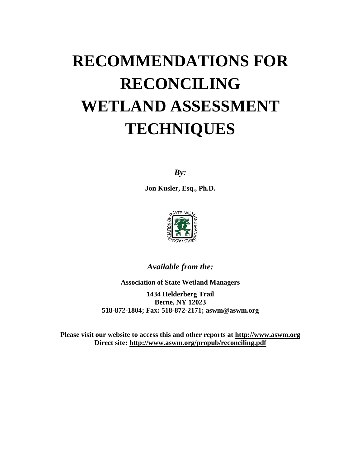# **RECOMMENDATIONS FOR RECONCILING WETLAND ASSESSMENT TECHNIQUES**

*By:* 

**Jon Kusler, Esq., Ph.D.** 



*Available from the:* 

**Association of State Wetland Managers 1434 Helderberg Trail Berne, NY 12023 518-872-1804; Fax: 518-872-2171; aswm@aswm.org** 

**Please visit our website to access this and other reports at [http://www.aswm.org](http://www.aswm.org/) Direct site:<http://www.aswm.org/propub/reconciling.pdf>**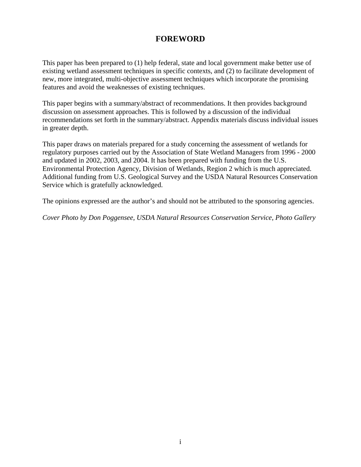## **FOREWORD**

This paper has been prepared to (1) help federal, state and local government make better use of existing wetland assessment techniques in specific contexts, and (2) to facilitate development of new, more integrated, multi-objective assessment techniques which incorporate the promising features and avoid the weaknesses of existing techniques.

This paper begins with a summary/abstract of recommendations. It then provides background discussion on assessment approaches. This is followed by a discussion of the individual recommendations set forth in the summary/abstract. Appendix materials discuss individual issues in greater depth.

This paper draws on materials prepared for a study concerning the assessment of wetlands for regulatory purposes carried out by the Association of State Wetland Managers from 1996 - 2000 and updated in 2002, 2003, and 2004. It has been prepared with funding from the U.S. Environmental Protection Agency, Division of Wetlands, Region 2 which is much appreciated. Additional funding from U.S. Geological Survey and the USDA Natural Resources Conservation Service which is gratefully acknowledged.

The opinions expressed are the author's and should not be attributed to the sponsoring agencies.

*Cover Photo by Don Poggensee, USDA Natural Resources Conservation Service, Photo Gallery*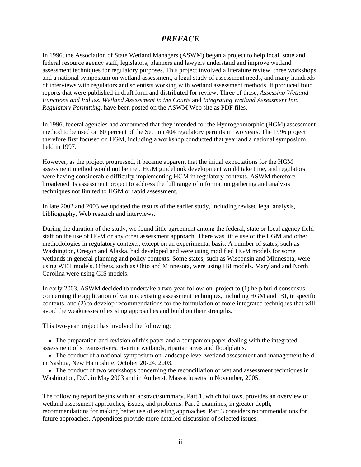#### *PREFACE*

In 1996, the Association of State Wetland Managers (ASWM) began a project to help local, state and federal resource agency staff, legislators, planners and lawyers understand and improve wetland assessment techniques for regulatory purposes. This project involved a literature review, three workshops and a national symposium on wetland assessment, a legal study of assessment needs, and many hundreds of interviews with regulators and scientists working with wetland assessment methods. It produced four reports that were published in draft form and distributed for review. Three of these, *Assessing Wetland Functions and Values*, *Wetland Assessment in the Courts* and *Integrating Wetland Assessment Into Regulatory Permitting*, have been posted on the ASWM Web site as PDF files.

In 1996, federal agencies had announced that they intended for the Hydrogeomorphic (HGM) assessment method to be used on 80 percent of the Section 404 regulatory permits in two years. The 1996 project therefore first focused on HGM, including a workshop conducted that year and a national symposium held in 1997.

However, as the project progressed, it became apparent that the initial expectations for the HGM assessment method would not be met, HGM guidebook development would take time, and regulators were having considerable difficulty implementing HGM in regulatory contexts. ASWM therefore broadened its assessment project to address the full range of information gathering and analysis techniques not limited to HGM or rapid assessment.

In late 2002 and 2003 we updated the results of the earlier study, including revised legal analysis, bibliography, Web research and interviews.

During the duration of the study, we found little agreement among the federal, state or local agency field staff on the use of HGM or any other assessment approach. There was little use of the HGM and other methodologies in regulatory contexts, except on an experimental basis. A number of states, such as Washington, Oregon and Alaska, had developed and were using modified HGM models for some wetlands in general planning and policy contexts. Some states, such as Wisconsin and Minnesota, were using WET models. Others, such as Ohio and Minnesota, were using IBI models. Maryland and North Carolina were using GIS models.

In early 2003, ASWM decided to undertake a two-year follow-on project to (1) help build consensus concerning the application of various existing assessment techniques, including HGM and IBI, in specific contexts, and (2) to develop recommendations for the formulation of more integrated techniques that will avoid the weaknesses of existing approaches and build on their strengths.

This two-year project has involved the following:

- The preparation and revision of this paper and a companion paper dealing with the integrated assessment of streams/rivers, riverine wetlands, riparian areas and floodplains.
- The conduct of a national symposium on landscape level wetland assessment and management held in Nashua, New Hampshire, October 20-24, 2003.
- The conduct of two workshops concerning the reconciliation of wetland assessment techniques in Washington, D.C. in May 2003 and in Amherst, Massachusetts in November, 2005.

The following report begins with an abstract/summary. Part 1, which follows, provides an overview of wetland assessment approaches, issues, and problems. Part 2 examines, in greater depth, recommendations for making better use of existing approaches. Part 3 considers recommendations for future approaches. Appendices provide more detailed discussion of selected issues.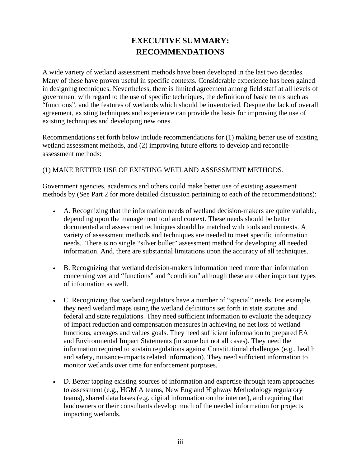## **EXECUTIVE SUMMARY: RECOMMENDATIONS**

A wide variety of wetland assessment methods have been developed in the last two decades. Many of these have proven useful in specific contexts. Considerable experience has been gained in designing techniques. Nevertheless, there is limited agreement among field staff at all levels of government with regard to the use of specific techniques, the definition of basic terms such as "functions", and the features of wetlands which should be inventoried. Despite the lack of overall agreement, existing techniques and experience can provide the basis for improving the use of existing techniques and developing new ones.

Recommendations set forth below include recommendations for (1) making better use of existing wetland assessment methods, and (2) improving future efforts to develop and reconcile assessment methods:

#### (1) MAKE BETTER USE OF EXISTING WETLAND ASSESSMENT METHODS.

Government agencies, academics and others could make better use of existing assessment methods by (See Part 2 for more detailed discussion pertaining to each of the recommendations):

- A. Recognizing that the information needs of wetland decision-makers are quite variable, depending upon the management tool and context. These needs should be better documented and assessment techniques should be matched with tools and contexts. A variety of assessment methods and techniques are needed to meet specific information needs. There is no single "silver bullet" assessment method for developing all needed information. And, there are substantial limitations upon the accuracy of all techniques.
- B. Recognizing that wetland decision-makers information need more than information concerning wetland "functions" and "condition" although these are other important types of information as well.
- C. Recognizing that wetland regulators have a number of "special" needs. For example, they need wetland maps using the wetland definitions set forth in state statutes and federal and state regulations. They need sufficient information to evaluate the adequacy of impact reduction and compensation measures in achieving no net loss of wetland functions, acreages and values goals. They need sufficient information to prepared EA and Environmental Impact Statements (in some but not all cases). They need the information required to sustain regulations against Constitutional challenges (e.g., health and safety, nuisance-impacts related information). They need sufficient information to monitor wetlands over time for enforcement purposes.
- D. Better tapping existing sources of information and expertise through team approaches to assessment (e.g., HGM A teams, New England Highway Methodology regulatory teams), shared data bases (e.g. digital information on the internet), and requiring that landowners or their consultants develop much of the needed information for projects impacting wetlands.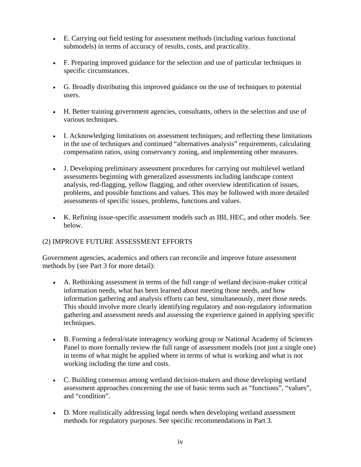- E. Carrying out field testing for assessment methods (including various functional submodels) in terms of accuracy of results, costs, and practicality.
- F. Preparing improved guidance for the selection and use of particular techniques in specific circumstances.
- G. Broadly distributing this improved guidance on the use of techniques to potential users.
- H. Better training government agencies, consultants, others in the selection and use of various techniques.
- I. Acknowledging limitations on assessment techniques; and reflecting these limitations in the use of techniques and continued "alternatives analysis" requirements, calculating compensation ratios, using conservancy zoning, and implementing other measures.
- J. Developing preliminary assessment procedures for carrying out multilevel wetland assessments beginning with generalized assessments including landscape context analysis, red-flagging, yellow flagging, and other overview identification of issues, problems, and possible functions and values. This may be followed with more detailed assessments of specific issues, problems, functions and values.
- K. Refining issue-specific assessment models such as IBI, HEC, and other models. See below.

#### (2) IMPROVE FUTURE ASSESSMENT EFFORTS

Government agencies, academics and others can reconcile and improve future assessment methods by (see Part 3 for more detail):

- A. Rethinking assessment in terms of the full range of wetland decision-maker critical information needs, what has been learned about meeting those needs, and how information gathering and analysis efforts can best, simultaneously, meet those needs. This should involve more clearly identifying regulatory and non-regulatory information gathering and assessment needs and assessing the experience gained in applying specific techniques.
- B. Forming a federal/state interagency working group or National Academy of Sciences Panel to more formally review the full range of assessment models (not just a single one) in terms of what might be applied where in terms of what is working and what is not working including the time and costs.
- C. Building consensus among wetland decision-makers and those developing wetland assessment approaches concerning the use of basic terms such as "functions", "values", and "condition".
- D. More realistically addressing legal needs when developing wetland assessment methods for regulatory purposes. See specific recommendations in Part 3.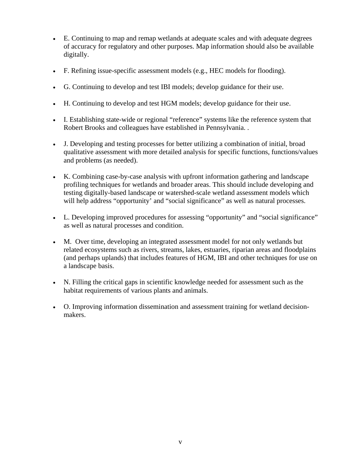- E. Continuing to map and remap wetlands at adequate scales and with adequate degrees of accuracy for regulatory and other purposes. Map information should also be available digitally.
- F. Refining issue-specific assessment models (e.g., HEC models for flooding).
- G. Continuing to develop and test IBI models; develop guidance for their use.
- H. Continuing to develop and test HGM models; develop guidance for their use.
- I. Establishing state-wide or regional "reference" systems like the reference system that Robert Brooks and colleagues have established in Pennsylvania. .
- J. Developing and testing processes for better utilizing a combination of initial, broad qualitative assessment with more detailed analysis for specific functions, functions/values and problems (as needed).
- K. Combining case-by-case analysis with upfront information gathering and landscape profiling techniques for wetlands and broader areas. This should include developing and testing digitally-based landscape or watershed-scale wetland assessment models which will help address "opportunity' and "social significance" as well as natural processes.
- L. Developing improved procedures for assessing "opportunity" and "social significance" as well as natural processes and condition.
- M. Over time, developing an integrated assessment model for not only wetlands but related ecosystems such as rivers, streams, lakes, estuaries, riparian areas and floodplains (and perhaps uplands) that includes features of HGM, IBI and other techniques for use on a landscape basis.
- N. Filling the critical gaps in scientific knowledge needed for assessment such as the habitat requirements of various plants and animals.
- O. Improving information dissemination and assessment training for wetland decisionmakers.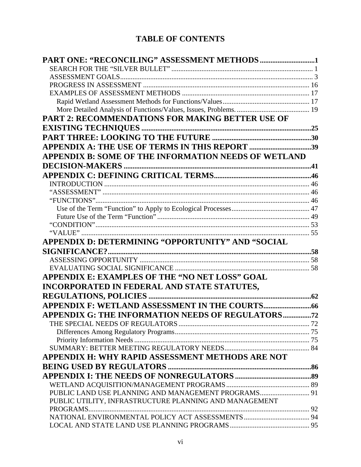## **TABLE OF CONTENTS**

| PART 2: RECOMMENDATIONS FOR MAKING BETTER USE OF       |  |
|--------------------------------------------------------|--|
|                                                        |  |
|                                                        |  |
| APPENDIX A: THE USE OF TERMS IN THIS REPORT 39         |  |
| APPENDIX B: SOME OF THE INFORMATION NEEDS OF WETLAND   |  |
|                                                        |  |
|                                                        |  |
|                                                        |  |
|                                                        |  |
|                                                        |  |
|                                                        |  |
|                                                        |  |
|                                                        |  |
|                                                        |  |
| APPENDIX D: DETERMINING "OPPORTUNITY" AND "SOCIAL      |  |
|                                                        |  |
|                                                        |  |
|                                                        |  |
| APPENDIX E: EXAMPLES OF THE "NO NET LOSS" GOAL         |  |
| INCORPORATED IN FEDERAL AND STATE STATUTES,            |  |
|                                                        |  |
|                                                        |  |
| APPENDIX G: THE INFORMATION NEEDS OF REGULATORS72      |  |
|                                                        |  |
|                                                        |  |
|                                                        |  |
|                                                        |  |
| APPENDIX H: WHY RAPID ASSESSMENT METHODS ARE NOT       |  |
|                                                        |  |
|                                                        |  |
|                                                        |  |
|                                                        |  |
| PUBLIC UTILITY, INFRASTRUCTURE PLANNING AND MANAGEMENT |  |
|                                                        |  |
|                                                        |  |
|                                                        |  |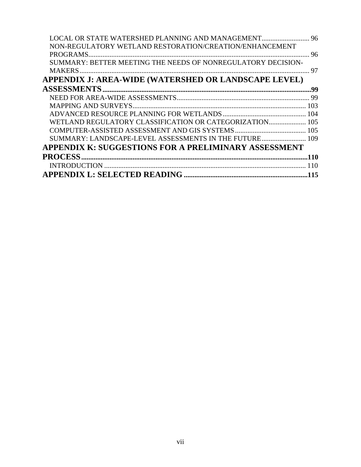| <b>LOCAL OR STATE WATERSHED PLANNING AND MANAGEMENT</b> 96   |    |
|--------------------------------------------------------------|----|
| NON-REGULATORY WETLAND RESTORATION/CREATION/ENHANCEMENT      |    |
| PROGRAMS.                                                    |    |
| SUMMARY: BETTER MEETING THE NEEDS OF NONREGULATORY DECISION- |    |
|                                                              | 97 |
| APPENDIX J: AREA-WIDE (WATERSHED OR LANDSCAPE LEVEL)         |    |
|                                                              |    |
|                                                              |    |
|                                                              |    |
|                                                              |    |
| WETLAND REGULATORY CLASSIFICATION OR CATEGORIZATION 105      |    |
|                                                              |    |
| SUMMARY: LANDSCAPE-LEVEL ASSESSMENTS IN THE FUTURE 109       |    |
| APPENDIX K: SUGGESTIONS FOR A PRELIMINARY ASSESSMENT         |    |
|                                                              |    |
|                                                              |    |
|                                                              |    |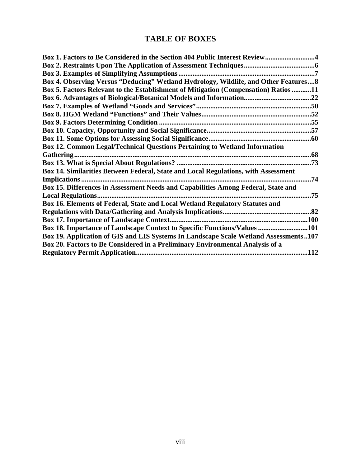## **TABLE OF BOXES**

| Box 1. Factors to Be Considered in the Section 404 Public Interest Review4           |      |
|--------------------------------------------------------------------------------------|------|
|                                                                                      |      |
|                                                                                      |      |
| Box 4. Observing Versus "Deducing" Wetland Hydrology, Wildlife, and Other Features 8 |      |
| Box 5. Factors Relevant to the Establishment of Mitigation (Compensation) Ratios 11  |      |
|                                                                                      |      |
|                                                                                      |      |
|                                                                                      |      |
|                                                                                      |      |
|                                                                                      |      |
|                                                                                      |      |
| <b>Box 12. Common Legal/Technical Questions Pertaining to Wetland Information</b>    |      |
|                                                                                      |      |
|                                                                                      | 73   |
| Box 14. Similarities Between Federal, State and Local Regulations, with Assessment   |      |
|                                                                                      | .74  |
| Box 15. Differences in Assessment Needs and Capabilities Among Federal, State and    |      |
|                                                                                      | .75  |
| Box 16. Elements of Federal, State and Local Wetland Regulatory Statutes and         |      |
|                                                                                      |      |
| <b>Box 17. Importance of Landscape Context</b>                                       |      |
| Box 18. Importance of Landscape Context to Specific Functions/Values 101             |      |
| Box 19. Application of GIS and LIS Systems In Landscape Scale Wetland Assessments107 |      |
| Box 20. Factors to Be Considered in a Preliminary Environmental Analysis of a        |      |
|                                                                                      | .112 |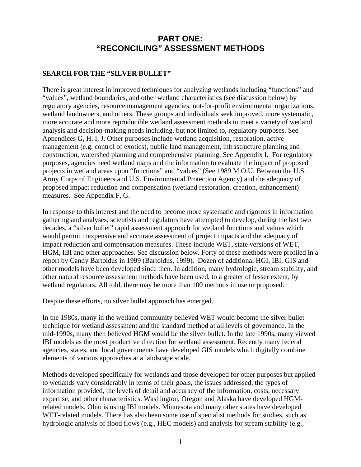## **PART ONE: "RECONCILING" ASSESSMENT METHODS**

#### <span id="page-10-0"></span>**SEARCH FOR THE "SILVER BULLET"**

There is great interest in improved techniques for analyzing wetlands including "functions" and "values", wetland boundaries, and other wetland characteristics (see discussion below) by regulatory agencies, resource management agencies, not-for-profit environmental organizations, wetland landowners, and others. These groups and individuals seek improved, more systematic, more accurate and more reproducible wetland assessment methods to meet a variety of wetland analysis and decision-making needs including, but not limited to, regulatory purposes. See Appendices G, H, I, J. Other purposes include wetland acquisition, restoration, active management (e.g. control of exotics), public land management, infrastructure planning and construction, watershed planning and comprehensive planning. See Appendix I. For regulatory purposes, agencies need wetland maps and the information to evaluate the impact of proposed projects in wetland areas upon "functions" and "values" (See 1989 M.O.U. Between the U.S. Army Corps of Engineers and U.S. Environmental Protection Agency) and the adequacy of proposed impact reduction and compensation (wetland restoration, creation, enhancement) measures. See Appendix F, G.

In response to this interest and the need to become more systematic and rigorous in information gathering and analyses, scientists and regulators have attempted to develop, during the last two decades, a "silver bullet" rapid assessment approach for wetland functions and values which would permit inexpensive and accurate assessment of project impacts and the adequacy of impact reduction and compensation measures. These include WET, state versions of WET, HGM, IBI and other approaches. See discussion below. Forty of these methods were profiled in a report by Candy Bartoldus in 1999 (Bartoldus, 1999). Dozen of additional HGI, IBI, GIS and other models have been developed since then. In addition, many hydrologic, stream stability, and other natural resource assessment methods have been used, to a greater of lesser extent, by wetland regulators. All told, there may be more than 100 methods in use or proposed.

Despite these efforts, no silver bullet approach has emerged.

In the 1980s, many in the wetland community believed WET would become the silver bullet technique for wetland assessment and the standard method at all levels of governance. In the mid-1990s, many then believed HGM would be the silver bullet. In the late 1990s, many viewed IBI models as the most productive direction for wetland assessment. Recently many federal agencies, states, and local governments have developed GIS models which digitally combine elements of various approaches at a landscape scale.

Methods developed specifically for wetlands and those developed for other purposes but applied to wetlands vary considerably in terms of their goals, the issues addressed, the types of information provided, the levels of detail and accuracy of the information, costs, necessary expertise, and other characteristics. Washington, Oregon and Alaska have developed HGMrelated models. Ohio is using IBI models. Minnesota and many other states have developed WET-related models. There has also been some use of specialist methods for studies, such as hydrologic analysis of flood flows (e.g., HEC models) and analysis for stream stability (e.g.,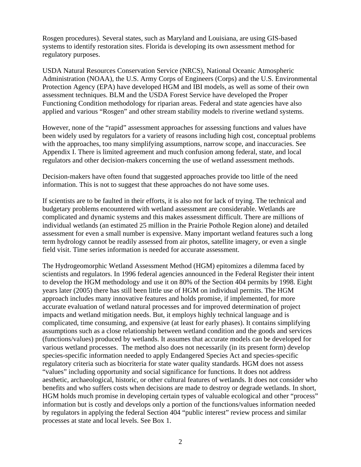Rosgen procedures). Several states, such as Maryland and Louisiana, are using GIS-based systems to identify restoration sites. Florida is developing its own assessment method for regulatory purposes.

USDA Natural Resources Conservation Service (NRCS), National Oceanic Atmospheric Administration (NOAA), the U.S. Army Corps of Engineers (Corps) and the U.S. Environmental Protection Agency (EPA) have developed HGM and IBI models, as well as some of their own assessment techniques. BLM and the USDA Forest Service have developed the Proper Functioning Condition methodology for riparian areas. Federal and state agencies have also applied and various "Rosgen" and other stream stability models to riverine wetland systems.

However, none of the "rapid" assessment approaches for assessing functions and values have been widely used by regulators for a variety of reasons including high cost, conceptual problems with the approaches, too many simplifying assumptions, narrow scope, and inaccuracies. See Appendix I. There is limited agreement and much confusion among federal, state, and local regulators and other decision-makers concerning the use of wetland assessment methods.

Decision-makers have often found that suggested approaches provide too little of the need information. This is not to suggest that these approaches do not have some uses.

If scientists are to be faulted in their efforts, it is also not for lack of trying. The technical and budgetary problems encountered with wetland assessment are considerable. Wetlands are complicated and dynamic systems and this makes assessment difficult. There are millions of individual wetlands (an estimated 25 million in the Prairie Pothole Region alone) and detailed assessment for even a small number is expensive. Many important wetland features such a long term hydrology cannot be readily assessed from air photos, satellite imagery, or even a single field visit. Time series information is needed for accurate assessment.

The Hydrogeomorphic Wetland Assessment Method (HGM) epitomizes a dilemma faced by scientists and regulators. In 1996 federal agencies announced in the Federal Register their intent to develop the HGM methodology and use it on 80% of the Section 404 permits by 1998. Eight years later (2005) there has still been little use of HGM on individual permits. The HGM approach includes many innovative features and holds promise, if implemented, for more accurate evaluation of wetland natural processes and for improved determination of project impacts and wetland mitigation needs. But, it employs highly technical language and is complicated, time consuming, and expensive (at least for early phases). It contains simplifying assumptions such as a close relationship between wetland condition and the goods and services (functions/values) produced by wetlands. It assumes that accurate models can be developed for various wetland processes. The method also does not necessarily (in its present form) develop species-specific information needed to apply Endangered Species Act and species-specific regulatory criteria such as biocriteria for state water quality standards. HGM does not assess "values" including opportunity and social significance for functions. It does not address aesthetic, archaeological, historic, or other cultural features of wetlands. It does not consider who benefits and who suffers costs when decisions are made to destroy or degrade wetlands. In short, HGM holds much promise in developing certain types of valuable ecological and other "process" information but is costly and develops only a portion of the functions/values information needed by regulators in applying the federal Section 404 "public interest" review process and similar processes at state and local levels. See Box 1.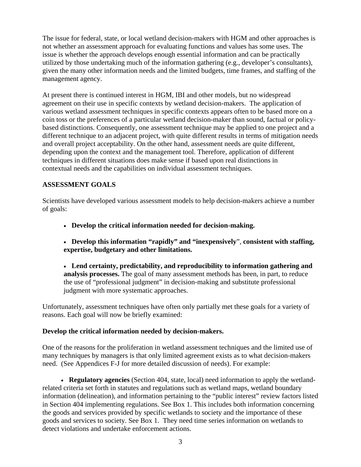<span id="page-12-0"></span>The issue for federal, state, or local wetland decision-makers with HGM and other approaches is not whether an assessment approach for evaluating functions and values has some uses. The issue is whether the approach develops enough essential information and can be practically utilized by those undertaking much of the information gathering (e.g., developer's consultants), given the many other information needs and the limited budgets, time frames, and staffing of the management agency.

At present there is continued interest in HGM, IBI and other models, but no widespread agreement on their use in specific contexts by wetland decision-makers. The application of various wetland assessment techniques in specific contexts appears often to be based more on a coin toss or the preferences of a particular wetland decision-maker than sound, factual or policybased distinctions. Consequently, one assessment technique may be applied to one project and a different technique to an adjacent project, with quite different results in terms of mitigation needs and overall project acceptability. On the other hand, assessment needs are quite different, depending upon the context and the management tool. Therefore, application of different techniques in different situations does make sense if based upon real distinctions in contextual needs and the capabilities on individual assessment techniques.

#### **ASSESSMENT GOALS**

Scientists have developed various assessment models to help decision-makers achieve a number of goals:

- **Develop the critical information needed for decision-making.**
- **Develop this information "rapidly" and "inexpensively**", **consistent with staffing, expertise, budgetary and other limitations.**
- **Lend certainty, predictability, and reproducibility to information gathering and analysis processes.** The goal of many assessment methods has been, in part, to reduce the use of "professional judgment" in decision-making and substitute professional judgment with more systematic approaches.

Unfortunately, assessment techniques have often only partially met these goals for a variety of reasons. Each goal will now be briefly examined:

#### **Develop the critical information needed by decision-makers.**

One of the reasons for the proliferation in wetland assessment techniques and the limited use of many techniques by managers is that only limited agreement exists as to what decision-makers need. (See Appendices F-J for more detailed discussion of needs). For example:

• **Regulatory agencies** (Section 404, state, local) need information to apply the wetlandrelated criteria set forth in statutes and regulations such as wetland maps, wetland boundary information (delineation), and information pertaining to the "public interest" review factors listed in Section 404 implementing regulations. See Box 1. This includes both information concerning the goods and services provided by specific wetlands to society and the importance of these goods and services to society. See Box 1. They need time series information on wetlands to detect violations and undertake enforcement actions.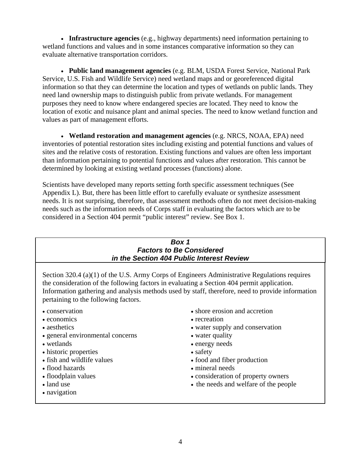<span id="page-13-0"></span>• **Infrastructure agencies** (e.g., highway departments) need information pertaining to wetland functions and values and in some instances comparative information so they can evaluate alternative transportation corridors.

• **Public land management agencies** (e.g. BLM, USDA Forest Service, National Park Service, U.S. Fish and Wildlife Service) need wetland maps and or georeferenced digital information so that they can determine the location and types of wetlands on public lands. They need land ownership maps to distinguish public from private wetlands. For management purposes they need to know where endangered species are located. They need to know the location of exotic and nuisance plant and animal species. The need to know wetland function and values as part of management efforts.

• **Wetland restoration and management agencies** (e.g. NRCS, NOAA, EPA) need inventories of potential restoration sites including existing and potential functions and values of sites and the relative costs of restoration. Existing functions and values are often less important than information pertaining to potential functions and values after restoration. This cannot be determined by looking at existing wetland processes (functions) alone.

Scientists have developed many reports setting forth specific assessment techniques (See Appendix L). But, there has been little effort to carefully evaluate or synthesize assessment needs. It is not surprising, therefore, that assessment methods often do not meet decision-making needs such as the information needs of Corps staff in evaluating the factors which are to be considered in a Section 404 permit "public interest" review. See Box 1.

#### *Box 1 Factors to Be Considered in the Section 404 Public Interest Review*

Section 320.4 (a)(1) of the U.S. Army Corps of Engineers Administrative Regulations requires the consideration of the following factors in evaluating a Section 404 permit application. Information gathering and analysis methods used by staff, therefore, need to provide information pertaining to the following factors.

- conservation
- economics
- aesthetics
- general environmental concerns
- wetlands
- historic properties
- fish and wildlife values
- flood hazards
- floodplain values
- land use
- navigation
- shore erosion and accretion
- recreation
- water supply and conservation
- water quality
- energy needs
- safety
- food and fiber production
- mineral needs
- consideration of property owners
- the needs and welfare of the people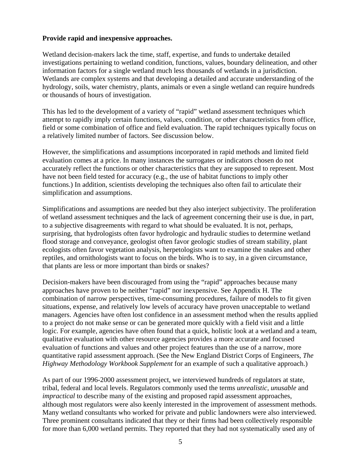#### **Provide rapid and inexpensive approaches.**

Wetland decision-makers lack the time, staff, expertise, and funds to undertake detailed investigations pertaining to wetland condition, functions, values, boundary delineation, and other information factors for a single wetland much less thousands of wetlands in a jurisdiction. Wetlands are complex systems and that developing a detailed and accurate understanding of the hydrology, soils, water chemistry, plants, animals or even a single wetland can require hundreds or thousands of hours of investigation.

This has led to the development of a variety of "rapid" wetland assessment techniques which attempt to rapidly imply certain functions, values, condition, or other characteristics from office, field or some combination of office and field evaluation. The rapid techniques typically focus on a relatively limited number of factors. See discussion below.

However, the simplifications and assumptions incorporated in rapid methods and limited field evaluation comes at a price. In many instances the surrogates or indicators chosen do not accurately reflect the functions or other characteristics that they are supposed to represent. Most have not been field tested for accuracy (e.g., the use of habitat functions to imply other functions.) In addition, scientists developing the techniques also often fail to articulate their simplification and assumptions.

Simplifications and assumptions are needed but they also interject subjectivity. The proliferation of wetland assessment techniques and the lack of agreement concerning their use is due, in part, to a subjective disagreements with regard to what should be evaluated. It is not, perhaps, surprising, that hydrologists often favor hydrologic and hydraulic studies to determine wetland flood storage and conveyance, geologist often favor geologic studies of stream stability, plant ecologists often favor vegetation analysis, herpetologists want to examine the snakes and other reptiles, and ornithologists want to focus on the birds. Who is to say, in a given circumstance, that plants are less or more important than birds or snakes?

Decision-makers have been discouraged from using the "rapid" approaches because many approaches have proven to be neither "rapid" nor inexpensive. See Appendix H. The combination of narrow perspectives, time-consuming procedures, failure of models to fit given situations, expense, and relatively low levels of accuracy have proven unacceptable to wetland managers. Agencies have often lost confidence in an assessment method when the results applied to a project do not make sense or can be generated more quickly with a field visit and a little logic. For example, agencies have often found that a quick, holistic look at a wetland and a team, qualitative evaluation with other resource agencies provides a more accurate and focused evaluation of functions and values and other project features than the use of a narrow, more quantitative rapid assessment approach. (See the New England District Corps of Engineers, *The Highway Methodology Workbook Supplement* for an example of such a qualitative approach.)

As part of our 1996-2000 assessment project, we interviewed hundreds of regulators at state, tribal, federal and local levels. Regulators commonly used the terms *unrealistic*, *unusable* and *impractical* to describe many of the existing and proposed rapid assessment approaches, although most regulators were also keenly interested in the improvement of assessment methods. Many wetland consultants who worked for private and public landowners were also interviewed. Three prominent consultants indicated that they or their firms had been collectively responsible for more than 6,000 wetland permits. They reported that they had not systematically used any of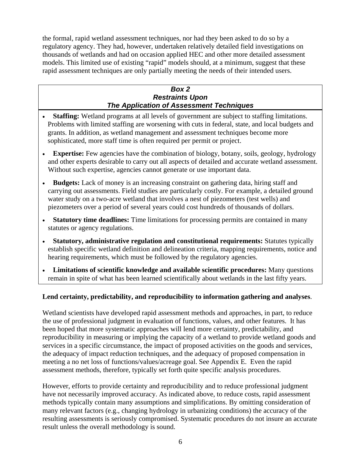<span id="page-15-0"></span>the formal, rapid wetland assessment techniques, nor had they been asked to do so by a regulatory agency. They had, however, undertaken relatively detailed field investigations on thousands of wetlands and had on occasion applied HEC and other more detailed assessment models. This limited use of existing "rapid" models should, at a minimum, suggest that these rapid assessment techniques are only partially meeting the needs of their intended users.

#### *Box 2 Restraints Upon The Application of Assessment Techniques*

- **Staffing:** Wetland programs at all levels of government are subject to staffing limitations. Problems with limited staffing are worsening with cuts in federal, state, and local budgets and grants. In addition, as wetland management and assessment techniques become more sophisticated, more staff time is often required per permit or project.
- **Expertise:** Few agencies have the combination of biology, botany, soils, geology, hydrology and other experts desirable to carry out all aspects of detailed and accurate wetland assessment. Without such expertise, agencies cannot generate or use important data.
- **Budgets:** Lack of money is an increasing constraint on gathering data, hiring staff and carrying out assessments. Field studies are particularly costly. For example, a detailed ground water study on a two-acre wetland that involves a nest of piezometers (test wells) and piezometers over a period of several years could cost hundreds of thousands of dollars.
- **Statutory time deadlines:** Time limitations for processing permits are contained in many statutes or agency regulations.
- **Statutory, administrative regulation and constitutional requirements:** Statutes typically establish specific wetland definition and delineation criteria, mapping requirements, notice and hearing requirements, which must be followed by the regulatory agencies.
- **Limitations of scientific knowledge and available scientific procedures:** Many questions remain in spite of what has been learned scientifically about wetlands in the last fifty years.

#### **Lend certainty, predictability, and reproducibility to information gathering and analyses**.

Wetland scientists have developed rapid assessment methods and approaches, in part, to reduce the use of professional judgment in evaluation of functions, values, and other features. It has been hoped that more systematic approaches will lend more certainty, predictability, and reproducibility in measuring or implying the capacity of a wetland to provide wetland goods and services in a specific circumstance, the impact of proposed activities on the goods and services, the adequacy of impact reduction techniques, and the adequacy of proposed compensation in meeting a no net loss of functions/values/acreage goal. See Appendix E. Even the rapid assessment methods, therefore, typically set forth quite specific analysis procedures.

However, efforts to provide certainty and reproducibility and to reduce professional judgment have not necessarily improved accuracy. As indicated above, to reduce costs, rapid assessment methods typically contain many assumptions and simplifications. By omitting consideration of many relevant factors (e.g., changing hydrology in urbanizing conditions) the accuracy of the resulting assessments is seriously compromised. Systematic procedures do not insure an accurate result unless the overall methodology is sound.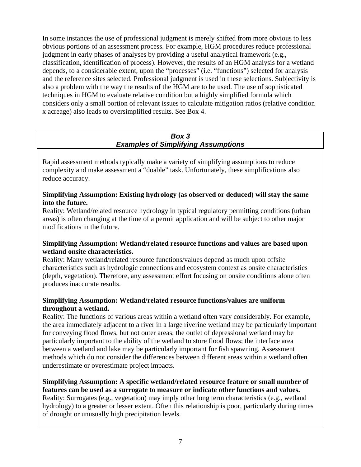<span id="page-16-0"></span>In some instances the use of professional judgment is merely shifted from more obvious to less obvious portions of an assessment process. For example, HGM procedures reduce professional judgment in early phases of analyses by providing a useful analytical framework (e.g., classification, identification of process). However, the results of an HGM analysis for a wetland depends, to a considerable extent, upon the "processes" (i.e. "functions") selected for analysis and the reference sites selected. Professional judgment is used in these selections. Subjectivity is also a problem with the way the results of the HGM are to be used. The use of sophisticated techniques in HGM to evaluate relative condition but a highly simplified formula which considers only a small portion of relevant issues to calculate mitigation ratios (relative condition x acreage) also leads to oversimplified results. See Box 4.

#### *Box 3 Examples of Simplifying Assumptions*

Rapid assessment methods typically make a variety of simplifying assumptions to reduce complexity and make assessment a "doable" task. Unfortunately, these simplifications also reduce accuracy.

#### **Simplifying Assumption: Existing hydrology (as observed or deduced) will stay the same into the future.**

Reality: Wetland/related resource hydrology in typical regulatory permitting conditions (urban areas) is often changing at the time of a permit application and will be subject to other major modifications in the future.

#### **Simplifying Assumption: Wetland/related resource functions and values are based upon wetland onsite characteristics.**

Reality: Many wetland/related resource functions/values depend as much upon offsite characteristics such as hydrologic connections and ecosystem context as onsite characteristics (depth, vegetation). Therefore, any assessment effort focusing on onsite conditions alone often produces inaccurate results.

#### **Simplifying Assumption: Wetland/related resource functions/values are uniform throughout a wetland.**

Reality: The functions of various areas within a wetland often vary considerably. For example, the area immediately adjacent to a river in a large riverine wetland may be particularly important for conveying flood flows, but not outer areas; the outlet of depressional wetland may be particularly important to the ability of the wetland to store flood flows; the interface area between a wetland and lake may be particularly important for fish spawning. Assessment methods which do not consider the differences between different areas within a wetland often underestimate or overestimate project impacts.

**Simplifying Assumption: A specific wetland/related resource feature or small number of features can be used as a surrogate to measure or indicate other functions and values.**  Reality: Surrogates (e.g., vegetation) may imply other long term characteristics (e.g., wetland hydrology) to a greater or lesser extent. Often this relationship is poor, particularly during times of drought or unusually high precipitation levels.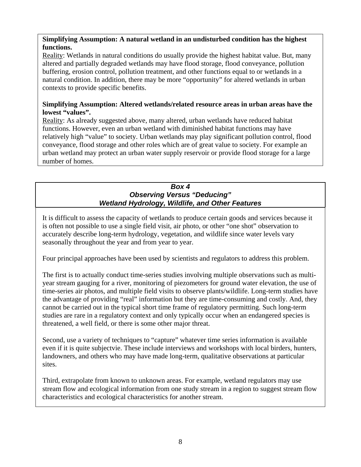#### <span id="page-17-0"></span>**Simplifying Assumption: A natural wetland in an undisturbed condition has the highest functions.**

Reality: Wetlands in natural conditions do usually provide the highest habitat value. But, many altered and partially degraded wetlands may have flood storage, flood conveyance, pollution buffering, erosion control, pollution treatment, and other functions equal to or wetlands in a natural condition. In addition, there may be more "opportunity" for altered wetlands in urban contexts to provide specific benefits.

#### **Simplifying Assumption: Altered wetlands/related resource areas in urban areas have the lowest "values".**

Reality: As already suggested above, many altered, urban wetlands have reduced habitat functions. However, even an urban wetland with diminished habitat functions may have relatively high "value" to society. Urban wetlands may play significant pollution control, flood conveyance, flood storage and other roles which are of great value to society. For example an urban wetland may protect an urban water supply reservoir or provide flood storage for a large number of homes.

#### *Box 4 Observing Versus "Deducing" Wetland Hydrology, Wildlife, and Other Features*

It is difficult to assess the capacity of wetlands to produce certain goods and services because it is often not possible to use a single field visit, air photo, or other "one shot" observation to accurately describe long-term hydrology, vegetation, and wildlife since water levels vary seasonally throughout the year and from year to year.

Four principal approaches have been used by scientists and regulators to address this problem.

The first is to actually conduct time-series studies involving multiple observations such as multiyear stream gauging for a river, monitoring of piezometers for ground water elevation, the use of time-series air photos, and multiple field visits to observe plants/wildlife. Long-term studies have the advantage of providing "real" information but they are time-consuming and costly. And, they cannot be carried out in the typical short time frame of regulatory permitting. Such long-term studies are rare in a regulatory context and only typically occur when an endangered species is threatened, a well field, or there is some other major threat.

Second, use a variety of techniques to "capture" whatever time series information is available even if it is quite subjectvie. These include interviews and workshops with local birders, hunters, landowners, and others who may have made long-term, qualitative observations at particular sites.

Third, extrapolate from known to unknown areas. For example, wetland regulators may use stream flow and ecological information from one study stream in a region to suggest stream flow characteristics and ecological characteristics for another stream.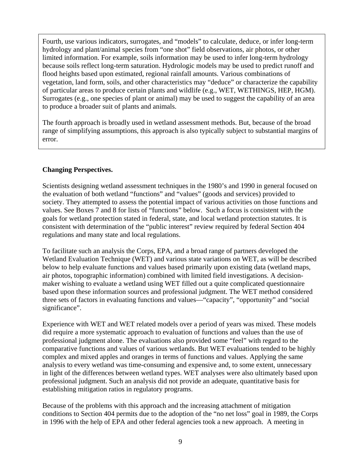Fourth, use various indicators, surrogates, and "models" to calculate, deduce, or infer long-term hydrology and plant/animal species from "one shot" field observations, air photos, or other limited information. For example, soils information may be used to infer long-term hydrology because soils reflect long-term saturation. Hydrologic models may be used to predict runoff and flood heights based upon estimated, regional rainfall amounts. Various combinations of vegetation, land form, soils, and other characteristics may "deduce" or characterize the capability of particular areas to produce certain plants and wildlife (e.g., WET, WETHINGS, HEP, HGM). Surrogates (e.g., one species of plant or animal) may be used to suggest the capability of an area to produce a broader suit of plants and animals.

The fourth approach is broadly used in wetland assessment methods. But, because of the broad range of simplifying assumptions, this approach is also typically subject to substantial margins of error.

#### **Changing Perspectives.**

Scientists designing wetland assessment techniques in the 1980's and 1990 in general focused on the evaluation of both wetland "functions" and "values" (goods and services) provided to society. They attempted to assess the potential impact of various activities on those functions and values. See Boxes 7 and 8 for lists of "functions" below. Such a focus is consistent with the goals for wetland protection stated in federal, state, and local wetland protection statutes. It is consistent with determination of the "public interest" review required by federal Section 404 regulations and many state and local regulations.

To facilitate such an analysis the Corps, EPA, and a broad range of partners developed the Wetland Evaluation Technique (WET) and various state variations on WET, as will be described below to help evaluate functions and values based primarily upon existing data (wetland maps, air photos, topographic information) combined with limited field investigations. A decisionmaker wishing to evaluate a wetland using WET filled out a quite complicated questionnaire based upon these information sources and professional judgment. The WET method considered three sets of factors in evaluating functions and values—"capacity", "opportunity" and "social significance".

Experience with WET and WET related models over a period of years was mixed. These models did require a more systematic approach to evaluation of functions and values than the use of professional judgment alone. The evaluations also provided some "feel" with regard to the comparative functions and values of various wetlands. But WET evaluations tended to be highly complex and mixed apples and oranges in terms of functions and values. Applying the same analysis to every wetland was time-consuming and expensive and, to some extent, unnecessary in light of the differences between wetland types. WET analyses were also ultimately based upon professional judgment. Such an analysis did not provide an adequate, quantitative basis for establishing mitigation ratios in regulatory programs.

Because of the problems with this approach and the increasing attachment of mitigation conditions to Section 404 permits due to the adoption of the "no net loss" goal in 1989, the Corps in 1996 with the help of EPA and other federal agencies took a new approach. A meeting in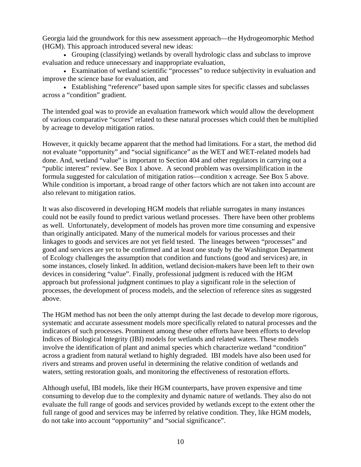Georgia laid the groundwork for this new assessment approach—the Hydrogeomorphic Method (HGM). This approach introduced several new ideas:

• Grouping (classifying) wetlands by overall hydrologic class and subclass to improve evaluation and reduce unnecessary and inappropriate evaluation,

• Examination of wetland scientific "processes" to reduce subjectivity in evaluation and improve the science base for evaluation, and

• Establishing "reference" based upon sample sites for specific classes and subclasses across a "condition" gradient.

The intended goal was to provide an evaluation framework which would allow the development of various comparative "scores" related to these natural processes which could then be multiplied by acreage to develop mitigation ratios.

However, it quickly became apparent that the method had limitations. For a start, the method did not evaluate "opportunity" and "social significance" as the WET and WET-related models had done. And, wetland "value" is important to Section 404 and other regulators in carrying out a "public interest" review. See Box 1 above. A second problem was oversimplification in the formula suggested for calculation of mitigation ratios—condition x acreage. See Box 5 above. While condition is important, a broad range of other factors which are not taken into account are also relevant to mitigation ratios.

It was also discovered in developing HGM models that reliable surrogates in many instances could not be easily found to predict various wetland processes. There have been other problems as well. Unfortunately, development of models has proven more time consuming and expensive than originally anticipated. Many of the numerical models for various processes and their linkages to goods and services are not yet field tested. The lineages between "processes" and good and services are yet to be confirmed and at least one study by the Washington Department of Ecology challenges the assumption that condition and functions (good and services) are, in some instances, closely linked. In addition, wetland decision-makers have been left to their own devices in considering "value". Finally, professional judgment is reduced with the HGM approach but professional judgment continues to play a significant role in the selection of processes, the development of process models, and the selection of reference sites as suggested above.

The HGM method has not been the only attempt during the last decade to develop more rigorous, systematic and accurate assessment models more specifically related to natural processes and the indicators of such processes. Prominent among these other efforts have been efforts to develop Indices of Biological Integrity (IBI) models for wetlands and related waters. These models involve the identification of plant and animal species which characterize wetland "condition" across a gradient from natural wetland to highly degraded. IBI models have also been used for rivers and streams and proven useful in determining the relative condition of wetlands and waters, setting restoration goals, and monitoring the effectiveness of restoration efforts.

Although useful, IBI models, like their HGM counterparts, have proven expensive and time consuming to develop due to the complexity and dynamic nature of wetlands. They also do not evaluate the full range of goods and services provided by wetlands except to the extent other the full range of good and services may be inferred by relative condition. They, like HGM models, do not take into account "opportunity" and "social significance".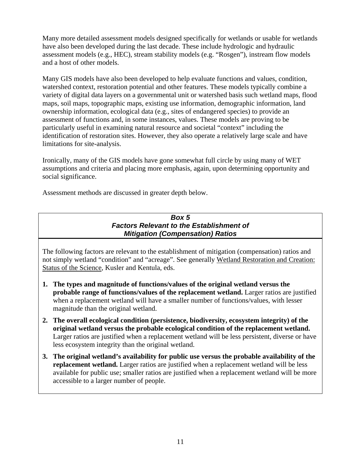<span id="page-20-0"></span>Many more detailed assessment models designed specifically for wetlands or usable for wetlands have also been developed during the last decade. These include hydrologic and hydraulic assessment models (e.g., HEC), stream stability models (e.g. "Rosgen"), instream flow models and a host of other models.

Many GIS models have also been developed to help evaluate functions and values, condition, watershed context, restoration potential and other features. These models typically combine a variety of digital data layers on a governmental unit or watershed basis such wetland maps, flood maps, soil maps, topographic maps, existing use information, demographic information, land ownership information, ecological data (e.g., sites of endangered species) to provide an assessment of functions and, in some instances, values. These models are proving to be particularly useful in examining natural resource and societal "context" including the identification of restoration sites. However, they also operate a relatively large scale and have limitations for site-analysis.

Ironically, many of the GIS models have gone somewhat full circle by using many of WET assumptions and criteria and placing more emphasis, again, upon determining opportunity and social significance.

Assessment methods are discussed in greater depth below.

#### *Box 5 Factors Relevant to the Establishment of Mitigation (Compensation) Ratios*

The following factors are relevant to the establishment of mitigation (compensation) ratios and not simply wetland "condition" and "acreage". See generally Wetland Restoration and Creation: Status of the Science, Kusler and Kentula, eds.

- **1. The types and magnitude of functions/values of the original wetland versus the probable range of functions/values of the replacement wetland.** Larger ratios are justified when a replacement wetland will have a smaller number of functions/values, with lesser magnitude than the original wetland.
- **2. The overall ecological condition (persistence, biodiversity, ecosystem integrity) of the original wetland versus the probable ecological condition of the replacement wetland.**  Larger ratios are justified when a replacement wetland will be less persistent, diverse or have less ecosystem integrity than the original wetland.
- **3. The original wetland's availability for public use versus the probable availability of the replacement wetland.** Larger ratios are justified when a replacement wetland will be less available for public use; smaller ratios are justified when a replacement wetland will be more accessible to a larger number of people.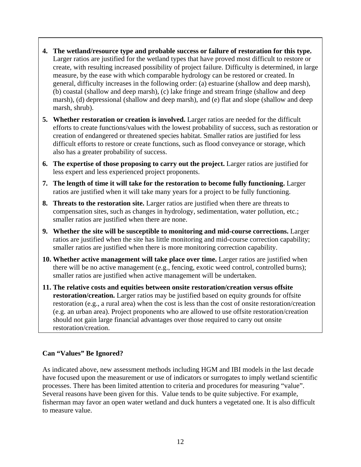- **4. The wetland/resource type and probable success or failure of restoration for this type.**  Larger ratios are justified for the wetland types that have proved most difficult to restore or create, with resulting increased possibility of project failure. Difficulty is determined, in large measure, by the ease with which comparable hydrology can be restored or created. In general, difficulty increases in the following order: (a) estuarine (shallow and deep marsh), (b) coastal (shallow and deep marsh), (c) lake fringe and stream fringe (shallow and deep marsh), (d) depressional (shallow and deep marsh), and (e) flat and slope (shallow and deep marsh, shrub).
- **5. Whether restoration or creation is involved.** Larger ratios are needed for the difficult efforts to create functions/values with the lowest probability of success, such as restoration or creation of endangered or threatened species habitat. Smaller ratios are justified for less difficult efforts to restore or create functions, such as flood conveyance or storage, which also has a greater probability of success.
- **6. The expertise of those proposing to carry out the project.** Larger ratios are justified for less expert and less experienced project proponents.
- **7. The length of time it will take for the restoration to become fully functioning.** Larger ratios are justified when it will take many years for a project to be fully functioning.
- **8. Threats to the restoration site.** Larger ratios are justified when there are threats to compensation sites, such as changes in hydrology, sedimentation, water pollution, etc.; smaller ratios are justified when there are none.
- **9. Whether the site will be susceptible to monitoring and mid-course corrections.** Larger ratios are justified when the site has little monitoring and mid-course correction capability; smaller ratios are justified when there is more monitoring correction capability.
- **10. Whether active management will take place over time.** Larger ratios are justified when there will be no active management (e.g., fencing, exotic weed control, controlled burns); smaller ratios are justified when active management will be undertaken.
- **11. The relative costs and equities between onsite restoration/creation versus offsite restoration/creation.** Larger ratios may be justified based on equity grounds for offsite restoration (e.g., a rural area) when the cost is less than the cost of onsite restoration/creation (e.g. an urban area). Project proponents who are allowed to use offsite restoration/creation should not gain large financial advantages over those required to carry out onsite restoration/creation.

#### **Can "Values" Be Ignored?**

As indicated above, new assessment methods including HGM and IBI models in the last decade have focused upon the measurement or use of indicators or surrogates to imply wetland scientific processes. There has been limited attention to criteria and procedures for measuring "value". Several reasons have been given for this. Value tends to be quite subjective. For example, fisherman may favor an open water wetland and duck hunters a vegetated one. It is also difficult to measure value.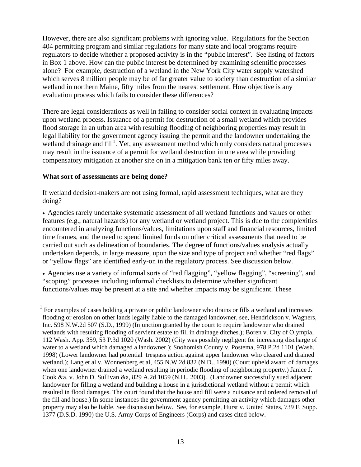However, there are also significant problems with ignoring value. Regulations for the Section 404 permitting program and similar regulations for many state and local programs require regulators to decide whether a proposed activity is in the "public interest". See listing of factors in Box 1 above. How can the public interest be determined by examining scientific processes alone? For example, destruction of a wetland in the New York City water supply watershed which serves 8 million people may be of far greater value to society than destruction of a similar wetland in northern Maine, fifty miles from the nearest settlement. How objective is any evaluation process which fails to consider these differences?

There are legal considerations as well in failing to consider social context in evaluating impacts upon wetland process. Issuance of a permit for destruction of a small wetland which provides flood storage in an urban area with resulting flooding of neighboring properties may result in legal liability for the government agency issuing the permit and the landowner undertaking the wetland drainage and fill<sup>[1](#page-22-0)</sup>. Yet, any assessment method which only considers natural processes may result in the issuance of a permit for wetland destruction in one area while providing compensatory mitigation at another site on in a mitigation bank ten or fifty miles away.

#### **What sort of assessments are being done?**

If wetland decision-makers are not using formal, rapid assessment techniques, what are they doing?

• Agencies rarely undertake systematic assessment of all wetland functions and values or other features (e.g., natural hazards) for any wetland or wetland project. This is due to the complexities encountered in analyzing functions/values, limitations upon staff and financial resources, limited time frames, and the need to spend limited funds on other critical assessments that need to be carried out such as delineation of boundaries. The degree of functions/values analysis actually undertaken depends, in large measure, upon the size and type of project and whether "red flags" or "yellow flags" are identified early-on in the regulatory process. See discussion below.

• Agencies use a variety of informal sorts of "red flagging", "yellow flagging", "screening", and "scoping" processes including informal checklists to determine whether significant functions/values may be present at a site and whether impacts may be significant. These

<span id="page-22-0"></span><sup>&</sup>lt;sup>1</sup> For examples of cases holding a private or public landowner who drains or fills a wetland and increases flooding or erosion on other lands legally liable to the damaged landowner, see, Hendrickson v. Wagners, Inc. 598 N.W.2d 507 (S.D., 1999) (Injunction granted by the court to require landowner who drained wetlands with resulting flooding of servient estate to fill in drainage ditches.); Boren v. City of Olympia, 112 Wash. App. 359, 53 P.3d 1020 (Wash. 2002) (City was possibly negligent for increasing discharge of water to a wetland which damaged a landowner.); Snohomish County v. Postema, 978 P.2d 1101 (Wash. 1998) (Lower landowner had potential trespass action against upper landowner who cleared and drained wetland.); Lang et al v. Wonnenberg et al, 455 N.W.2d 832 (N.D., 1990) (Court upheld award of damages when one landowner drained a wetland resulting in periodic flooding of neighboring property.) Janice J. Cook &a. v. John D. Sullivan &a, 829 A.2d 1059 (N.H., 2003). (Landowner successfully sued adjacent landowner for filling a wetland and building a house in a jurisdictional wetland without a permit which resulted in flood damages. The court found that the house and fill were a nuisance and ordered removal of the fill and house.) In some instances the government agency permitting an activity which damages other property may also be liable. See discussion below. See, for example, Hurst v. United States, 739 F. Supp. 1377 (D.S.D. 1990) the U.S. Army Corps of Engineers (Corps) and cases cited below.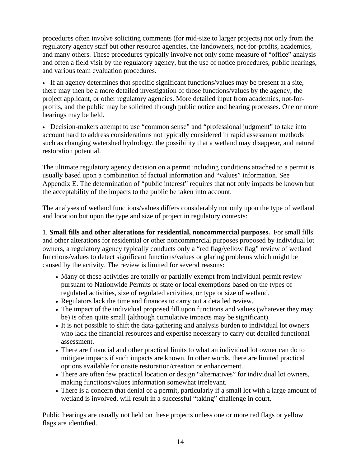procedures often involve soliciting comments (for mid-size to larger projects) not only from the regulatory agency staff but other resource agencies, the landowners, not-for-profits, academics, and many others. These procedures typically involve not only some measure of "office" analysis and often a field visit by the regulatory agency, but the use of notice procedures, public hearings, and various team evaluation procedures.

• If an agency determines that specific significant functions/values may be present at a site, there may then be a more detailed investigation of those functions/values by the agency, the project applicant, or other regulatory agencies. More detailed input from academics, not-forprofits, and the public may be solicited through public notice and hearing processes. One or more hearings may be held.

• Decision-makers attempt to use "common sense" and "professional judgment" to take into account hard to address considerations not typically considered in rapid assessment methods such as changing watershed hydrology, the possibility that a wetland may disappear, and natural restoration potential.

The ultimate regulatory agency decision on a permit including conditions attached to a permit is usually based upon a combination of factual information and "values" information. See Appendix E. The determination of "public interest" requires that not only impacts be known but the acceptability of the impacts to the public be taken into account.

The analyses of wetland functions/values differs considerably not only upon the type of wetland and location but upon the type and size of project in regulatory contexts:

1. **Small fills and other alterations for residential, noncommercial purposes.** For small fills and other alterations for residential or other noncommercial purposes proposed by individual lot owners, a regulatory agency typically conducts only a "red flag/yellow flag" review of wetland functions/values to detect significant functions/values or glaring problems which might be caused by the activity. The review is limited for several reasons:

- Many of these activities are totally or partially exempt from individual permit review pursuant to Nationwide Permits or state or local exemptions based on the types of regulated activities, size of regulated activities, or type or size of wetland.
- Regulators lack the time and finances to carry out a detailed review.
- The impact of the individual proposed fill upon functions and values (whatever they may be) is often quite small (although cumulative impacts may be significant).
- It is not possible to shift the data-gathering and analysis burden to individual lot owners who lack the financial resources and expertise necessary to carry out detailed functional assessment.
- There are financial and other practical limits to what an individual lot owner can do to mitigate impacts if such impacts are known. In other words, there are limited practical options available for onsite restoration/creation or enhancement.
- There are often few practical location or design "alternatives" for individual lot owners, making functions/values information somewhat irrelevant.
- There is a concern that denial of a permit, particularly if a small lot with a large amount of wetland is involved, will result in a successful "taking" challenge in court.

Public hearings are usually not held on these projects unless one or more red flags or yellow flags are identified.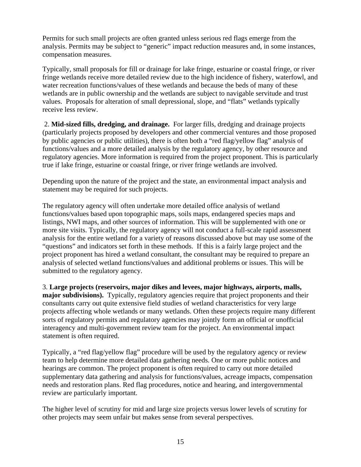Permits for such small projects are often granted unless serious red flags emerge from the analysis. Permits may be subject to "generic" impact reduction measures and, in some instances, compensation measures.

Typically, small proposals for fill or drainage for lake fringe, estuarine or coastal fringe, or river fringe wetlands receive more detailed review due to the high incidence of fishery, waterfowl, and water recreation functions/values of these wetlands and because the beds of many of these wetlands are in public ownership and the wetlands are subject to navigable servitude and trust values. Proposals for alteration of small depressional, slope, and "flats" wetlands typically receive less review.

 2. **Mid-sized fills, dredging, and drainage.** For larger fills, dredging and drainage projects (particularly projects proposed by developers and other commercial ventures and those proposed by public agencies or public utilities), there is often both a "red flag/yellow flag" analysis of functions/values and a more detailed analysis by the regulatory agency, by other resource and regulatory agencies. More information is required from the project proponent. This is particularly true if lake fringe, estuarine or coastal fringe, or river fringe wetlands are involved.

Depending upon the nature of the project and the state, an environmental impact analysis and statement may be required for such projects.

The regulatory agency will often undertake more detailed office analysis of wetland functions/values based upon topographic maps, soils maps, endangered species maps and listings, NWI maps, and other sources of information. This will be supplemented with one or more site visits. Typically, the regulatory agency will not conduct a full-scale rapid assessment analysis for the entire wetland for a variety of reasons discussed above but may use some of the "questions" and indicators set forth in these methods. If this is a fairly large project and the project proponent has hired a wetland consultant, the consultant may be required to prepare an analysis of selected wetland functions/values and additional problems or issues. This will be submitted to the regulatory agency.

3. **Large projects (reservoirs, major dikes and levees, major highways, airports, malls, major subdivisions).** Typically, regulatory agencies require that project proponents and their consultants carry out quite extensive field studies of wetland characteristics for very large projects affecting whole wetlands or many wetlands. Often these projects require many different sorts of regulatory permits and regulatory agencies may jointly form an official or unofficial interagency and multi-government review team for the project. An environmental impact statement is often required.

Typically, a "red flag/yellow flag" procedure will be used by the regulatory agency or review team to help determine more detailed data gathering needs. One or more public notices and hearings are common. The project proponent is often required to carry out more detailed supplementary data gathering and analysis for functions/values, acreage impacts, compensation needs and restoration plans. Red flag procedures, notice and hearing, and intergovernmental review are particularly important.

The higher level of scrutiny for mid and large size projects versus lower levels of scrutiny for other projects may seem unfair but makes sense from several perspectives.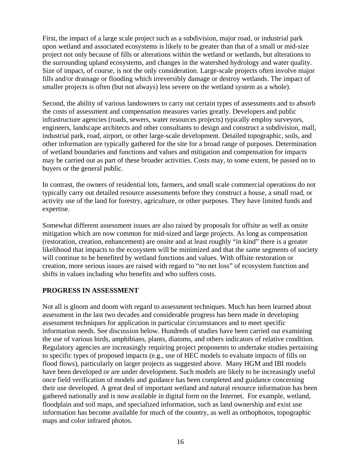<span id="page-25-0"></span>First, the impact of a large scale project such as a subdivision, major road, or industrial park upon wetland and associated ecosystems is likely to be greater than that of a small or mid-size project not only because of fills or alterations within the wetland or wetlands, but alterations to the surrounding upland ecosystems, and changes in the watershed hydrology and water quality. Size of impact, of course, is not the only consideration. Large-scale projects often involve major fills and/or drainage or flooding which irreversibly damage or destroy wetlands. The impact of smaller projects is often (but not always) less severe on the wetland system as a whole).

Second, the ability of various landowners to carry out certain types of assessments and to absorb the costs of assessment and compensation measures varies greatly. Developers and public infrastructure agencies (roads, sewers, water resources projects) typically employ surveyors, engineers, landscape architects and other consultants to design and construct a subdivision, mall, industrial park, road, airport, or other large-scale development. Detailed topographic, soils, and other information are typically gathered for the site for a broad range of purposes. Determination of wetland boundaries and functions and values and mitigation and compensation for impacts may be carried out as part of these broader activities. Costs may, to some extent, be passed on to buyers or the general public.

In contrast, the owners of residential lots, farmers, and small scale commercial operations do not typically carry out detailed resource assessments before they construct a house, a small road, or activity use of the land for forestry, agriculture, or other purposes. They have limited funds and expertise.

Somewhat different assessment issues are also raised by proposals for offsite as well as onsite mitigation which are now common for mid-sized and large projects. As long as compensation (restoration, creation, enhancement) are onsite and at least roughly "in kind" there is a greater likelihood that impacts to the ecosystem will be minimized and that the same segments of society will continue to be benefited by wetland functions and values. With offsite restoration or creation, more serious issues are raised with regard to "no net loss" of ecosystem function and shifts in values including who benefits and who suffers costs.

#### **PROGRESS IN ASSESSMENT**

Not all is gloom and doom with regard to assessment techniques. Much has been learned about assessment in the last two decades and considerable progress has been made in developing assessment techniques for application in particular circumstances and to meet specific information needs. See discussion below. Hundreds of studies have been carried out examining the use of various birds, amphibians, plants, diatoms, and others indicators of relative condition. Regulatory agencies are increasingly requiring project proponents to undertake studies pertaining to specific types of proposed impacts (e.g., use of HEC models to evaluate impacts of fills on flood flows), particularly on larger projects as suggested above. Many HGM and IBI models have been developed or are under development. Such models are likely to be increasingly useful once field verification of models and guidance has been completed and guidance concerning their use developed. A great deal of important wetland and natural resource information has been gathered nationally and is now available in digital form on the Internet. For example, wetland, floodplain and soil maps, and specialized information, such as land ownership and exist use information has become available for much of the country, as well as orthophotos, topographic maps and color infrared photos.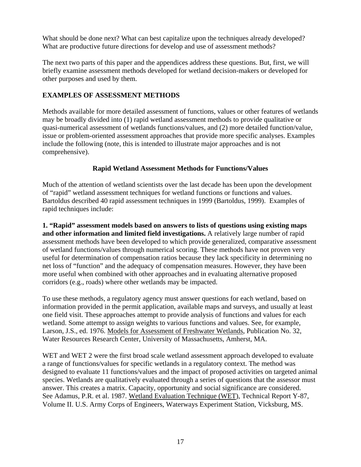<span id="page-26-0"></span>What should be done next? What can best capitalize upon the techniques already developed? What are productive future directions for develop and use of assessment methods?

The next two parts of this paper and the appendices address these questions. But, first, we will briefly examine assessment methods developed for wetland decision-makers or developed for other purposes and used by them.

#### **EXAMPLES OF ASSESSMENT METHODS**

Methods available for more detailed assessment of functions, values or other features of wetlands may be broadly divided into (1) rapid wetland assessment methods to provide qualitative or quasi-numerical assessment of wetlands functions/values, and (2) more detailed function/value, issue or problem-oriented assessment approaches that provide more specific analyses. Examples include the following (note, this is intended to illustrate major approaches and is not comprehensive).

#### **Rapid Wetland Assessment Methods for Functions/Values**

Much of the attention of wetland scientists over the last decade has been upon the development of "rapid" wetland assessment techniques for wetland functions or functions and values. Bartoldus described 40 rapid assessment techniques in 1999 (Bartoldus, 1999). Examples of rapid techniques include:

**1. "Rapid" assessment models based on answers to lists of questions using existing maps and other information and limited field investigations.** A relatively large number of rapid assessment methods have been developed to which provide generalized, comparative assessment of wetland functions/values through numerical scoring. These methods have not proven very useful for determination of compensation ratios because they lack specificity in determining no net loss of "function" and the adequacy of compensation measures. However, they have been more useful when combined with other approaches and in evaluating alternative proposed corridors (e.g., roads) where other wetlands may be impacted.

To use these methods, a regulatory agency must answer questions for each wetland, based on information provided in the permit application, available maps and surveys, and usually at least one field visit. These approaches attempt to provide analysis of functions and values for each wetland. Some attempt to assign weights to various functions and values. See, for example, Larson, J.S., ed. 1976. Models for Assessment of Freshwater Wetlands, Publication No. 32, Water Resources Research Center, University of Massachusetts, Amherst, MA.

WET and WET 2 were the first broad scale wetland assessment approach developed to evaluate a range of functions/values for specific wetlands in a regulatory context. The method was designed to evaluate 11 functions/values and the impact of proposed activities on targeted animal species. Wetlands are qualitatively evaluated through a series of questions that the assessor must answer. This creates a matrix. Capacity, opportunity and social significance are considered. See Adamus, P.R. et al. 1987. Wetland Evaluation Technique (WET), Technical Report Y-87, Volume II. U.S. Army Corps of Engineers, Waterways Experiment Station, Vicksburg, MS.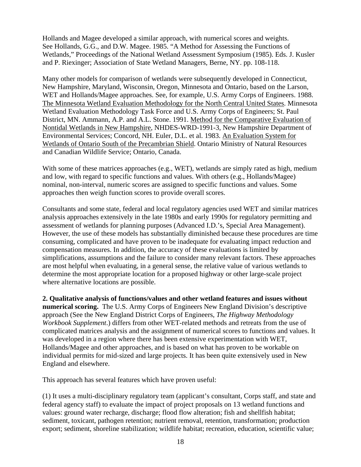Hollands and Magee developed a similar approach, with numerical scores and weights. See Hollands, G.G., and D.W. Magee. 1985. "A Method for Assessing the Functions of Wetlands," Proceedings of the National Wetland Assessment Symposium (1985). Eds. J. Kusler and P. Riexinger; Association of State Wetland Managers, Berne, NY. pp. 108-118.

Many other models for comparison of wetlands were subsequently developed in Connecticut, New Hampshire, Maryland, Wisconsin, Oregon, Minnesota and Ontario, based on the Larson, WET and Hollands/Magee approaches. See, for example, U.S. Army Corps of Engineers. 1988. The Minnesota Wetland Evaluation Methodology for the North Central United States. Minnesota Wetland Evaluation Methodology Task Force and U.S. Army Corps of Engineers; St. Paul District, MN. Ammann, A.P. and A.L. Stone. 1991. Method for the Comparative Evaluation of Nontidal Wetlands in New Hampshire, NHDES-WRD-1991-3, New Hampshire Department of Environmental Services; Concord, NH. Euler, D.L. et al. 1983. An Evaluation System for Wetlands of Ontario South of the Precambrian Shield. Ontario Ministry of Natural Resources and Canadian Wildlife Service; Ontario, Canada.

With some of these matrices approaches (e.g., WET), wetlands are simply rated as high, medium and low, with regard to specific functions and values. With others (e.g., Hollands/Magee) nominal, non-interval, numeric scores are assigned to specific functions and values. Some approaches then weigh function scores to provide overall scores.

Consultants and some state, federal and local regulatory agencies used WET and similar matrices analysis approaches extensively in the late 1980s and early 1990s for regulatory permitting and assessment of wetlands for planning purposes (Advanced I.D.'s, Special Area Management). However, the use of these models has substantially diminished because these procedures are time consuming, complicated and have proven to be inadequate for evaluating impact reduction and compensation measures. In addition, the accuracy of these evaluations is limited by simplifications, assumptions and the failure to consider many relevant factors. These approaches are most helpful when evaluating, in a general sense, the relative value of various wetlands to determine the most appropriate location for a proposed highway or other large-scale project where alternative locations are possible.

**2. Qualitative analysis of functions/values and other wetland features and issues without numerical scoring.** The U.S. Army Corps of Engineers New England Division's descriptive approach (See the New England District Corps of Engineers, *The Highway Methodology Workbook Supplement*.) differs from other WET-related methods and retreats from the use of complicated matrices analysis and the assignment of numerical scores to functions and values. It was developed in a region where there has been extensive experimentation with WET, Hollands/Magee and other approaches, and is based on what has proven to be workable on individual permits for mid-sized and large projects. It has been quite extensively used in New England and elsewhere.

This approach has several features which have proven useful:

(1) It uses a multi-disciplinary regulatory team (applicant's consultant, Corps staff, and state and federal agency staff) to evaluate the impact of project proposals on 13 wetland functions and values: ground water recharge, discharge; flood flow alteration; fish and shellfish habitat; sediment, toxicant, pathogen retention; nutrient removal, retention, transformation; production export; sediment, shoreline stabilization; wildlife habitat; recreation, education, scientific value;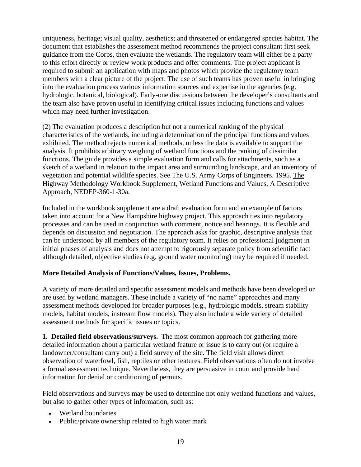<span id="page-28-0"></span>uniqueness, heritage; visual quality, aesthetics; and threatened or endangered species habitat. The document that establishes the assessment method recommends the project consultant first seek guidance from the Corps, then evaluate the wetlands. The regulatory team will either be a party to this effort directly or review work products and offer comments. The project applicant is required to submit an application with maps and photos which provide the regulatory team members with a clear picture of the project. The use of such teams has proven useful in bringing into the evaluation process various information sources and expertise in the agencies (e.g. hydrologic, botanical, biological). Early-one discussions between the developer's consultants and the team also have proven useful in identifying critical issues including functions and values which may need further investigation.

(2) The evaluation produces a description but not a numerical ranking of the physical characteristics of the wetlands, including a determination of the principal functions and values exhibited. The method rejects numerical methods, unless the data is available to support the analysis. It prohibits arbitrary weighing of wetland functions and the ranking of dissimilar functions. The guide provides a simple evaluation form and calls for attachments, such as a sketch of a wetland in relation to the impact area and surrounding landscape, and an inventory of vegetation and potential wildlife species. See The U.S. Army Corps of Engineers. 1995. The Highway Methodology Workbook Supplement, Wetland Functions and Values, A Descriptive Approach, NEDEP-360-1-30a.

Included in the workbook supplement are a draft evaluation form and an example of factors taken into account for a New Hampshire highway project. This approach ties into regulatory processes and can be used in conjunction with comment, notice and hearings. It is flexible and depends on discussion and negotiation. The approach asks for graphic, descriptive analysis that can be understood by all members of the regulatory team. It relies on professional judgment in initial phases of analysis and does not attempt to rigorously separate policy from scientific fact although detailed, objective studies (e.g. ground water monitoring) may be required if needed.

#### **More Detailed Analysis of Functions/Values, Issues, Problems.**

A variety of more detailed and specific assessment models and methods have been developed or are used by wetland managers. These include a variety of "no name" approaches and many assessment methods developed for broader purposes (e.g., hydrologic models, stream stability models, habitat models, instream flow models). They also include a wide variety of detailed assessment methods for specific issues or topics.

**1. Detailed field observations/surveys.** The most common approach for gathering more detailed information about a particular wetland feature or issue is to carry out (or require a landowner/consultant carry out) a field survey of the site. The field visit allows direct observation of waterfowl, fish, reptiles or other features. Field observations often do not involve a formal assessment technique. Nevertheless, they are persuasive in court and provide hard information for denial or conditioning of permits.

Field observations and surveys may be used to determine not only wetland functions and values, but also to gather other types of information, such as:

- Wetland boundaries
- Public/private ownership related to high water mark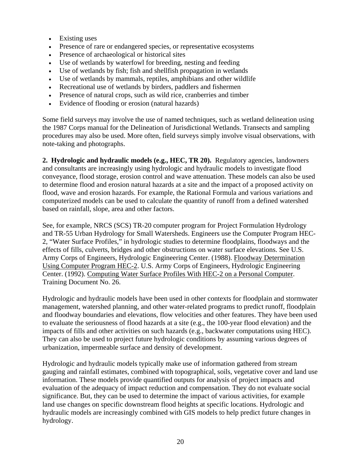- Existing uses
- Presence of rare or endangered species, or representative ecosystems
- Presence of archaeological or historical sites
- Use of wetlands by waterfowl for breeding, nesting and feeding
- Use of wetlands by fish; fish and shellfish propagation in wetlands
- Use of wetlands by mammals, reptiles, amphibians and other wildlife
- Recreational use of wetlands by birders, paddlers and fishermen
- Presence of natural crops, such as wild rice, cranberries and timber
- Evidence of flooding or erosion (natural hazards)

Some field surveys may involve the use of named techniques, such as wetland delineation using the 1987 Corps manual for the Delineation of Jurisdictional Wetlands. Transects and sampling procedures may also be used. More often, field surveys simply involve visual observations, with note-taking and photographs.

**2. Hydrologic and hydraulic models (e.g., HEC, TR 20).** Regulatory agencies, landowners and consultants are increasingly using hydrologic and hydraulic models to investigate flood conveyance, flood storage, erosion control and wave attenuation. These models can also be used to determine flood and erosion natural hazards at a site and the impact of a proposed activity on flood, wave and erosion hazards. For example, the Rational Formula and various variations and computerized models can be used to calculate the quantity of runoff from a defined watershed based on rainfall, slope, area and other factors.

See, for example, NRCS (SCS) TR-20 computer program for Project Formulation Hydrology and TR-55 Urban Hydrology for Small Watersheds. Engineers use the Computer Program HEC-2, "Water Surface Profiles," in hydrologic studies to determine floodplains, floodways and the effects of fills, culverts, bridges and other obstructions on water surface elevations. See U.S. Army Corps of Engineers, Hydrologic Engineering Center. (1988). Floodway Determination Using Computer Program HEC-2. U.S. Army Corps of Engineers, Hydrologic Engineering Center. (1992). Computing Water Surface Profiles With HEC-2 on a Personal Computer. Training Document No. 26.

Hydrologic and hydraulic models have been used in other contexts for floodplain and stormwater management, watershed planning, and other water-related programs to predict runoff, floodplain and floodway boundaries and elevations, flow velocities and other features. They have been used to evaluate the seriousness of flood hazards at a site (e.g., the 100-year flood elevation) and the impacts of fills and other activities on such hazards (e.g., backwater computations using HEC). They can also be used to project future hydrologic conditions by assuming various degrees of urbanization, impermeable surface and density of development.

Hydrologic and hydraulic models typically make use of information gathered from stream gauging and rainfall estimates, combined with topographical, soils, vegetative cover and land use information. These models provide quantified outputs for analysis of project impacts and evaluation of the adequacy of impact reduction and compensation. They do not evaluate social significance. But, they can be used to determine the impact of various activities, for example land use changes on specific downstream flood heights at specific locations. Hydrologic and hydraulic models are increasingly combined with GIS models to help predict future changes in hydrology.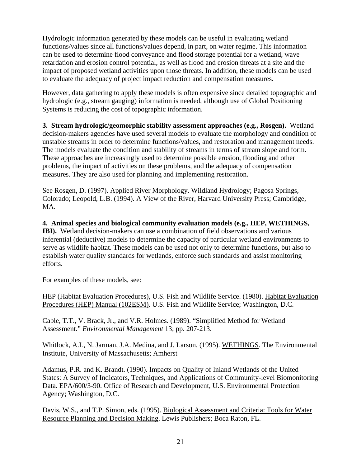Hydrologic information generated by these models can be useful in evaluating wetland functions/values since all functions/values depend, in part, on water regime. This information can be used to determine flood conveyance and flood storage potential for a wetland, wave retardation and erosion control potential, as well as flood and erosion threats at a site and the impact of proposed wetland activities upon those threats. In addition, these models can be used to evaluate the adequacy of project impact reduction and compensation measures.

However, data gathering to apply these models is often expensive since detailed topographic and hydrologic (e.g., stream gauging) information is needed, although use of Global Positioning Systems is reducing the cost of topographic information.

**3. Stream hydrologic/geomorphic stability assessment approaches (e.g., Rosgen).** Wetland decision-makers agencies have used several models to evaluate the morphology and condition of unstable streams in order to determine functions/values, and restoration and management needs. The models evaluate the condition and stability of streams in terms of stream slope and form. These approaches are increasingly used to determine possible erosion, flooding and other problems, the impact of activities on these problems, and the adequacy of compensation measures. They are also used for planning and implementing restoration.

See Rosgen, D. (1997). Applied River Morphology. Wildland Hydrology; Pagosa Springs, Colorado; Leopold, L.B. (1994). A View of the River, Harvard University Press; Cambridge, MA.

**4. Animal species and biological community evaluation models (e.g., HEP, WETHINGS, IBI).** Wetland decision-makers can use a combination of field observations and various inferential (deductive) models to determine the capacity of particular wetland environments to serve as wildlife habitat. These models can be used not only to determine functions, but also to establish water quality standards for wetlands, enforce such standards and assist monitoring efforts.

For examples of these models, see:

HEP (Habitat Evaluation Procedures), U.S. Fish and Wildlife Service. (1980). Habitat Evaluation Procedures (HEP) Manual (102ESM). U.S. Fish and Wildlife Service; Washington, D.C.

Cable, T.T., V. Brack, Jr., and V.R. Holmes. (1989). "Simplified Method for Wetland Assessment." *Environmental Management* 13; pp. 207-213.

Whitlock, A.L, N. Jarman, J.A. Medina, and J. Larson. (1995). WETHINGS. The Environmental Institute, University of Massachusetts; Amherst

Adamus, P.R. and K. Brandt. (1990). Impacts on Quality of Inland Wetlands of the United States: A Survey of Indicators, Techniques, and Applications of Community-level Biomonitoring Data. EPA/600/3-90. Office of Research and Development, U.S. Environmental Protection Agency; Washington, D.C.

Davis, W.S., and T.P. Simon, eds. (1995). Biological Assessment and Criteria: Tools for Water Resource Planning and Decision Making. Lewis Publishers; Boca Raton, FL.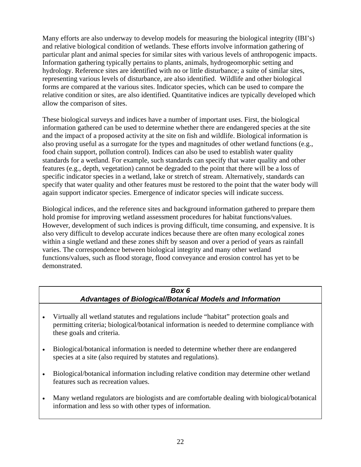<span id="page-31-0"></span>Many efforts are also underway to develop models for measuring the biological integrity (IBI's) and relative biological condition of wetlands. These efforts involve information gathering of particular plant and animal species for similar sites with various levels of anthropogenic impacts. Information gathering typically pertains to plants, animals, hydrogeomorphic setting and hydrology. Reference sites are identified with no or little disturbance; a suite of similar sites, representing various levels of disturbance, are also identified. Wildlife and other biological forms are compared at the various sites. Indicator species, which can be used to compare the relative condition or sites, are also identified. Quantitative indices are typically developed which allow the comparison of sites.

These biological surveys and indices have a number of important uses. First, the biological information gathered can be used to determine whether there are endangered species at the site and the impact of a proposed activity at the site on fish and wildlife. Biological information is also proving useful as a surrogate for the types and magnitudes of other wetland functions (e.g., food chain support, pollution control). Indices can also be used to establish water quality standards for a wetland. For example, such standards can specify that water quality and other features (e.g., depth, vegetation) cannot be degraded to the point that there will be a loss of specific indicator species in a wetland, lake or stretch of stream. Alternatively, standards can specify that water quality and other features must be restored to the point that the water body will again support indicator species. Emergence of indicator species will indicate success.

Biological indices, and the reference sites and background information gathered to prepare them hold promise for improving wetland assessment procedures for habitat functions/values. However, development of such indices is proving difficult, time consuming, and expensive. It is also very difficult to develop accurate indices because there are often many ecological zones within a single wetland and these zones shift by season and over a period of years as rainfall varies. The correspondence between biological integrity and many other wetland functions/values, such as flood storage, flood conveyance and erosion control has yet to be demonstrated.

#### *Box 6 Advantages of Biological/Botanical Models and Information*

- Virtually all wetland statutes and regulations include "habitat" protection goals and permitting criteria; biological/botanical information is needed to determine compliance with these goals and criteria.
- Biological/botanical information is needed to determine whether there are endangered species at a site (also required by statutes and regulations).
- Biological/botanical information including relative condition may determine other wetland features such as recreation values.
- Many wetland regulators are biologists and are comfortable dealing with biological/botanical information and less so with other types of information.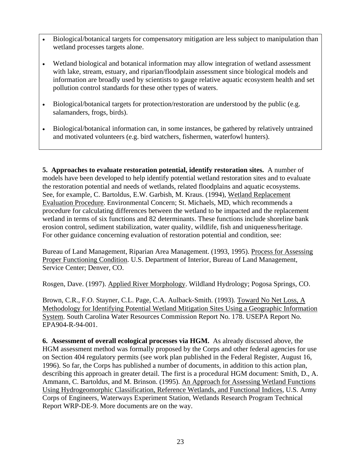- Biological/botanical targets for compensatory mitigation are less subject to manipulation than wetland processes targets alone.
- Wetland biological and botanical information may allow integration of wetland assessment with lake, stream, estuary, and riparian/floodplain assessment since biological models and information are broadly used by scientists to gauge relative aquatic ecosystem health and set pollution control standards for these other types of waters.
- Biological/botanical targets for protection/restoration are understood by the public (e.g. salamanders, frogs, birds).
- Biological/botanical information can, in some instances, be gathered by relatively untrained and motivated volunteers (e.g. bird watchers, fishermen, waterfowl hunters).

**5. Approaches to evaluate restoration potential, identify restoration sites.** A number of models have been developed to help identify potential wetland restoration sites and to evaluate the restoration potential and needs of wetlands, related floodplains and aquatic ecosystems. See, for example, C. Bartoldus, E.W. Garbish, M. Kraus. (1994), Wetland Replacement Evaluation Procedure. Environmental Concern; St. Michaels, MD, which recommends a procedure for calculating differences between the wetland to be impacted and the replacement wetland in terms of six functions and 82 determinants. These functions include shoreline bank erosion control, sediment stabilization, water quality, wildlife, fish and uniqueness/heritage. For other guidance concerning evaluation of restoration potential and condition, see:

Bureau of Land Management, Riparian Area Management. (1993, 1995). Process for Assessing Proper Functioning Condition. U.S. Department of Interior, Bureau of Land Management, Service Center; Denver, CO.

Rosgen, Dave. (1997). Applied River Morphology. Wildland Hydrology; Pogosa Springs, CO.

Brown, C.R., F.O. Stayner, C.L. Page, C.A. Aulback-Smith. (1993). Toward No Net Loss, A Methodology for Identifying Potential Wetland Mitigation Sites Using a Geographic Information System. South Carolina Water Resources Commission Report No. 178. USEPA Report No. EPA904-R-94-001.

**6. Assessment of overall ecological processes via HGM.** As already discussed above, the HGM assessment method was formally proposed by the Corps and other federal agencies for use on Section 404 regulatory permits (see work plan published in the Federal Register, August 16, 1996). So far, the Corps has published a number of documents, in addition to this action plan, describing this approach in greater detail. The first is a procedural HGM document: Smith, D., A. Ammann, C. Bartoldus, and M. Brinson. (1995). An Approach for Assessing Wetland Functions Using Hydrogeomorphic Classification, Reference Wetlands, and Functional Indices, U.S. Army Corps of Engineers, Waterways Experiment Station, Wetlands Research Program Technical Report WRP-DE-9. More documents are on the way.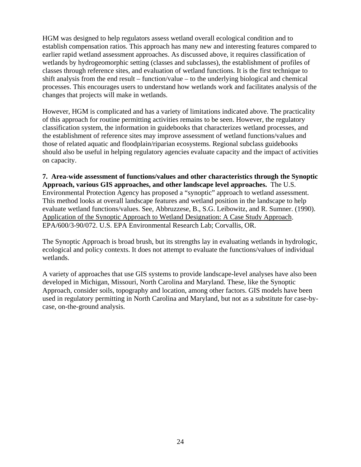HGM was designed to help regulators assess wetland overall ecological condition and to establish compensation ratios. This approach has many new and interesting features compared to earlier rapid wetland assessment approaches. As discussed above, it requires classification of wetlands by hydrogeomorphic setting (classes and subclasses), the establishment of profiles of classes through reference sites, and evaluation of wetland functions. It is the first technique to shift analysis from the end result – function/value – to the underlying biological and chemical processes. This encourages users to understand how wetlands work and facilitates analysis of the changes that projects will make in wetlands.

However, HGM is complicated and has a variety of limitations indicated above. The practicality of this approach for routine permitting activities remains to be seen. However, the regulatory classification system, the information in guidebooks that characterizes wetland processes, and the establishment of reference sites may improve assessment of wetland functions/values and those of related aquatic and floodplain/riparian ecosystems. Regional subclass guidebooks should also be useful in helping regulatory agencies evaluate capacity and the impact of activities on capacity.

**7. Area-wide assessment of functions/values and other characteristics through the Synoptic Approach, various GIS approaches, and other landscape level approaches.** The U.S. Environmental Protection Agency has proposed a "synoptic" approach to wetland assessment. This method looks at overall landscape features and wetland position in the landscape to help evaluate wetland functions/values. See, Abbruzzese, B., S.G. Leibowitz, and R. Sumner. (1990). Application of the Synoptic Approach to Wetland Designation: A Case Study Approach. EPA/600/3-90/072. U.S. EPA Environmental Research Lab; Corvallis, OR.

The Synoptic Approach is broad brush, but its strengths lay in evaluating wetlands in hydrologic, ecological and policy contexts. It does not attempt to evaluate the functions/values of individual wetlands.

A variety of approaches that use GIS systems to provide landscape-level analyses have also been developed in Michigan, Missouri, North Carolina and Maryland. These, like the Synoptic Approach, consider soils, topography and location, among other factors. GIS models have been used in regulatory permitting in North Carolina and Maryland, but not as a substitute for case-bycase, on-the-ground analysis.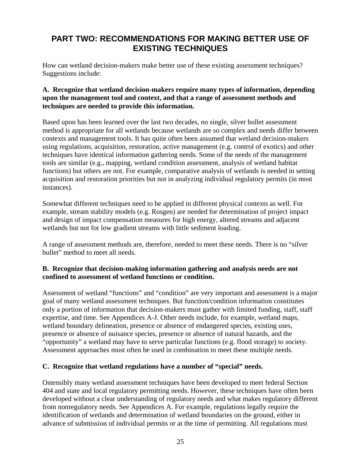## <span id="page-34-0"></span>**PART TWO: RECOMMENDATIONS FOR MAKING BETTER USE OF EXISTING TECHNIQUES**

How can wetland decision-makers make better use of these existing assessment techniques? Suggestions include:

#### **A. Recognize that wetland decision-makers require many types of information, depending upon the management tool and context, and that a range of assessment methods and techniques are needed to provide this information.**

Based upon has been learned over the last two decades, no single, silver bullet assessment method is appropriate for all wetlands because wetlands are so complex and needs differ between contexts and management tools. It has quite often been assumed that wetland decision-makers using regulations, acquisition, restoration, active management (e.g. control of exotics) and other techniques have identical information gathering needs. Some of the needs of the management tools are similar (e.g., mapping, wetland condition assessment, analysis of wetland habitat functions) but others are not. For example, comparative analysis of wetlands is needed in setting acquisition and restoration priorities but not in analyzing individual regulatory permits (in most instances).

Somewhat different techniques need to be applied in different physical contexts as well. For example, stream stability models (e.g. Rosgen) are needed for determination of project impact and design of impact compensation measures for high energy, altered streams and adjacent wetlands but not for low gradient streams with little sediment loading.

A range of assessment methods are, therefore, needed to meet these needs. There is no "silver bullet" method to meet all needs.

#### **B. Recognize that decision-making information gathering and analysis needs are not confined to assessment of wetland functions or condition.**

Assessment of wetland "functions" and "condition" are very important and assessment is a major goal of many wetland assessment techniques. But function/condition information constitutes only a portion of information that decision-makers must gather with limited funding, staff, staff expertise, and time. See Appendices A-J. Other needs include, for example, wetland maps, wetland boundary delineation, presence or absence of endangered species, existing uses, presence or absence of nuisance species, presence or absence of natural hazards, and the "opportunity" a wetland may have to serve particular functions (e.g. flood storage) to society. Assessment approaches must often be used in combination to meet these multiple needs.

#### **C. Recognize that wetland regulations have a number of "special" needs.**

Ostensibly many wetland assessment techniques have been developed to meet federal Section 404 and state and local regulatory permitting needs. However, these techniques have often been developed without a clear understanding of regulatory needs and what makes regulatory different from nonregulatory needs. See Appendices A. For example, regulations legally require the identification of wetlands and determination of wetland boundaries on the ground, either in advance of submission of individual permits or at the time of permitting. All regulations must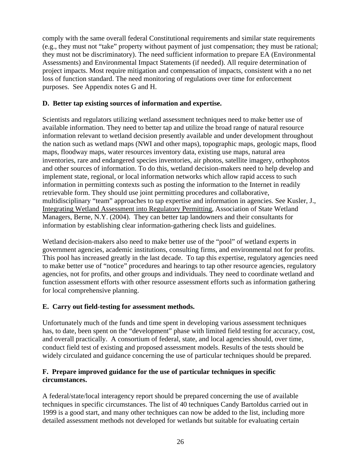comply with the same overall federal Constitutional requirements and similar state requirements (e.g., they must not "take" property without payment of just compensation; they must be rational; they must not be discriminatory). The need sufficient information to prepare EA (Environmental Assessments) and Environmental Impact Statements (if needed). All require determination of project impacts. Most require mitigation and compensation of impacts, consistent with a no net loss of function standard. The need monitoring of regulations over time for enforcement purposes. See Appendix notes G and H.

#### **D. Better tap existing sources of information and expertise.**

Scientists and regulators utilizing wetland assessment techniques need to make better use of available information. They need to better tap and utilize the broad range of natural resource information relevant to wetland decision presently available and under development throughout the nation such as wetland maps (NWI and other maps), topographic maps, geologic maps, flood maps, floodway maps, water resources inventory data, existing use maps, natural area inventories, rare and endangered species inventories, air photos, satellite imagery, orthophotos and other sources of information. To do this, wetland decision-makers need to help develop and implement state, regional, or local information networks which allow rapid access to such information in permitting contexts such as posting the information to the Internet in readily retrievable form. They should use joint permitting procedures and collaborative, multidisciplinary "team" approaches to tap expertise and information in agencies. See Kusler, J., Integrating Wetland Assessment into Regulatory Permitting, Association of State Wetland Managers, Berne, N.Y. (2004). They can better tap landowners and their consultants for information by establishing clear information-gathering check lists and guidelines.

Wetland decision-makers also need to make better use of the "pool" of wetland experts in government agencies, academic institutions, consulting firms, and environmental not for profits. This pool has increased greatly in the last decade. To tap this expertise, regulatory agencies need to make better use of "notice" procedures and hearings to tap other resource agencies, regulatory agencies, not for profits, and other groups and individuals. They need to coordinate wetland and function assessment efforts with other resource assessment efforts such as information gathering for local comprehensive planning.

#### **E. Carry out field-testing for assessment methods.**

Unfortunately much of the funds and time spent in developing various assessment techniques has, to date, been spent on the "development" phase with limited field testing for accuracy, cost, and overall practically. A consortium of federal, state, and local agencies should, over time, conduct field test of existing and proposed assessment models. Results of the tests should be widely circulated and guidance concerning the use of particular techniques should be prepared.

#### **F. Prepare improved guidance for the use of particular techniques in specific circumstances.**

A federal/state/local interagency report should be prepared concerning the use of available techniques in specific circumstances. The list of 40 techniques Candy Bartoldus carried out in 1999 is a good start, and many other techniques can now be added to the list, including more detailed assessment methods not developed for wetlands but suitable for evaluating certain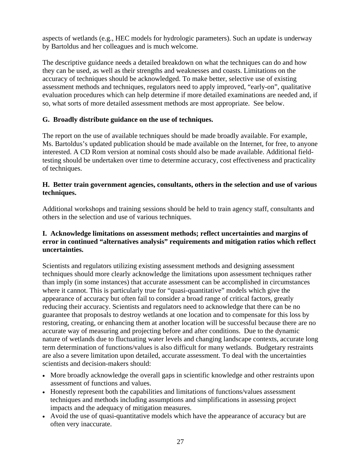aspects of wetlands (e.g., HEC models for hydrologic parameters). Such an update is underway by Bartoldus and her colleagues and is much welcome.

The descriptive guidance needs a detailed breakdown on what the techniques can do and how they can be used, as well as their strengths and weaknesses and coasts. Limitations on the accuracy of techniques should be acknowledged. To make better, selective use of existing assessment methods and techniques, regulators need to apply improved, "early-on", qualitative evaluation procedures which can help determine if more detailed examinations are needed and, if so, what sorts of more detailed assessment methods are most appropriate. See below.

# **G. Broadly distribute guidance on the use of techniques.**

The report on the use of available techniques should be made broadly available. For example, Ms. Bartoldus's updated publication should be made available on the Internet, for free, to anyone interested. A CD Rom version at nominal costs should also be made available. Additional fieldtesting should be undertaken over time to determine accuracy, cost effectiveness and practicality of techniques.

### **H. Better train government agencies, consultants, others in the selection and use of various techniques.**

Additional workshops and training sessions should be held to train agency staff, consultants and others in the selection and use of various techniques.

# **I. Acknowledge limitations on assessment methods; reflect uncertainties and margins of error in continued "alternatives analysis" requirements and mitigation ratios which reflect uncertainties.**

Scientists and regulators utilizing existing assessment methods and designing assessment techniques should more clearly acknowledge the limitations upon assessment techniques rather than imply (in some instances) that accurate assessment can be accomplished in circumstances where it cannot. This is particularly true for "quasi-quantitative" models which give the appearance of accuracy but often fail to consider a broad range of critical factors, greatly reducing their accuracy. Scientists and regulators need to acknowledge that there can be no guarantee that proposals to destroy wetlands at one location and to compensate for this loss by restoring, creating, or enhancing them at another location will be successful because there are no accurate way of measuring and projecting before and after conditions. Due to the dynamic nature of wetlands due to fluctuating water levels and changing landscape contexts, accurate long term determination of functions/values is also difficult for many wetlands. Budgetary restraints are also a severe limitation upon detailed, accurate assessment. To deal with the uncertainties scientists and decision-makers should:

- More broadly acknowledge the overall gaps in scientific knowledge and other restraints upon assessment of functions and values.
- Honestly represent both the capabilities and limitations of functions/values assessment techniques and methods including assumptions and simplifications in assessing project impacts and the adequacy of mitigation measures.
- Avoid the use of quasi-quantitative models which have the appearance of accuracy but are often very inaccurate.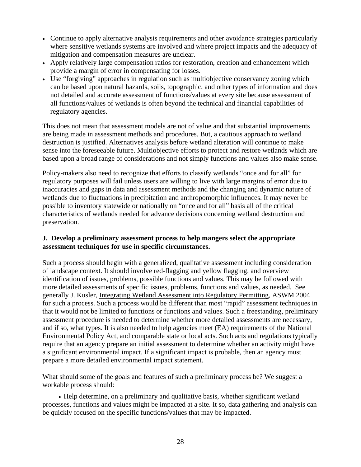- Continue to apply alternative analysis requirements and other avoidance strategies particularly where sensitive wetlands systems are involved and where project impacts and the adequacy of mitigation and compensation measures are unclear.
- Apply relatively large compensation ratios for restoration, creation and enhancement which provide a margin of error in compensating for losses.
- Use "forgiving" approaches in regulation such as multiobjective conservancy zoning which can be based upon natural hazards, soils, topographic, and other types of information and does not detailed and accurate assessment of functions/values at every site because assessment of all functions/values of wetlands is often beyond the technical and financial capabilities of regulatory agencies.

This does not mean that assessment models are not of value and that substantial improvements are being made in assessment methods and procedures. But, a cautious approach to wetland destruction is justified. Alternatives analysis before wetland alteration will continue to make sense into the foreseeable future. Multiobjective efforts to protect and restore wetlands which are based upon a broad range of considerations and not simply functions and values also make sense.

Policy-makers also need to recognize that efforts to classify wetlands "once and for all" for regulatory purposes will fail unless users are willing to live with large margins of error due to inaccuracies and gaps in data and assessment methods and the changing and dynamic nature of wetlands due to fluctuations in precipitation and anthropomorphic influences. It may never be possible to inventory statewide or nationally on "once and for all" basis all of the critical characteristics of wetlands needed for advance decisions concerning wetland destruction and preservation.

# **J. Develop a preliminary assessment process to help mangers select the appropriate assessment techniques for use in specific circumstances.**

Such a process should begin with a generalized, qualitative assessment including consideration of landscape context. It should involve red-flagging and yellow flagging, and overview identification of issues, problems, possible functions and values. This may be followed with more detailed assessments of specific issues, problems, functions and values, as needed. See generally J. Kusler, Integrating Wetland Assessment into Regulatory Permitting, ASWM 2004 for such a process. Such a process would be different than most "rapid" assessment techniques in that it would not be limited to functions or functions and values. Such a freestanding, preliminary assessment procedure is needed to determine whether more detailed assessments are necessary, and if so, what types. It is also needed to help agencies meet (EA) requirements of the National Environmental Policy Act, and comparable state or local acts. Such acts and regulations typically require that an agency prepare an initial assessment to determine whether an activity might have a significant environmental impact. If a significant impact is probable, then an agency must prepare a more detailed environmental impact statement.

What should some of the goals and features of such a preliminary process be? We suggest a workable process should:

• Help determine, on a preliminary and qualitative basis, whether significant wetland processes, functions and values might be impacted at a site. It so, data gathering and analysis can be quickly focused on the specific functions/values that may be impacted.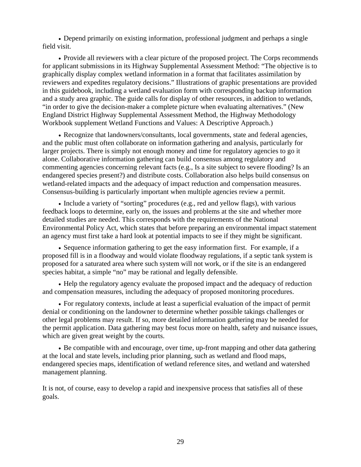• Depend primarily on existing information, professional judgment and perhaps a single field visit.

• Provide all reviewers with a clear picture of the proposed project. The Corps recommends for applicant submissions in its Highway Supplemental Assessment Method: "The objective is to graphically display complex wetland information in a format that facilitates assimilation by reviewers and expedites regulatory decisions." Illustrations of graphic presentations are provided in this guidebook, including a wetland evaluation form with corresponding backup information and a study area graphic. The guide calls for display of other resources, in addition to wetlands, "in order to give the decision-maker a complete picture when evaluating alternatives." (New England District Highway Supplemental Assessment Method, the Highway Methodology Workbook supplement Wetland Functions and Values: A Descriptive Approach.)

• Recognize that landowners/consultants, local governments, state and federal agencies, and the public must often collaborate on information gathering and analysis, particularly for larger projects. There is simply not enough money and time for regulatory agencies to go it alone. Collaborative information gathering can build consensus among regulatory and commenting agencies concerning relevant facts (e.g., Is a site subject to severe flooding? Is an endangered species present?) and distribute costs. Collaboration also helps build consensus on wetland-related impacts and the adequacy of impact reduction and compensation measures. Consensus-building is particularly important when multiple agencies review a permit.

• Include a variety of "sorting" procedures (e.g., red and yellow flags), with various feedback loops to determine, early on, the issues and problems at the site and whether more detailed studies are needed. This corresponds with the requirements of the National Environmental Policy Act, which states that before preparing an environmental impact statement an agency must first take a hard look at potential impacts to see if they might be significant.

• Sequence information gathering to get the easy information first. For example, if a proposed fill is in a floodway and would violate floodway regulations, if a septic tank system is proposed for a saturated area where such system will not work, or if the site is an endangered species habitat, a simple "no" may be rational and legally defensible.

• Help the regulatory agency evaluate the proposed impact and the adequacy of reduction and compensation measures, including the adequacy of proposed monitoring procedures.

• For regulatory contexts, include at least a superficial evaluation of the impact of permit denial or conditioning on the landowner to determine whether possible takings challenges or other legal problems may result. If so, more detailed information gathering may be needed for the permit application. Data gathering may best focus more on health, safety and nuisance issues, which are given great weight by the courts.

• Be compatible with and encourage, over time, up-front mapping and other data gathering at the local and state levels, including prior planning, such as wetland and flood maps, endangered species maps, identification of wetland reference sites, and wetland and watershed management planning.

It is not, of course, easy to develop a rapid and inexpensive process that satisfies all of these goals.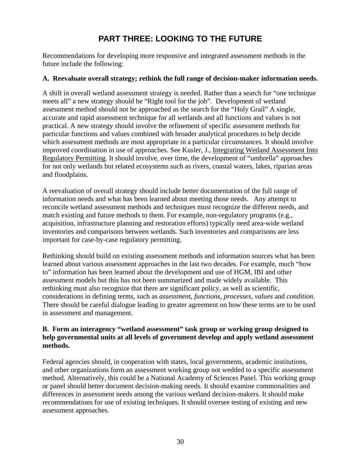# **PART THREE: LOOKING TO THE FUTURE**

Recommendations for developing more responsive and integrated assessment methods in the future include the following:

### **A. Reevaluate overall strategy; rethink the full range of decision-maker information needs.**

A shift in overall wetland assessment strategy is needed. Rather than a search for "one technique meets all" a new strategy should be "Right tool for the job". Development of wetland assessment method should not be approached as the search for the "Holy Grail" A single, accurate and rapid assessment technique for all wetlands and all functions and values is not practical. A new strategy should involve the refinement of specific assessment methods for particular functions and values combined with broader analytical procedures to help decide which assessment methods are most appropriate in a particular circumstances. It should involve improved coordination in use of approaches. See Kusler, J., Integrating Wetland Assessment Into Regulatory Permitting. It should involve, over time, the development of "umbrella" approaches for not only wetlands but related ecosystems such as rivers, coastal waters, lakes, riparian areas and floodplains.

A reevaluation of overall strategy should include better documentation of the full range of information needs and what has been learned about meeting those needs. Any attempt to reconcile wetland assessment methods and techniques must recognize the different needs, and match existing and future methods to them. For example, non-regulatory programs (e.g., acquisition, infrastructure planning and restoration efforts) typically need area-wide wetland inventories and comparisons between wetlands. Such inventories and comparisons are less important for case-by-case regulatory permitting.

Rethinking should build on existing assessment methods and information sources what has been learned about various assessment approaches in the last two decades. For example, much "how to" information has been learned about the development and use of HGM, IBI and other assessment models but this has not been summarized and made widely available. This rethinking must also recognize that there are significant policy, as well as scientific, considerations in defining terms, such as *assessment*, *functions*, *processes*, *values* and *condition*. There should be careful dialogue leading to greater agreement on how these terms are to be used in assessment and management.

## **B. Form an interagency "wetland assessment" task group or working group designed to help governmental units at all levels of government develop and apply wetland assessment methods.**

Federal agencies should, in cooperation with states, local governments, academic institutions, and other organizations form an assessment working group not wedded to a specific assessment method. Alternatively, this could be a National Academy of Sciences Panel. This working group or panel should better document decision-making needs. It should examine commonalities and differences in assessment needs among the various wetland decision-makers. It should make recommendations for use of existing techniques. It should oversee testing of existing and new assessment approaches.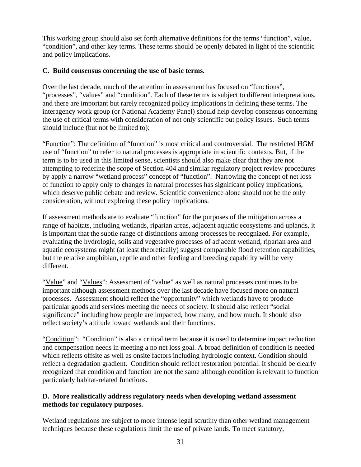This working group should also set forth alternative definitions for the terms "function", value, "condition", and other key terms. These terms should be openly debated in light of the scientific and policy implications.

# **C. Build consensus concerning the use of basic terms.**

Over the last decade, much of the attention in assessment has focused on "functions", "processes", "values" and "condition". Each of these terms is subject to different interpretations, and there are important but rarely recognized policy implications in defining these terms. The interagency work group (or National Academy Panel) should help develop consensus concerning the use of critical terms with consideration of not only scientific but policy issues. Such terms should include (but not be limited to):

"Function": The definition of "function" is most critical and controversial. The restricted HGM use of "function" to refer to natural processes is appropriate in scientific contexts. But, if the term is to be used in this limited sense, scientists should also make clear that they are not attempting to redefine the scope of Section 404 and similar regulatory project review procedures by apply a narrow "wetland process" concept of "function". Narrowing the concept of net loss of function to apply only to changes in natural processes has significant policy implications, which deserve public debate and review. Scientific convenience alone should not be the only consideration, without exploring these policy implications.

If assessment methods are to evaluate "function" for the purposes of the mitigation across a range of habitats, including wetlands, riparian areas, adjacent aquatic ecosystems and uplands, it is important that the subtle range of distinctions among processes be recognized. For example, evaluating the hydrologic, soils and vegetative processes of adjacent wetland, riparian area and aquatic ecosystems might (at least theoretically) suggest comparable flood retention capabilities, but the relative amphibian, reptile and other feeding and breeding capability will be very different.

"Value" and "Values": Assessment of "value" as well as natural processes continues to be important although assessment methods over the last decade have focused more on natural processes. Assessment should reflect the "opportunity" which wetlands have to produce particular goods and services meeting the needs of society. It should also reflect "social significance" including how people are impacted, how many, and how much. It should also reflect society's attitude toward wetlands and their functions.

"Condition": "Condition" is also a critical term because it is used to determine impact reduction and compensation needs in meeting a no net loss goal. A broad definition of condition is needed which reflects offsite as well as onsite factors including hydrologic context. Condition should reflect a degradation gradient. Condition should reflect restoration potential. It should be clearly recognized that condition and function are not the same although condition is relevant to function particularly habitat-related functions.

# **D. More realistically address regulatory needs when developing wetland assessment methods for regulatory purposes.**

Wetland regulations are subject to more intense legal scrutiny than other wetland management techniques because these regulations limit the use of private lands. To meet statutory,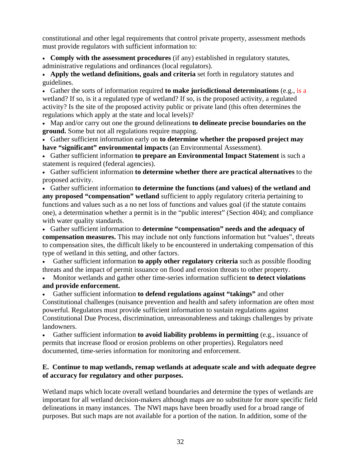constitutional and other legal requirements that control private property, assessment methods must provide regulators with sufficient information to:

• **Comply with the assessment procedures** (if any) established in regulatory statutes, administrative regulations and ordinances (local regulators).

• **Apply the wetland definitions, goals and criteria** set forth in regulatory statutes and guidelines.

• Gather the sorts of information required **to make jurisdictional determinations** (e.g., is a wetland? If so, is it a regulated type of wetland? If so, is the proposed activity, a regulated activity? Is the site of the proposed activity public or private land (this often determines the regulations which apply at the state and local levels)?

• Map and/or carry out one the ground delineations **to delineate precise boundaries on the ground.** Some but not all regulations require mapping.

• Gather sufficient information early on **to determine whether the proposed project may have "significant" environmental impacts** (an Environmental Assessment).

• Gather sufficient information **to prepare an Environmental Impact Statement** is such a statement is required (federal agencies).

• Gather sufficient information **to determine whether there are practical alternatives** to the proposed activity.

• Gather sufficient information **to determine the functions (and values) of the wetland and any proposed "compensation" wetland** sufficient to apply regulatory criteria pertaining to functions and values such as a no net loss of functions and values goal (if the statute contains one), a determination whether a permit is in the "public interest" (Section 404); and compliance with water quality standards.

• Gather sufficient information to **determine "compensation" needs and the adequacy of compensation measures.** This may include not only functions information but "values", threats to compensation sites, the difficult likely to be encountered in undertaking compensation of this type of wetland in this setting, and other factors.

• Gather sufficient information **to apply other regulatory criteria** such as possible flooding threats and the impact of permit issuance on flood and erosion threats to other property.

• Monitor wetlands and gather other time-series information sufficient **to detect violations and provide enforcement.**

• Gather sufficient information **to defend regulations against "takings"** and other Constitutional challenges (nuisance prevention and health and safety information are often most powerful. Regulators must provide sufficient information to sustain regulations against Constitutional Due Process, discrimination, unreasonableness and takings challenges by private landowners.

• Gather sufficient information **to avoid liability problems in permitting** (e.g., issuance of permits that increase flood or erosion problems on other properties). Regulators need documented, time-series information for monitoring and enforcement.

# **E. Continue to map wetlands, remap wetlands at adequate scale and with adequate degree of accuracy for regulatory and other purposes.**

Wetland maps which locate overall wetland boundaries and determine the types of wetlands are important for all wetland decision-makers although maps are no substitute for more specific field delineations in many instances. The NWI maps have been broadly used for a broad range of purposes. But such maps are not available for a portion of the nation. In addition, some of the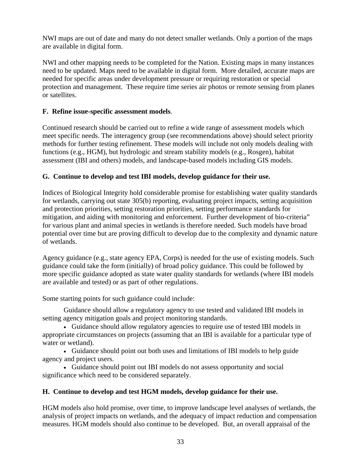NWI maps are out of date and many do not detect smaller wetlands. Only a portion of the maps are available in digital form.

NWI and other mapping needs to be completed for the Nation. Existing maps in many instances need to be updated. Maps need to be available in digital form. More detailed, accurate maps are needed for specific areas under development pressure or requiring restoration or special protection and management. These require time series air photos or remote sensing from planes or satellites.

# **F. Refine issue-specific assessment models**.

Continued research should be carried out to refine a wide range of assessment models which meet specific needs. The interagency group (see recommendations above) should select priority methods for further testing refinement. These models will include not only models dealing with functions (e.g., HGM), but hydrologic and stream stability models (e.g., Rosgen), habitat assessment (IBI and others) models, and landscape-based models including GIS models.

### **G. Continue to develop and test IBI models, develop guidance for their use.**

Indices of Biological Integrity hold considerable promise for establishing water quality standards for wetlands, carrying out state 305(b) reporting, evaluating project impacts, setting acquisition and protection priorities, setting restoration priorities, setting performance standards for mitigation, and aiding with monitoring and enforcement. Further development of bio-criteria" for various plant and animal species in wetlands is therefore needed. Such models have broad potential over time but are proving difficult to develop due to the complexity and dynamic nature of wetlands.

Agency guidance (e.g., state agency EPA, Corps) is needed for the use of existing models. Such guidance could take the form (initially) of broad policy guidance. This could be followed by more specific guidance adopted as state water quality standards for wetlands (where IBI models are available and tested) or as part of other regulations.

Some starting points for such guidance could include:

Guidance should allow a regulatory agency to use tested and validated IBI models in setting agency mitigation goals and project monitoring standards.

• Guidance should allow regulatory agencies to require use of tested IBI models in appropriate circumstances on projects (assuming that an IBI is available for a particular type of water or wetland).

• Guidance should point out both uses and limitations of IBI models to help guide agency and project users.

• Guidance should point out IBI models do not assess opportunity and social significance which need to be considered separately.

# **H. Continue to develop and test HGM models, develop guidance for their use.**

HGM models also hold promise, over time, to improve landscape level analyses of wetlands, the analysis of project impacts on wetlands, and the adequacy of impact reduction and compensation measures. HGM models should also continue to be developed. But, an overall appraisal of the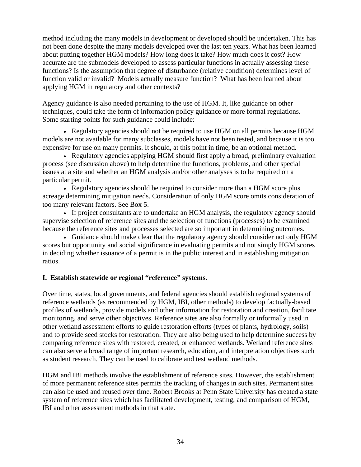method including the many models in development or developed should be undertaken. This has not been done despite the many models developed over the last ten years. What has been learned about putting together HGM models? How long does it take? How much does it cost? How accurate are the submodels developed to assess particular functions in actually assessing these functions? Is the assumption that degree of disturbance (relative condition) determines level of function valid or invalid? Models actually measure function? What has been learned about applying HGM in regulatory and other contexts?

Agency guidance is also needed pertaining to the use of HGM. It, like guidance on other techniques, could take the form of information policy guidance or more formal regulations. Some starting points for such guidance could include:

• Regulatory agencies should not be required to use HGM on all permits because HGM models are not available for many subclasses, models have not been tested, and because it is too expensive for use on many permits. It should, at this point in time, be an optional method.

• Regulatory agencies applying HGM should first apply a broad, preliminary evaluation process (see discussion above) to help determine the functions, problems, and other special issues at a site and whether an HGM analysis and/or other analyses is to be required on a particular permit.

• Regulatory agencies should be required to consider more than a HGM score plus acreage determining mitigation needs. Consideration of only HGM score omits consideration of too many relevant factors. See Box 5.

• If project consultants are to undertake an HGM analysis, the regulatory agency should supervise selection of reference sites and the selection of functions (processes) to be examined because the reference sites and processes selected are so important in determining outcomes.

• Guidance should make clear that the regulatory agency should consider not only HGM scores but opportunity and social significance in evaluating permits and not simply HGM scores in deciding whether issuance of a permit is in the public interest and in establishing mitigation ratios.

# **I. Establish statewide or regional "reference" systems.**

Over time, states, local governments, and federal agencies should establish regional systems of reference wetlands (as recommended by HGM, IBI, other methods) to develop factually-based profiles of wetlands, provide models and other information for restoration and creation, facilitate monitoring, and serve other objectives. Reference sites are also formally or informally used in other wetland assessment efforts to guide restoration efforts (types of plants, hydrology, soils) and to provide seed stocks for restoration. They are also being used to help determine success by comparing reference sites with restored, created, or enhanced wetlands. Wetland reference sites can also serve a broad range of important research, education, and interpretation objectives such as student research. They can be used to calibrate and test wetland methods.

HGM and IBI methods involve the establishment of reference sites. However, the establishment of more permanent reference sites permits the tracking of changes in such sites. Permanent sites can also be used and reused over time. Robert Brooks at Penn State University has created a state system of reference sites which has facilitated development, testing, and comparison of HGM, IBI and other assessment methods in that state.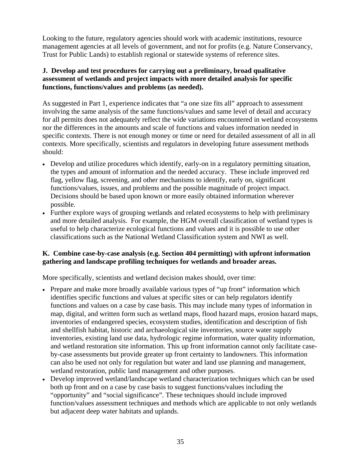Looking to the future, regulatory agencies should work with academic institutions, resource management agencies at all levels of government, and not for profits (e.g. Nature Conservancy, Trust for Public Lands) to establish regional or statewide systems of reference sites.

# **J. Develop and test procedures for carrying out a preliminary, broad qualitative assessment of wetlands and project impacts with more detailed analysis for specific functions, functions/values and problems (as needed).**

As suggested in Part 1, experience indicates that "a one size fits all" approach to assessment involving the same analysis of the same functions/values and same level of detail and accuracy for all permits does not adequately reflect the wide variations encountered in wetland ecosystems nor the differences in the amounts and scale of functions and values information needed in specific contexts. There is not enough money or time or need for detailed assessment of all in all contexts. More specifically, scientists and regulators in developing future assessment methods should:

- Develop and utilize procedures which identify, early-on in a regulatory permitting situation, the types and amount of information and the needed accuracy. These include improved red flag, yellow flag, screening, and other mechanisms to identify, early on, significant functions/values, issues, and problems and the possible magnitude of project impact. Decisions should be based upon known or more easily obtained information wherever possible.
- Further explore ways of grouping wetlands and related ecosystems to help with preliminary and more detailed analysis. For example, the HGM overall classification of wetland types is useful to help characterize ecological functions and values and it is possible to use other classifications such as the National Wetland Classification system and NWI as well.

# **K. Combine case-by-case analysis (e.g. Section 404 permitting) with upfront information gathering and landscape profiling techniques for wetlands and broader areas.**

More specifically, scientists and wetland decision makes should, over time:

- Prepare and make more broadly available various types of "up front" information which identifies specific functions and values at specific sites or can help regulators identify functions and values on a case by case basis. This may include many types of information in map, digital, and written form such as wetland maps, flood hazard maps, erosion hazard maps, inventories of endangered species, ecosystem studies, identification and description of fish and shellfish habitat, historic and archaeological site inventories, source water supply inventories, existing land use data, hydrologic regime information, water quality information, and wetland restoration site information. This up front information cannot only facilitate caseby-case assessments but provide greater up front certainty to landowners. This information can also be used not only for regulation but water and land use planning and management, wetland restoration, public land management and other purposes.
- Develop improved wetland/landscape wetland characterization techniques which can be used both up front and on a case by case basis to suggest functions/values including the "opportunity" and "social significance". These techniques should include improved function/values assessment techniques and methods which are applicable to not only wetlands but adjacent deep water habitats and uplands.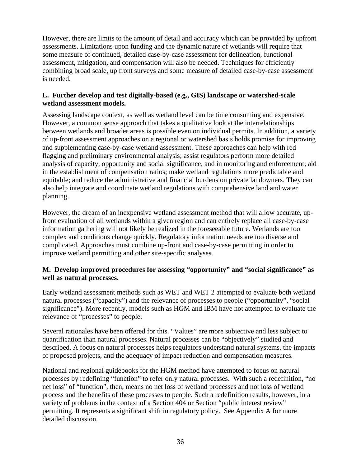However, there are limits to the amount of detail and accuracy which can be provided by upfront assessments. Limitations upon funding and the dynamic nature of wetlands will require that some measure of continued, detailed case-by-case assessment for delineation, functional assessment, mitigation, and compensation will also be needed. Techniques for efficiently combining broad scale, up front surveys and some measure of detailed case-by-case assessment is needed.

# **L. Further develop and test digitally-based (e.g., GIS) landscape or watershed-scale wetland assessment models.**

Assessing landscape context, as well as wetland level can be time consuming and expensive. However, a common sense approach that takes a qualitative look at the interrelationships between wetlands and broader areas is possible even on individual permits. In addition, a variety of up-front assessment approaches on a regional or watershed basis holds promise for improving and supplementing case-by-case wetland assessment. These approaches can help with red flagging and preliminary environmental analysis; assist regulators perform more detailed analysis of capacity, opportunity and social significance, and in monitoring and enforcement; aid in the establishment of compensation ratios; make wetland regulations more predictable and equitable; and reduce the administrative and financial burdens on private landowners. They can also help integrate and coordinate wetland regulations with comprehensive land and water planning.

However, the dream of an inexpensive wetland assessment method that will allow accurate, upfront evaluation of all wetlands within a given region and can entirely replace all case-by-case information gathering will not likely be realized in the foreseeable future. Wetlands are too complex and conditions change quickly. Regulatory information needs are too diverse and complicated. Approaches must combine up-front and case-by-case permitting in order to improve wetland permitting and other site-specific analyses.

# **M. Develop improved procedures for assessing "opportunity" and "social significance" as well as natural processes.**

Early wetland assessment methods such as WET and WET 2 attempted to evaluate both wetland natural processes ("capacity") and the relevance of processes to people ("opportunity", "social significance"). More recently, models such as HGM and IBM have not attempted to evaluate the relevance of "processes" to people.

Several rationales have been offered for this. "Values" are more subjective and less subject to quantification than natural processes. Natural processes can be "objectively" studied and described. A focus on natural processes helps regulators understand natural systems, the impacts of proposed projects, and the adequacy of impact reduction and compensation measures.

National and regional guidebooks for the HGM method have attempted to focus on natural processes by redefining "function" to refer only natural processes. With such a redefinition, "no net loss" of "function", then, means no net loss of wetland processes and not loss of wetland process and the benefits of these processes to people. Such a redefinition results, however, in a variety of problems in the context of a Section 404 or Section "public interest review" permitting. It represents a significant shift in regulatory policy. See Appendix A for more detailed discussion.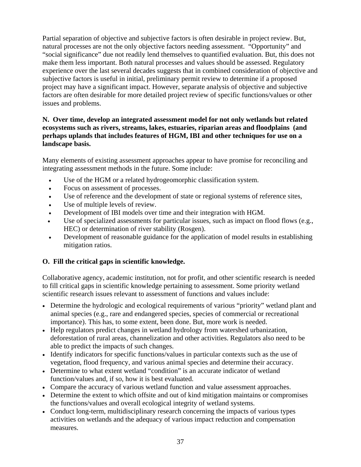Partial separation of objective and subjective factors is often desirable in project review. But, natural processes are not the only objective factors needing assessment. "Opportunity" and "social significance" due not readily lend themselves to quantified evaluation. But, this does not make them less important. Both natural processes and values should be assessed. Regulatory experience over the last several decades suggests that in combined consideration of objective and subjective factors is useful in initial, preliminary permit review to determine if a proposed project may have a significant impact. However, separate analysis of objective and subjective factors are often desirable for more detailed project review of specific functions/values or other issues and problems.

## **N. Over time, develop an integrated assessment model for not only wetlands but related ecosystems such as rivers, streams, lakes, estuaries, riparian areas and floodplains (and perhaps uplands that includes features of HGM, IBI and other techniques for use on a landscape basis.**

Many elements of existing assessment approaches appear to have promise for reconciling and integrating assessment methods in the future. Some include:

- Use of the HGM or a related hydrogeomorphic classification system.
- Focus on assessment of processes.
- Use of reference and the development of state or regional systems of reference sites,
- Use of multiple levels of review.
- Development of IBI models over time and their integration with HGM.
- Use of specialized assessments for particular issues, such as impact on flood flows (e.g., HEC) or determination of river stability (Rosgen).
- Development of reasonable guidance for the application of model results in establishing mitigation ratios.

# **O. Fill the critical gaps in scientific knowledge.**

Collaborative agency, academic institution, not for profit, and other scientific research is needed to fill critical gaps in scientific knowledge pertaining to assessment. Some priority wetland scientific research issues relevant to assessment of functions and values include:

- Determine the hydrologic and ecological requirements of various "priority" wetland plant and animal species (e.g., rare and endangered species, species of commercial or recreational importance). This has, to some extent, been done. But, more work is needed.
- Help regulators predict changes in wetland hydrology from watershed urbanization, deforestation of rural areas, channelization and other activities. Regulators also need to be able to predict the impacts of such changes.
- Identify indicators for specific functions/values in particular contexts such as the use of vegetation, flood frequency, and various animal species and determine their accuracy.
- Determine to what extent wetland "condition" is an accurate indicator of wetland function/values and, if so, how it is best evaluated.
- Compare the accuracy of various wetland function and value assessment approaches.
- Determine the extent to which offsite and out of kind mitigation maintains or compromises the functions/values and overall ecological integrity of wetland systems.
- Conduct long-term, multidisciplinary research concerning the impacts of various types activities on wetlands and the adequacy of various impact reduction and compensation measures.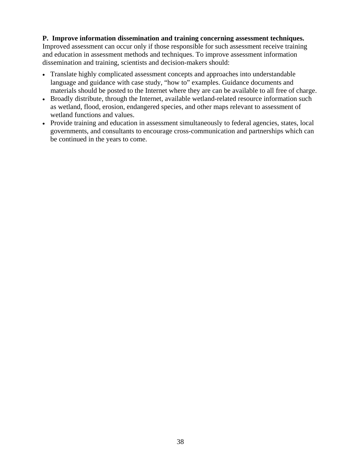#### **P. Improve information dissemination and training concerning assessment techniques.**

Improved assessment can occur only if those responsible for such assessment receive training and education in assessment methods and techniques. To improve assessment information dissemination and training, scientists and decision-makers should:

- Translate highly complicated assessment concepts and approaches into understandable language and guidance with case study, "how to" examples. Guidance documents and materials should be posted to the Internet where they are can be available to all free of charge.
- Broadly distribute, through the Internet, available wetland-related resource information such as wetland, flood, erosion, endangered species, and other maps relevant to assessment of wetland functions and values.
- Provide training and education in assessment simultaneously to federal agencies, states, local governments, and consultants to encourage cross-communication and partnerships which can be continued in the years to come.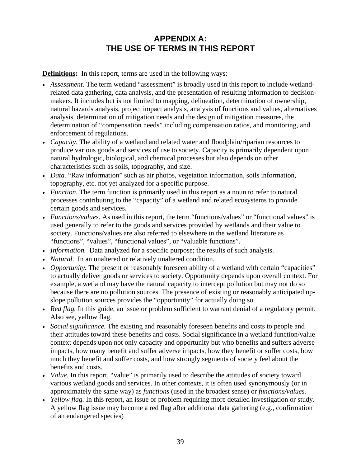# **APPENDIX A: THE USE OF TERMS IN THIS REPORT**

**Definitions:** In this report, terms are used in the following ways:

- *Assessment*. The term wetland "assessment" is broadly used in this report to include wetlandrelated data gathering, data analysis, and the presentation of resulting information to decisionmakers. It includes but is not limited to mapping, delineation, determination of ownership, natural hazards analysis, project impact analysis, analysis of functions and values, alternatives analysis, determination of mitigation needs and the design of mitigation measures, the determination of "compensation needs" including compensation ratios, and monitoring, and enforcement of regulations.
- *Capacity*. The ability of a wetland and related water and floodplain/riparian resources to produce various goods and services of use to society. Capacity is primarily dependent upon natural hydrologic, biological, and chemical processes but also depends on other characteristics such as soils, topography, and size.
- *Data.* "Raw information" such as air photos, vegetation information, soils information, topography, etc. not yet analyzed for a specific purpose.
- *Function*. The term function is primarily used in this report as a noun to refer to natural processes contributing to the "capacity" of a wetland and related ecosystems to provide certain goods and services.
- *Functions/values.* As used in this report, the term "functions/values" or "functional values" is used generally to refer to the goods and services provided by wetlands and their value to society. Functions/values are also referred to elsewhere in the wetland literature as "functions", "values", "functional values", or "valuable functions".
- *Information*. Data analyzed for a specific purpose; the results of such analysis.
- *Natural.* In an unaltered or relatively unaltered condition.
- *Opportunity*. The present or reasonably foreseen ability of a wetland with certain "capacities" to actually deliver goods or services to society. Opportunity depends upon overall context. For example, a wetland may have the natural capacity to intercept pollution but may not do so because there are no pollution sources. The presence of existing or reasonably anticipated upslope pollution sources provides the "opportunity" for actually doing so.
- *Red flag.* In this guide, an issue or problem sufficient to warrant denial of a regulatory permit. Also see, yellow flag.
- *Social significance*. The existing and reasonably foreseen benefits and costs to people and their attitudes toward these benefits and costs. Social significance in a wetland function/value context depends upon not only capacity and opportunity but who benefits and suffers adverse impacts, how many benefit and suffer adverse impacts, how they benefit or suffer costs, how much they benefit and suffer costs, and how strongly segments of society feel about the benefits and costs.
- *Value.* In this report, "value" is primarily used to describe the attitudes of society toward various wetland goods and services. In other contexts, it is often used synonymously (or in approximately the same way) as *functions* (used in the broadest sense) or *functions/values.*
- *Yellow flag.* In this report, an issue or problem requiring more detailed investigation or study. A yellow flag issue may become a red flag after additional data gathering (e.g., confirmation of an endangered species)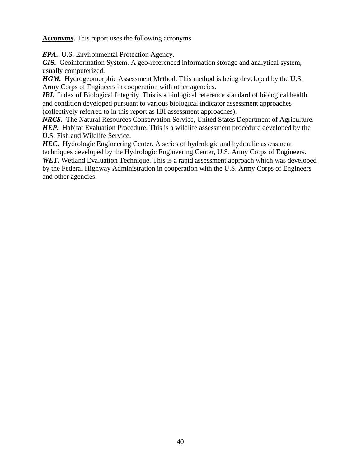**Acronyms.** This report uses the following acronyms.

*EPA***.** U.S. Environmental Protection Agency.

*GI***S.** Geoinformation System. A geo-referenced information storage and analytical system, usually computerized.

*HGM.* Hydrogeomorphic Assessment Method. This method is being developed by the U.S. Army Corps of Engineers in cooperation with other agencies.

*IBI*. Index of Biological Integrity. This is a biological reference standard of biological health and condition developed pursuant to various biological indicator assessment approaches (collectively referred to in this report as IBI assessment approaches).

*NRCS***.** The Natural Resources Conservation Service, United States Department of Agriculture. *HEP.* Habitat Evaluation Procedure. This is a wildlife assessment procedure developed by the U.S. Fish and Wildlife Service.

**HEC**. Hydrologic Engineering Center. A series of hydrologic and hydraulic assessment techniques developed by the Hydrologic Engineering Center, U.S. Army Corps of Engineers. *WET***.** Wetland Evaluation Technique. This is a rapid assessment approach which was developed by the Federal Highway Administration in cooperation with the U.S. Army Corps of Engineers and other agencies.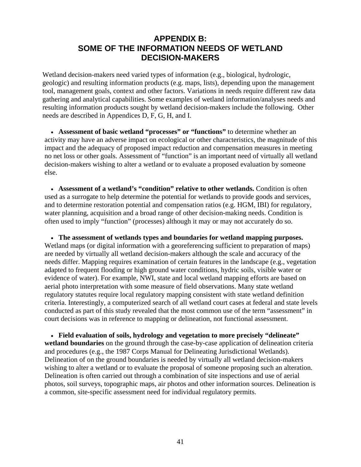# **APPENDIX B: SOME OF THE INFORMATION NEEDS OF WETLAND DECISION-MAKERS**

Wetland decision-makers need varied types of information (e.g., biological, hydrologic, geologic) and resulting information products (e.g. maps, lists), depending upon the management tool, management goals, context and other factors. Variations in needs require different raw data gathering and analytical capabilities. Some examples of wetland information/analyses needs and resulting information products sought by wetland decision-makers include the following. Other needs are described in Appendices D, F, G, H, and I.

• **Assessment of basic wetland "processes" or "functions"** to determine whether an activity may have an adverse impact on ecological or other characteristics, the magnitude of this impact and the adequacy of proposed impact reduction and compensation measures in meeting no net loss or other goals. Assessment of "function" is an important need of virtually all wetland decision-makers wishing to alter a wetland or to evaluate a proposed evaluation by someone else.

• **Assessment of a wetland's "condition" relative to other wetlands.** Condition is often used as a surrogate to help determine the potential for wetlands to provide goods and services, and to determine restoration potential and compensation ratios (e.g. HGM, IBI) for regulatory, water planning, acquisition and a broad range of other decision-making needs. Condition is often used to imply "function" (processes) although it may or may not accurately do so.

• **The assessment of wetlands types and boundaries for wetland mapping purposes.**  Wetland maps (or digital information with a georeferencing sufficient to preparation of maps) are needed by virtually all wetland decision-makers although the scale and accuracy of the needs differ. Mapping requires examination of certain features in the landscape (e.g., vegetation adapted to frequent flooding or high ground water conditions, hydric soils, visible water or evidence of water). For example, NWI, state and local wetland mapping efforts are based on aerial photo interpretation with some measure of field observations. Many state wetland regulatory statutes require local regulatory mapping consistent with state wetland definition criteria. Interestingly, a computerized search of all wetland court cases at federal and state levels conducted as part of this study revealed that the most common use of the term "assessment" in court decisions was in reference to mapping or delineation, not functional assessment.

• **Field evaluation of soils, hydrology and vegetation to more precisely "delineate" wetland boundaries** on the ground through the case-by-case application of delineation criteria and procedures (e.g., the 1987 Corps Manual for Delineating Jurisdictional Wetlands). Delineation of on the ground boundaries is needed by virtually all wetland decision-makers wishing to alter a wetland or to evaluate the proposal of someone proposing such an alteration. Delineation is often carried out through a combination of site inspections and use of aerial photos, soil surveys, topographic maps, air photos and other information sources. Delineation is a common, site-specific assessment need for individual regulatory permits.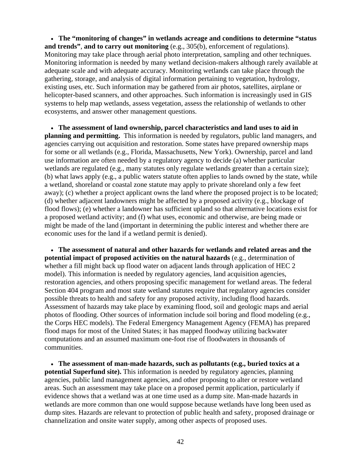• **The "monitoring of changes" in wetlands acreage and conditions to determine "status and trends"**, **and to carry out monitoring** (e.g., 305(b), enforcement of regulations). Monitoring may take place through aerial photo interpretation, sampling and other techniques. Monitoring information is needed by many wetland decision-makers although rarely available at adequate scale and with adequate accuracy. Monitoring wetlands can take place through the gathering, storage, and analysis of digital information pertaining to vegetation, hydrology, existing uses, etc. Such information may be gathered from air photos, satellites, airplane or helicopter-based scanners, and other approaches. Such information is increasingly used in GIS systems to help map wetlands, assess vegetation, assess the relationship of wetlands to other ecosystems, and answer other management questions.

• **The assessment of land ownership, parcel characteristics and land uses to aid in planning and permitting.** This information is needed by regulators, public land managers, and agencies carrying out acquisition and restoration. Some states have prepared ownership maps for some or all wetlands (e.g., Florida, Massachusetts, New York). Ownership, parcel and land use information are often needed by a regulatory agency to decide (a) whether particular wetlands are regulated (e.g., many statutes only regulate wetlands greater than a certain size); (b) what laws apply (e.g., a public waters statute often applies to lands owned by the state, while a wetland, shoreland or coastal zone statute may apply to private shoreland only a few feet away); (c) whether a project applicant owns the land where the proposed project is to be located; (d) whether adjacent landowners might be affected by a proposed activity (e.g., blockage of flood flows); (e) whether a landowner has sufficient upland so that alternative locations exist for a proposed wetland activity; and (f) what uses, economic and otherwise, are being made or might be made of the land (important in determining the public interest and whether there are economic uses for the land if a wetland permit is denied).

• **The assessment of natural and other hazards for wetlands and related areas and the potential impact of proposed activities on the natural hazards** (e.g., determination of whether a fill might back up flood water on adjacent lands through application of HEC 2 model). This information is needed by regulatory agencies, land acquisition agencies, restoration agencies, and others proposing specific management for wetland areas. The federal Section 404 program and most state wetland statutes require that regulatory agencies consider possible threats to health and safety for any proposed activity, including flood hazards. Assessment of hazards may take place by examining flood, soil and geologic maps and aerial photos of flooding. Other sources of information include soil boring and flood modeling (e.g., the Corps HEC models). The Federal Emergency Management Agency (FEMA) has prepared flood maps for most of the United States; it has mapped floodway utilizing backwater computations and an assumed maximum one-foot rise of floodwaters in thousands of communities.

• **The assessment of man-made hazards, such as pollutants (e.g., buried toxics at a potential Superfund site).** This information is needed by regulatory agencies, planning agencies, public land management agencies, and other proposing to alter or restore wetland areas. Such an assessment may take place on a proposed permit application, particularly if evidence shows that a wetland was at one time used as a dump site. Man-made hazards in wetlands are more common than one would suppose because wetlands have long been used as dump sites. Hazards are relevant to protection of public health and safety, proposed drainage or channelization and onsite water supply, among other aspects of proposed uses.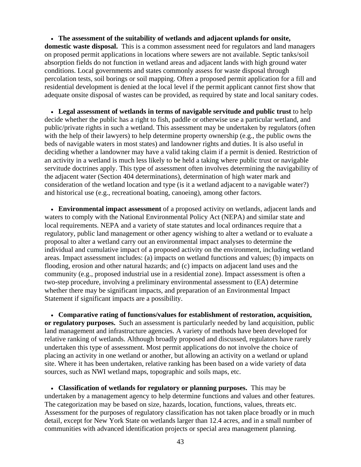• **The assessment of the suitability of wetlands and adjacent uplands for onsite, domestic waste disposal.** This is a common assessment need for regulators and land managers on proposed permit applications in locations where sewers are not available. Septic tanks/soil absorption fields do not function in wetland areas and adjacent lands with high ground water conditions. Local governments and states commonly assess for waste disposal through percolation tests, soil borings or soil mapping. Often a proposed permit application for a fill and residential development is denied at the local level if the permit applicant cannot first show that adequate onsite disposal of wastes can be provided, as required by state and local sanitary codes.

• **Legal assessment of wetlands in terms of navigable servitude and public trust** to help decide whether the public has a right to fish, paddle or otherwise use a particular wetland, and public/private rights in such a wetland. This assessment may be undertaken by regulators (often with the help of their lawyers) to help determine property ownership (e.g., the public owns the beds of navigable waters in most states) and landowner rights and duties. It is also useful in deciding whether a landowner may have a valid taking claim if a permit is denied. Restriction of an activity in a wetland is much less likely to be held a taking where public trust or navigable servitude doctrines apply. This type of assessment often involves determining the navigability of the adjacent water (Section 404 determinations), determination of high water mark and consideration of the wetland location and type (is it a wetland adjacent to a navigable water?) and historical use (e.g., recreational boating, canoeing), among other factors.

• **Environmental impact assessment** of a proposed activity on wetlands, adjacent lands and waters to comply with the National Environmental Policy Act (NEPA) and similar state and local requirements. NEPA and a variety of state statutes and local ordinances require that a regulatory, public land management or other agency wishing to alter a wetland or to evaluate a proposal to alter a wetland carry out an environmental impact analyses to determine the individual and cumulative impact of a proposed activity on the environment, including wetland areas. Impact assessment includes: (a) impacts on wetland functions and values; (b) impacts on flooding, erosion and other natural hazards; and (c) impacts on adjacent land uses and the community (e.g., proposed industrial use in a residential zone). Impact assessment is often a two-step procedure, involving a preliminary environmental assessment to (EA) determine whether there may be significant impacts, and preparation of an Environmental Impact Statement if significant impacts are a possibility.

• **Comparative rating of functions/values for establishment of restoration, acquisition, or regulatory purposes.** Such an assessment is particularly needed by land acquisition, public land management and infrastructure agencies. A variety of methods have been developed for relative ranking of wetlands. Although broadly proposed and discussed, regulators have rarely undertaken this type of assessment. Most permit applications do not involve the choice of placing an activity in one wetland or another, but allowing an activity on a wetland or upland site. Where it has been undertaken, relative ranking has been based on a wide variety of data sources, such as NWI wetland maps, topographic and soils maps, etc.

• **Classification of wetlands for regulatory or planning purposes.** This may be undertaken by a management agency to help determine functions and values and other features. The categorization may be based on size, hazards, location, functions, values, threats etc. Assessment for the purposes of regulatory classification has not taken place broadly or in much detail, except for New York State on wetlands larger than 12.4 acres, and in a small number of communities with advanced identification projects or special area management planning.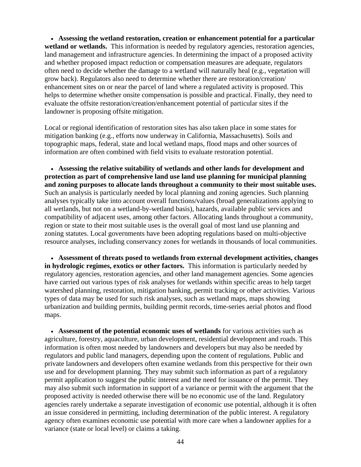• **Assessing the wetland restoration, creation or enhancement potential for a particular**  wetland or wetlands. This information is needed by regulatory agencies, restoration agencies, land management and infrastructure agencies. In determining the impact of a proposed activity and whether proposed impact reduction or compensation measures are adequate, regulators often need to decide whether the damage to a wetland will naturally heal (e.g., vegetation will grow back). Regulators also need to determine whether there are restoration/creation/ enhancement sites on or near the parcel of land where a regulated activity is proposed. This helps to determine whether onsite compensation is possible and practical. Finally, they need to evaluate the offsite restoration/creation/enhancement potential of particular sites if the landowner is proposing offsite mitigation.

Local or regional identification of restoration sites has also taken place in some states for mitigation banking (e.g., efforts now underway in California, Massachusetts). Soils and topographic maps, federal, state and local wetland maps, flood maps and other sources of information are often combined with field visits to evaluate restoration potential.

• **Assessing the relative suitability of wetlands and other lands for development and protection as part of comprehensive land use land use planning for municipal planning and zoning purposes to allocate lands throughout a community to their most suitable uses.** Such an analysis is particularly needed by local planning and zoning agencies. Such planning analyses typically take into account overall functions/values (broad generalizations applying to all wetlands, but not on a wetland-by-wetland basis), hazards, available public services and compatibility of adjacent uses, among other factors. Allocating lands throughout a community, region or state to their most suitable uses is the overall goal of most land use planning and zoning statutes. Local governments have been adopting regulations based on multi-objective resource analyses, including conservancy zones for wetlands in thousands of local communities.

• **Assessment of threats posed to wetlands from external development activities, changes in hydrologic regimes, exotics or other factors.** This information is particularly needed by regulatory agencies, restoration agencies, and other land management agencies. Some agencies have carried out various types of risk analyses for wetlands within specific areas to help target watershed planning, restoration, mitigation banking, permit tracking or other activities. Various types of data may be used for such risk analyses, such as wetland maps, maps showing urbanization and building permits, building permit records, time-series aerial photos and flood maps.

• **Assessment of the potential economic uses of wetlands** for various activities such as agriculture, forestry, aquaculture, urban development, residential development and roads. This information is often most needed by landowners and developers but may also be needed by regulators and public land managers, depending upon the content of regulations. Public and private landowners and developers often examine wetlands from this perspective for their own use and for development planning. They may submit such information as part of a regulatory permit application to suggest the public interest and the need for issuance of the permit. They may also submit such information in support of a variance or permit with the argument that the proposed activity is needed otherwise there will be no economic use of the land. Regulatory agencies rarely undertake a separate investigation of economic use potential, although it is often an issue considered in permitting, including determination of the public interest. A regulatory agency often examines economic use potential with more care when a landowner applies for a variance (state or local level) or claims a taking.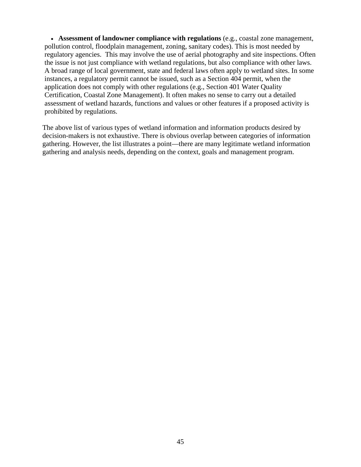• **Assessment of landowner compliance with regulations** (e.g., coastal zone management, pollution control, floodplain management, zoning, sanitary codes). This is most needed by regulatory agencies. This may involve the use of aerial photography and site inspections. Often the issue is not just compliance with wetland regulations, but also compliance with other laws. A broad range of local government, state and federal laws often apply to wetland sites. In some instances, a regulatory permit cannot be issued, such as a Section 404 permit, when the application does not comply with other regulations (e.g., Section 401 Water Quality Certification, Coastal Zone Management). It often makes no sense to carry out a detailed assessment of wetland hazards, functions and values or other features if a proposed activity is prohibited by regulations.

The above list of various types of wetland information and information products desired by decision-makers is not exhaustive. There is obvious overlap between categories of information gathering. However, the list illustrates a point—there are many legitimate wetland information gathering and analysis needs, depending on the context, goals and management program.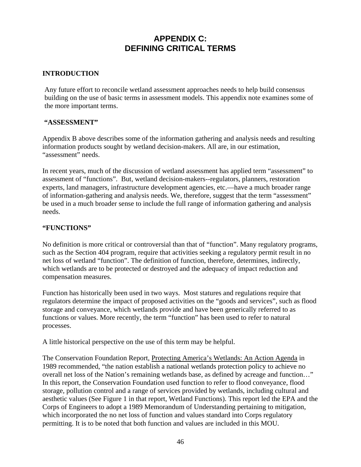# **APPENDIX C: DEFINING CRITICAL TERMS**

# **INTRODUCTION**

Any future effort to reconcile wetland assessment approaches needs to help build consensus building on the use of basic terms in assessment models. This appendix note examines some of the more important terms.

#### **"ASSESSMENT"**

Appendix B above describes some of the information gathering and analysis needs and resulting information products sought by wetland decision-makers. All are, in our estimation, "assessment" needs.

In recent years, much of the discussion of wetland assessment has applied term "assessment" to assessment of "functions". But, wetland decision-makers--regulators, planners, restoration experts, land managers, infrastructure development agencies, etc.—have a much broader range of information-gathering and analysis needs. We, therefore, suggest that the term "assessment" be used in a much broader sense to include the full range of information gathering and analysis needs.

#### **"FUNCTIONS"**

No definition is more critical or controversial than that of "function". Many regulatory programs, such as the Section 404 program, require that activities seeking a regulatory permit result in no net loss of wetland "function". The definition of function, therefore, determines, indirectly, which wetlands are to be protected or destroyed and the adequacy of impact reduction and compensation measures.

Function has historically been used in two ways. Most statures and regulations require that regulators determine the impact of proposed activities on the "goods and services", such as flood storage and conveyance, which wetlands provide and have been generically referred to as functions or values. More recently, the term "function" has been used to refer to natural processes.

A little historical perspective on the use of this term may be helpful.

The Conservation Foundation Report, Protecting America's Wetlands: An Action Agenda in 1989 recommended, "the nation establish a national wetlands protection policy to achieve no overall net loss of the Nation's remaining wetlands base, as defined by acreage and function…" In this report, the Conservation Foundation used function to refer to flood conveyance, flood storage, pollution control and a range of services provided by wetlands, including cultural and aesthetic values (See Figure 1 in that report, Wetland Functions). This report led the EPA and the Corps of Engineers to adopt a 1989 Memorandum of Understanding pertaining to mitigation, which incorporated the no net loss of function and values standard into Corps regulatory permitting. It is to be noted that both function and values are included in this MOU.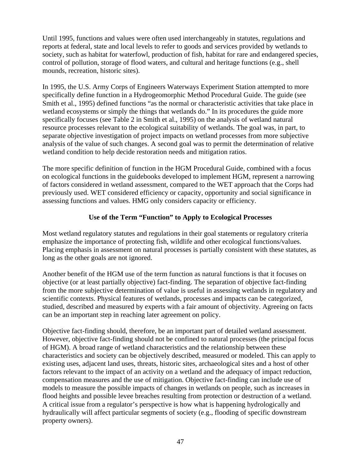Until 1995, functions and values were often used interchangeably in statutes, regulations and reports at federal, state and local levels to refer to goods and services provided by wetlands to society, such as habitat for waterfowl, production of fish, habitat for rare and endangered species, control of pollution, storage of flood waters, and cultural and heritage functions (e.g., shell mounds, recreation, historic sites).

In 1995, the U.S. Army Corps of Engineers Waterways Experiment Station attempted to more specifically define function in a Hydrogeomorphic Method Procedural Guide. The guide (see Smith et al., 1995) defined functions "as the normal or characteristic activities that take place in wetland ecosystems or simply the things that wetlands do." In its procedures the guide more specifically focuses (see Table 2 in Smith et al., 1995) on the analysis of wetland natural resource processes relevant to the ecological suitability of wetlands. The goal was, in part, to separate objective investigation of project impacts on wetland processes from more subjective analysis of the value of such changes. A second goal was to permit the determination of relative wetland condition to help decide restoration needs and mitigation ratios.

The more specific definition of function in the HGM Procedural Guide, combined with a focus on ecological functions in the guidebooks developed to implement HGM, represent a narrowing of factors considered in wetland assessment, compared to the WET approach that the Corps had previously used. WET considered efficiency or capacity, opportunity and social significance in assessing functions and values. HMG only considers capacity or efficiency.

# **Use of the Term "Function" to Apply to Ecological Processes**

Most wetland regulatory statutes and regulations in their goal statements or regulatory criteria emphasize the importance of protecting fish, wildlife and other ecological functions/values. Placing emphasis in assessment on natural processes is partially consistent with these statutes, as long as the other goals are not ignored.

Another benefit of the HGM use of the term function as natural functions is that it focuses on objective (or at least partially objective) fact-finding. The separation of objective fact-finding from the more subjective determination of value is useful in assessing wetlands in regulatory and scientific contexts. Physical features of wetlands, processes and impacts can be categorized, studied, described and measured by experts with a fair amount of objectivity. Agreeing on facts can be an important step in reaching later agreement on policy.

Objective fact-finding should, therefore, be an important part of detailed wetland assessment. However, objective fact-finding should not be confined to natural processes (the principal focus of HGM). A broad range of wetland characteristics and the relationship between these characteristics and society can be objectively described, measured or modeled. This can apply to existing uses, adjacent land uses, threats, historic sites, archaeological sites and a host of other factors relevant to the impact of an activity on a wetland and the adequacy of impact reduction, compensation measures and the use of mitigation. Objective fact-finding can include use of models to measure the possible impacts of changes in wetlands on people, such as increases in flood heights and possible levee breaches resulting from protection or destruction of a wetland. A critical issue from a regulator's perspective is how what is happening hydrologically and hydraulically will affect particular segments of society (e.g., flooding of specific downstream property owners).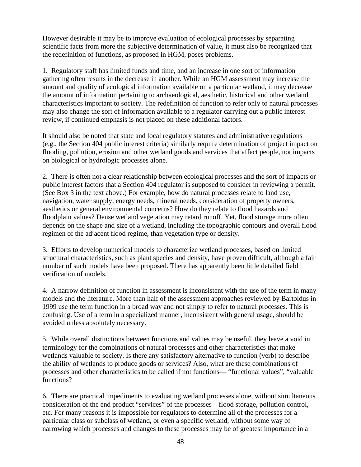However desirable it may be to improve evaluation of ecological processes by separating scientific facts from more the subjective determination of value, it must also be recognized that the redefinition of functions, as proposed in HGM, poses problems.

1. Regulatory staff has limited funds and time, and an increase in one sort of information gathering often results in the decrease in another. While an HGM assessment may increase the amount and quality of ecological information available on a particular wetland, it may decrease the amount of information pertaining to archaeological, aesthetic, historical and other wetland characteristics important to society. The redefinition of function to refer only to natural processes may also change the sort of information available to a regulator carrying out a public interest review, if continued emphasis is not placed on these additional factors.

It should also be noted that state and local regulatory statutes and administrative regulations (e.g., the Section 404 public interest criteria) similarly require determination of project impact on flooding, pollution, erosion and other wetland goods and services that affect people, not impacts on biological or hydrologic processes alone.

2. There is often not a clear relationship between ecological processes and the sort of impacts or public interest factors that a Section 404 regulator is supposed to consider in reviewing a permit. (See Box 3 in the text above.) For example, how do natural processes relate to land use, navigation, water supply, energy needs, mineral needs, consideration of property owners, aesthetics or general environmental concerns? How do they relate to flood hazards and floodplain values? Dense wetland vegetation may retard runoff. Yet, flood storage more often depends on the shape and size of a wetland, including the topographic contours and overall flood regimen of the adjacent flood regime, than vegetation type or density.

3. Efforts to develop numerical models to characterize wetland processes, based on limited structural characteristics, such as plant species and density, have proven difficult, although a fair number of such models have been proposed. There has apparently been little detailed field verification of models.

4. A narrow definition of function in assessment is inconsistent with the use of the term in many models and the literature. More than half of the assessment approaches reviewed by Bartoldus in 1999 use the term function in a broad way and not simply to refer to natural processes. This is confusing. Use of a term in a specialized manner, inconsistent with general usage, should be avoided unless absolutely necessary.

5. While overall distinctions between functions and values may be useful, they leave a void in terminology for the combinations of natural processes and other characteristics that make wetlands valuable to society. Is there any satisfactory alternative to function (verb) to describe the ability of wetlands to produce goods or services? Also, what are these combinations of processes and other characteristics to be called if not functions— "functional values", "valuable functions?

6. There are practical impediments to evaluating wetland processes alone, without simultaneous consideration of the end product "services" of the processes—flood storage, pollution control, etc. For many reasons it is impossible for regulators to determine all of the processes for a particular class or subclass of wetland, or even a specific wetland, without some way of narrowing which processes and changes to these processes may be of greatest importance in a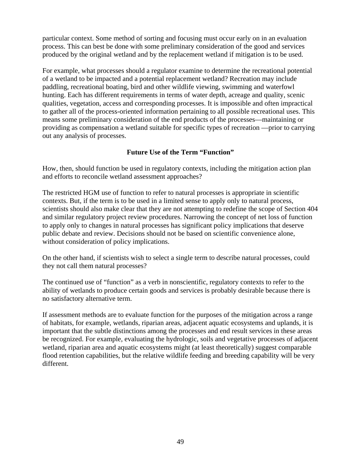particular context. Some method of sorting and focusing must occur early on in an evaluation process. This can best be done with some preliminary consideration of the good and services produced by the original wetland and by the replacement wetland if mitigation is to be used.

For example, what processes should a regulator examine to determine the recreational potential of a wetland to be impacted and a potential replacement wetland? Recreation may include paddling, recreational boating, bird and other wildlife viewing, swimming and waterfowl hunting. Each has different requirements in terms of water depth, acreage and quality, scenic qualities, vegetation, access and corresponding processes. It is impossible and often impractical to gather all of the process-oriented information pertaining to all possible recreational uses. This means some preliminary consideration of the end products of the processes—maintaining or providing as compensation a wetland suitable for specific types of recreation —prior to carrying out any analysis of processes.

# **Future Use of the Term "Function"**

How, then, should function be used in regulatory contexts, including the mitigation action plan and efforts to reconcile wetland assessment approaches?

The restricted HGM use of function to refer to natural processes is appropriate in scientific contexts. But, if the term is to be used in a limited sense to apply only to natural process, scientists should also make clear that they are not attempting to redefine the scope of Section 404 and similar regulatory project review procedures. Narrowing the concept of net loss of function to apply only to changes in natural processes has significant policy implications that deserve public debate and review. Decisions should not be based on scientific convenience alone, without consideration of policy implications.

On the other hand, if scientists wish to select a single term to describe natural processes, could they not call them natural processes?

The continued use of "function" as a verb in nonscientific, regulatory contexts to refer to the ability of wetlands to produce certain goods and services is probably desirable because there is no satisfactory alternative term.

If assessment methods are to evaluate function for the purposes of the mitigation across a range of habitats, for example, wetlands, riparian areas, adjacent aquatic ecosystems and uplands, it is important that the subtle distinctions among the processes and end result services in these areas be recognized. For example, evaluating the hydrologic, soils and vegetative processes of adjacent wetland, riparian area and aquatic ecosystems might (at least theoretically) suggest comparable flood retention capabilities, but the relative wildlife feeding and breeding capability will be very different.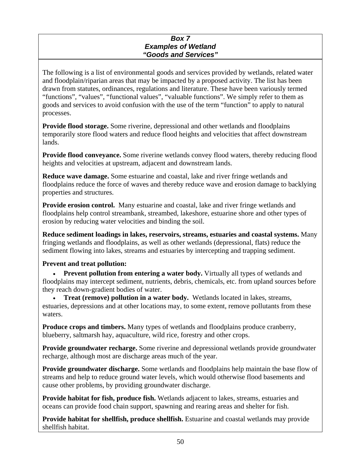#### *Box 7 Examples of Wetland "Goods and Services"*

The following is a list of environmental goods and services provided by wetlands, related water and floodplain/riparian areas that may be impacted by a proposed activity. The list has been drawn from statutes, ordinances, regulations and literature. These have been variously termed "functions", "values", "functional values", "valuable functions". We simply refer to them as goods and services to avoid confusion with the use of the term "function" to apply to natural processes.

**Provide flood storage.** Some riverine, depressional and other wetlands and floodplains temporarily store flood waters and reduce flood heights and velocities that affect downstream lands.

**Provide flood conveyance.** Some riverine wetlands convey flood waters, thereby reducing flood heights and velocities at upstream, adjacent and downstream lands.

**Reduce wave damage.** Some estuarine and coastal, lake and river fringe wetlands and floodplains reduce the force of waves and thereby reduce wave and erosion damage to backlying properties and structures.

**Provide erosion control.** Many estuarine and coastal, lake and river fringe wetlands and floodplains help control streambank, streambed, lakeshore, estuarine shore and other types of erosion by reducing water velocities and binding the soil.

**Reduce sediment loadings in lakes, reservoirs, streams, estuaries and coastal systems.** Many fringing wetlands and floodplains, as well as other wetlands (depressional, flats) reduce the sediment flowing into lakes, streams and estuaries by intercepting and trapping sediment.

# **Prevent and treat pollution:**

• **Prevent pollution from entering a water body.** Virtually all types of wetlands and floodplains may intercept sediment, nutrients, debris, chemicals, etc. from upland sources before they reach down-gradient bodies of water.

• **Treat (remove) pollution in a water body.** Wetlands located in lakes, streams, estuaries, depressions and at other locations may, to some extent, remove pollutants from these waters.

**Produce crops and timbers.** Many types of wetlands and floodplains produce cranberry, blueberry, saltmarsh hay, aquaculture, wild rice, forestry and other crops.

**Provide groundwater recharge.** Some riverine and depressional wetlands provide groundwater recharge, although most are discharge areas much of the year.

**Provide groundwater discharge.** Some wetlands and floodplains help maintain the base flow of streams and help to reduce ground water levels, which would otherwise flood basements and cause other problems, by providing groundwater discharge.

**Provide habitat for fish, produce fish.** Wetlands adjacent to lakes, streams, estuaries and oceans can provide food chain support, spawning and rearing areas and shelter for fish.

**Provide habitat for shellfish, produce shellfish.** Estuarine and coastal wetlands may provide shellfish habitat.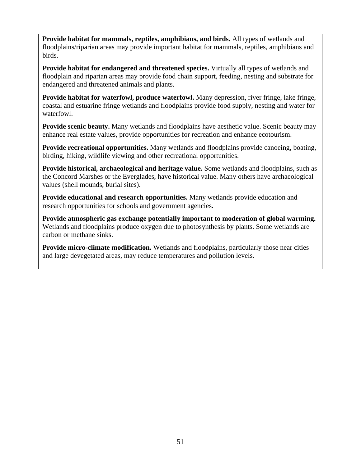**Provide habitat for mammals, reptiles, amphibians, and birds.** All types of wetlands and floodplains/riparian areas may provide important habitat for mammals, reptiles, amphibians and birds.

**Provide habitat for endangered and threatened species.** Virtually all types of wetlands and floodplain and riparian areas may provide food chain support, feeding, nesting and substrate for endangered and threatened animals and plants.

**Provide habitat for waterfowl, produce waterfowl.** Many depression, river fringe, lake fringe, coastal and estuarine fringe wetlands and floodplains provide food supply, nesting and water for waterfowl.

**Provide scenic beauty.** Many wetlands and floodplains have aesthetic value. Scenic beauty may enhance real estate values, provide opportunities for recreation and enhance ecotourism.

**Provide recreational opportunities.** Many wetlands and floodplains provide canoeing, boating, birding, hiking, wildlife viewing and other recreational opportunities.

**Provide historical, archaeological and heritage value.** Some wetlands and floodplains, such as the Concord Marshes or the Everglades, have historical value. Many others have archaeological values (shell mounds, burial sites).

**Provide educational and research opportunities.** Many wetlands provide education and research opportunities for schools and government agencies.

**Provide atmospheric gas exchange potentially important to moderation of global warming.**  Wetlands and floodplains produce oxygen due to photosynthesis by plants. Some wetlands are carbon or methane sinks.

**Provide micro-climate modification.** Wetlands and floodplains, particularly those near cities and large devegetated areas, may reduce temperatures and pollution levels.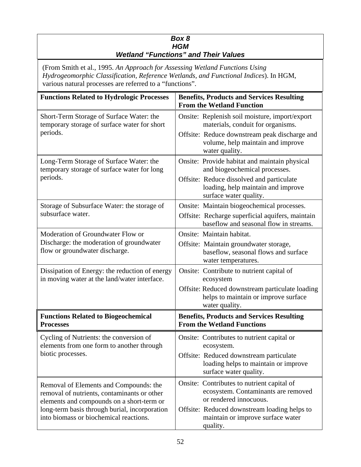## *Box 8 HGM Wetland "Functions" and Their Values*

(From Smith et al., 1995. *An Approach for Assessing Wetland Functions Using Hydrogeomorphic Classification, Reference Wetlands, and Functional Indices*). In HGM, various natural processes are referred to a "functions".

| <b>Functions Related to Hydrologic Processes</b>                                                                                                                                                                              | <b>Benefits, Products and Services Resulting</b><br><b>From the Wetland Function</b>                        |
|-------------------------------------------------------------------------------------------------------------------------------------------------------------------------------------------------------------------------------|-------------------------------------------------------------------------------------------------------------|
| Short-Term Storage of Surface Water: the<br>temporary storage of surface water for short<br>periods.                                                                                                                          | Onsite: Replenish soil moisture, import/export<br>materials, conduit for organisms.                         |
|                                                                                                                                                                                                                               | Offsite: Reduce downstream peak discharge and<br>volume, help maintain and improve<br>water quality.        |
| Long-Term Storage of Surface Water: the<br>temporary storage of surface water for long<br>periods.                                                                                                                            | Onsite: Provide habitat and maintain physical<br>and biogeochemical processes.                              |
|                                                                                                                                                                                                                               | Offsite: Reduce dissolved and particulate<br>loading, help maintain and improve<br>surface water quality.   |
| Storage of Subsurface Water: the storage of<br>subsurface water.                                                                                                                                                              | Onsite: Maintain biogeochemical processes.                                                                  |
|                                                                                                                                                                                                                               | Offsite: Recharge superficial aquifers, maintain<br>baseflow and seasonal flow in streams.                  |
| Moderation of Groundwater Flow or<br>Discharge: the moderation of groundwater<br>flow or groundwater discharge.                                                                                                               | Onsite: Maintain habitat.                                                                                   |
|                                                                                                                                                                                                                               | Offsite: Maintain groundwater storage,<br>baseflow, seasonal flows and surface<br>water temperatures.       |
| Dissipation of Energy: the reduction of energy<br>in moving water at the land/water interface.                                                                                                                                | Onsite: Contribute to nutrient capital of<br>ecosystem                                                      |
|                                                                                                                                                                                                                               | Offsite: Reduced downstream particulate loading<br>helps to maintain or improve surface<br>water quality.   |
| <b>Functions Related to Biogeochemical</b><br><b>Processes</b>                                                                                                                                                                | <b>Benefits, Products and Services Resulting</b><br><b>From the Wetland Functions</b>                       |
| Cycling of Nutrients: the conversion of<br>elements from one form to another through<br>biotic processes.                                                                                                                     | Onsite: Contributes to nutrient capital or<br>ecosystem.                                                    |
|                                                                                                                                                                                                                               | Offsite: Reduced downstream particulate<br>loading helps to maintain or improve<br>surface water quality.   |
| Removal of Elements and Compounds: the<br>removal of nutrients, contaminants or other<br>elements and compounds on a short-term or<br>long-term basis through burial, incorporation<br>into biomass or biochemical reactions. | Onsite: Contributes to nutrient capital of<br>ecosystem. Contaminants are removed<br>or rendered innocuous. |
|                                                                                                                                                                                                                               | Offsite: Reduced downstream loading helps to<br>maintain or improve surface water<br>quality.               |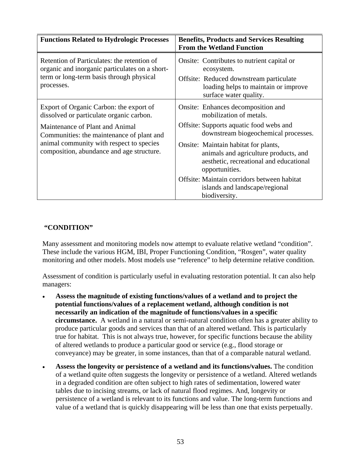| <b>Functions Related to Hydrologic Processes</b>                                                                                                                                                                                                             | <b>Benefits, Products and Services Resulting</b><br><b>From the Wetland Function</b>                                                                                                                                                                                                                                                                                                             |
|--------------------------------------------------------------------------------------------------------------------------------------------------------------------------------------------------------------------------------------------------------------|--------------------------------------------------------------------------------------------------------------------------------------------------------------------------------------------------------------------------------------------------------------------------------------------------------------------------------------------------------------------------------------------------|
| Retention of Particulates: the retention of<br>organic and inorganic particulates on a short-<br>term or long-term basis through physical<br>processes.                                                                                                      | Onsite: Contributes to nutrient capital or<br>ecosystem.<br>Offsite: Reduced downstream particulate<br>loading helps to maintain or improve<br>surface water quality.                                                                                                                                                                                                                            |
| Export of Organic Carbon: the export of<br>dissolved or particulate organic carbon.<br>Maintenance of Plant and Animal<br>Communities: the maintenance of plant and<br>animal community with respect to species<br>composition, abundance and age structure. | Onsite: Enhances decomposition and<br>mobilization of metals.<br>Offsite: Supports aquatic food webs and<br>downstream biogeochemical processes.<br>Onsite: Maintain habitat for plants,<br>animals and agriculture products, and<br>aesthetic, recreational and educational<br>opportunities.<br>Offsite: Maintain corridors between habitat<br>islands and landscape/regional<br>biodiversity. |

# **"CONDITION"**

Many assessment and monitoring models now attempt to evaluate relative wetland "condition". These include the various HGM, IBI, Proper Functioning Condition, "Rosgen", water quality monitoring and other models. Most models use "reference" to help determine relative condition.

Assessment of condition is particularly useful in evaluating restoration potential. It can also help managers:

- **Assess the magnitude of existing functions/values of a wetland and to project the potential functions/values of a replacement wetland, although condition is not necessarily an indication of the magnitude of functions/values in a specific circumstance.** A wetland in a natural or semi-natural condition often has a greater ability to produce particular goods and services than that of an altered wetland. This is particularly true for habitat. This is not always true, however, for specific functions because the ability of altered wetlands to produce a particular good or service (e.g., flood storage or conveyance) may be greater, in some instances, than that of a comparable natural wetland.
- **Assess the longevity or persistence of a wetland and its functions/values.** The condition of a wetland quite often suggests the longevity or persistence of a wetland. Altered wetlands in a degraded condition are often subject to high rates of sedimentation, lowered water tables due to incising streams, or lack of natural flood regimes. And, longevity or persistence of a wetland is relevant to its functions and value. The long-term functions and value of a wetland that is quickly disappearing will be less than one that exists perpetually.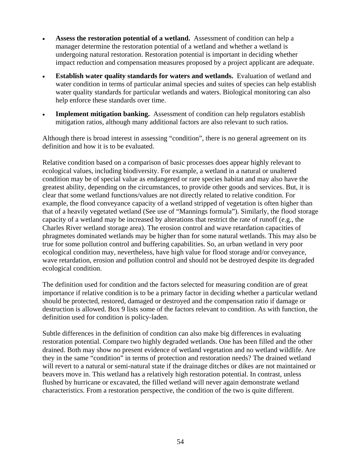- Assess the restoration potential of a wetland. Assessment of condition can help a manager determine the restoration potential of a wetland and whether a wetland is undergoing natural restoration. Restoration potential is important in deciding whether impact reduction and compensation measures proposed by a project applicant are adequate.
- **Establish water quality standards for waters and wetlands.** Evaluation of wetland and water condition in terms of particular animal species and suites of species can help establish water quality standards for particular wetlands and waters. Biological monitoring can also help enforce these standards over time.
- **Implement mitigation banking.** Assessment of condition can help regulators establish mitigation ratios, although many additional factors are also relevant to such ratios.

Although there is broad interest in assessing "condition", there is no general agreement on its definition and how it is to be evaluated.

Relative condition based on a comparison of basic processes does appear highly relevant to ecological values, including biodiversity. For example, a wetland in a natural or unaltered condition may be of special value as endangered or rare species habitat and may also have the greatest ability, depending on the circumstances, to provide other goods and services. But, it is clear that some wetland functions/values are not directly related to relative condition. For example, the flood conveyance capacity of a wetland stripped of vegetation is often higher than that of a heavily vegetated wetland (See use of "Mannings formula"). Similarly, the flood storage capacity of a wetland may be increased by alterations that restrict the rate of runoff (e.g., the Charles River wetland storage area). The erosion control and wave retardation capacities of phragmetes dominated wetlands may be higher than for some natural wetlands. This may also be true for some pollution control and buffering capabilities. So, an urban wetland in very poor ecological condition may, nevertheless, have high value for flood storage and/or conveyance, wave retardation, erosion and pollution control and should not be destroyed despite its degraded ecological condition.

The definition used for condition and the factors selected for measuring condition are of great importance if relative condition is to be a primary factor in deciding whether a particular wetland should be protected, restored, damaged or destroyed and the compensation ratio if damage or destruction is allowed. Box 9 lists some of the factors relevant to condition. As with function, the definition used for condition is policy-laden.

Subtle differences in the definition of condition can also make big differences in evaluating restoration potential. Compare two highly degraded wetlands. One has been filled and the other drained. Both may show no present evidence of wetland vegetation and no wetland wildlife. Are they in the same "condition" in terms of protection and restoration needs? The drained wetland will revert to a natural or semi-natural state if the drainage ditches or dikes are not maintained or beavers move in. This wetland has a relatively high restoration potential. In contrast, unless flushed by hurricane or excavated, the filled wetland will never again demonstrate wetland characteristics. From a restoration perspective, the condition of the two is quite different.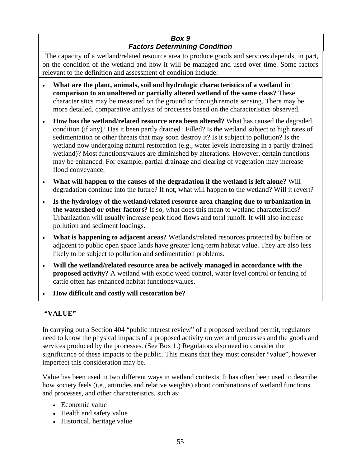# *Box 9 Factors Determining Condition*

The capacity of a wetland/related resource area to produce goods and services depends, in part, on the condition of the wetland and how it will be managed and used over time. Some factors relevant to the definition and assessment of condition include:

- **What are the plant, animals, soil and hydrologic characteristics of a wetland in comparison to an unaltered or partially altered wetland of the same class?** These characteristics may be measured on the ground or through remote sensing. There may be more detailed, comparative analysis of processes based on the characteristics observed.
- **How has the wetland/related resource area been altered?** What has caused the degraded condition (if any)? Has it been partly drained? Filled? Is the wetland subject to high rates of sedimentation or other threats that may soon destroy it? Is it subject to pollution? Is the wetland now undergoing natural restoration (e.g., water levels increasing in a partly drained wetland)? Most functions/values are diminished by alterations. However, certain functions may be enhanced. For example, partial drainage and clearing of vegetation may increase flood conveyance.
- **What will happen to the causes of the degradation if the wetland is left alone?** Will degradation continue into the future? If not, what will happen to the wetland? Will it revert?
- **Is the hydrology of the wetland/related resource area changing due to urbanization in the watershed or other factors?** If so, what does this mean to wetland characteristics? Urbanization will usually increase peak flood flows and total runoff. It will also increase pollution and sediment loadings.
- **What is happening to adjacent areas?** Wetlands/related resources protected by buffers or adjacent to public open space lands have greater long-term habitat value. They are also less likely to be subject to pollution and sedimentation problems.
- **Will the wetland/related resource area be actively managed in accordance with the proposed activity?** A wetland with exotic weed control, water level control or fencing of cattle often has enhanced habitat functions/values.
- **How difficult and costly will restoration be?**

# **"VALUE"**

In carrying out a Section 404 "public interest review" of a proposed wetland permit, regulators need to know the physical impacts of a proposed activity on wetland processes and the goods and services produced by the processes. (See Box 1.) Regulators also need to consider the significance of these impacts to the public. This means that they must consider "value", however imperfect this consideration may be.

Value has been used in two different ways in wetland contexts. It has often been used to describe how society feels (i.e., attitudes and relative weights) about combinations of wetland functions and processes, and other characteristics, such as:

- Economic value
- Health and safety value
- Historical, heritage value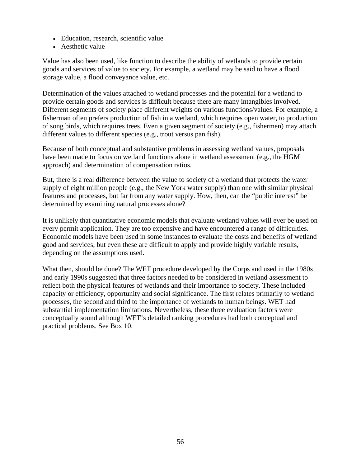- Education, research, scientific value
- Aesthetic value

Value has also been used, like function to describe the ability of wetlands to provide certain goods and services of value to society. For example, a wetland may be said to have a flood storage value, a flood conveyance value, etc.

Determination of the values attached to wetland processes and the potential for a wetland to provide certain goods and services is difficult because there are many intangibles involved. Different segments of society place different weights on various functions/values. For example, a fisherman often prefers production of fish in a wetland, which requires open water, to production of song birds, which requires trees. Even a given segment of society (e.g., fishermen) may attach different values to different species (e.g., trout versus pan fish).

Because of both conceptual and substantive problems in assessing wetland values, proposals have been made to focus on wetland functions alone in wetland assessment (e.g., the HGM approach) and determination of compensation ratios.

But, there is a real difference between the value to society of a wetland that protects the water supply of eight million people (e.g., the New York water supply) than one with similar physical features and processes, but far from any water supply. How, then, can the "public interest" be determined by examining natural processes alone?

It is unlikely that quantitative economic models that evaluate wetland values will ever be used on every permit application. They are too expensive and have encountered a range of difficulties. Economic models have been used in some instances to evaluate the costs and benefits of wetland good and services, but even these are difficult to apply and provide highly variable results, depending on the assumptions used.

What then, should be done? The WET procedure developed by the Corps and used in the 1980s and early 1990s suggested that three factors needed to be considered in wetland assessment to reflect both the physical features of wetlands and their importance to society. These included capacity or efficiency, opportunity and social significance. The first relates primarily to wetland processes, the second and third to the importance of wetlands to human beings. WET had substantial implementation limitations. Nevertheless, these three evaluation factors were conceptually sound although WET's detailed ranking procedures had both conceptual and practical problems. See Box 10.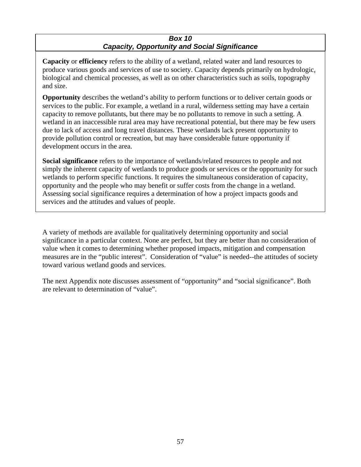## *Box 10 Capacity, Opportunity and Social Significance*

**Capacity** or **efficiency** refers to the ability of a wetland, related water and land resources to produce various goods and services of use to society. Capacity depends primarily on hydrologic, biological and chemical processes, as well as on other characteristics such as soils, topography and size.

**Opportunity** describes the wetland's ability to perform functions or to deliver certain goods or services to the public. For example, a wetland in a rural, wilderness setting may have a certain capacity to remove pollutants, but there may be no pollutants to remove in such a setting. A wetland in an inaccessible rural area may have recreational potential, but there may be few users due to lack of access and long travel distances. These wetlands lack present opportunity to provide pollution control or recreation, but may have considerable future opportunity if development occurs in the area.

**Social significance** refers to the importance of wetlands/related resources to people and not simply the inherent capacity of wetlands to produce goods or services or the opportunity for such wetlands to perform specific functions. It requires the simultaneous consideration of capacity, opportunity and the people who may benefit or suffer costs from the change in a wetland. Assessing social significance requires a determination of how a project impacts goods and services and the attitudes and values of people.

A variety of methods are available for qualitatively determining opportunity and social significance in a particular context. None are perfect, but they are better than no consideration of value when it comes to determining whether proposed impacts, mitigation and compensation measures are in the "public interest". Consideration of "value" is needed--the attitudes of society toward various wetland goods and services.

The next Appendix note discusses assessment of "opportunity" and "social significance". Both are relevant to determination of "value".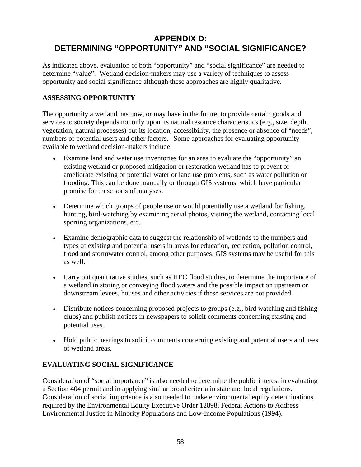# **APPENDIX D: DETERMINING "OPPORTUNITY" AND "SOCIAL SIGNIFICANCE?**

As indicated above, evaluation of both "opportunity" and "social significance" are needed to determine "value". Wetland decision-makers may use a variety of techniques to assess opportunity and social significance although these approaches are highly qualitative.

# **ASSESSING OPPORTUNITY**

The opportunity a wetland has now, or may have in the future, to provide certain goods and services to society depends not only upon its natural resource characteristics (e.g., size, depth, vegetation, natural processes) but its location, accessibility, the presence or absence of "needs", numbers of potential users and other factors. Some approaches for evaluating opportunity available to wetland decision-makers include:

- Examine land and water use inventories for an area to evaluate the "opportunity" an existing wetland or proposed mitigation or restoration wetland has to prevent or ameliorate existing or potential water or land use problems, such as water pollution or flooding. This can be done manually or through GIS systems, which have particular promise for these sorts of analyses.
- Determine which groups of people use or would potentially use a wetland for fishing, hunting, bird-watching by examining aerial photos, visiting the wetland, contacting local sporting organizations, etc.
- Examine demographic data to suggest the relationship of wetlands to the numbers and types of existing and potential users in areas for education, recreation, pollution control, flood and stormwater control, among other purposes. GIS systems may be useful for this as well.
- Carry out quantitative studies, such as HEC flood studies, to determine the importance of a wetland in storing or conveying flood waters and the possible impact on upstream or downstream levees, houses and other activities if these services are not provided.
- Distribute notices concerning proposed projects to groups (e.g., bird watching and fishing clubs) and publish notices in newspapers to solicit comments concerning existing and potential uses.
- Hold public hearings to solicit comments concerning existing and potential users and uses of wetland areas.

# **EVALUATING SOCIAL SIGNIFICANCE**

Consideration of "social importance" is also needed to determine the public interest in evaluating a Section 404 permit and in applying similar broad criteria in state and local regulations. Consideration of social importance is also needed to make environmental equity determinations required by the Environmental Equity Executive Order 12898, Federal Actions to Address Environmental Justice in Minority Populations and Low-Income Populations (1994).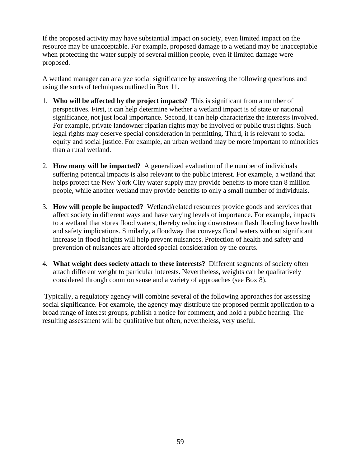If the proposed activity may have substantial impact on society, even limited impact on the resource may be unacceptable. For example, proposed damage to a wetland may be unacceptable when protecting the water supply of several million people, even if limited damage were proposed.

A wetland manager can analyze social significance by answering the following questions and using the sorts of techniques outlined in Box 11.

- 1. **Who will be affected by the project impacts?** This is significant from a number of perspectives. First, it can help determine whether a wetland impact is of state or national significance, not just local importance. Second, it can help characterize the interests involved. For example, private landowner riparian rights may be involved or public trust rights. Such legal rights may deserve special consideration in permitting. Third, it is relevant to social equity and social justice. For example, an urban wetland may be more important to minorities than a rural wetland.
- 2. **How many will be impacted?** A generalized evaluation of the number of individuals suffering potential impacts is also relevant to the public interest. For example, a wetland that helps protect the New York City water supply may provide benefits to more than 8 million people, while another wetland may provide benefits to only a small number of individuals.
- 3. **How will people be impacted?** Wetland/related resources provide goods and services that affect society in different ways and have varying levels of importance. For example, impacts to a wetland that stores flood waters, thereby reducing downstream flash flooding have health and safety implications. Similarly, a floodway that conveys flood waters without significant increase in flood heights will help prevent nuisances. Protection of health and safety and prevention of nuisances are afforded special consideration by the courts.
- 4. **What weight does society attach to these interests?** Different segments of society often attach different weight to particular interests. Nevertheless, weights can be qualitatively considered through common sense and a variety of approaches (see Box 8).

Typically, a regulatory agency will combine several of the following approaches for assessing social significance. For example, the agency may distribute the proposed permit application to a broad range of interest groups, publish a notice for comment, and hold a public hearing. The resulting assessment will be qualitative but often, nevertheless, very useful.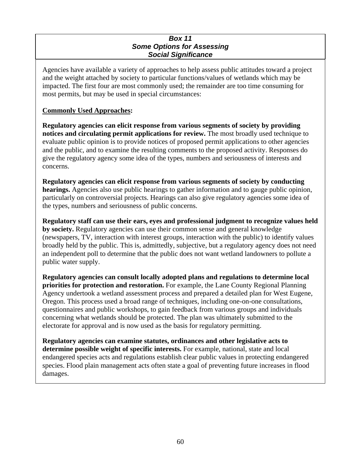#### *Box 11 Some Options for Assessing Social Significance*

Agencies have available a variety of approaches to help assess public attitudes toward a project and the weight attached by society to particular functions/values of wetlands which may be impacted. The first four are most commonly used; the remainder are too time consuming for most permits, but may be used in special circumstances:

## **Commonly Used Approaches:**

**Regulatory agencies can elicit response from various segments of society by providing notices and circulating permit applications for review.** The most broadly used technique to evaluate public opinion is to provide notices of proposed permit applications to other agencies and the public, and to examine the resulting comments to the proposed activity. Responses do give the regulatory agency some idea of the types, numbers and seriousness of interests and concerns.

**Regulatory agencies can elicit response from various segments of society by conducting hearings.** Agencies also use public hearings to gather information and to gauge public opinion, particularly on controversial projects. Hearings can also give regulatory agencies some idea of the types, numbers and seriousness of public concerns.

**Regulatory staff can use their ears, eyes and professional judgment to recognize values held by society.** Regulatory agencies can use their common sense and general knowledge (newspapers, TV, interaction with interest groups, interaction with the public) to identify values broadly held by the public. This is, admittedly, subjective, but a regulatory agency does not need an independent poll to determine that the public does not want wetland landowners to pollute a public water supply.

**Regulatory agencies can consult locally adopted plans and regulations to determine local priorities for protection and restoration.** For example, the Lane County Regional Planning Agency undertook a wetland assessment process and prepared a detailed plan for West Eugene, Oregon. This process used a broad range of techniques, including one-on-one consultations, questionnaires and public workshops, to gain feedback from various groups and individuals concerning what wetlands should be protected. The plan was ultimately submitted to the electorate for approval and is now used as the basis for regulatory permitting.

**Regulatory agencies can examine statutes, ordinances and other legislative acts to determine possible weight of specific interests.** For example, national, state and local endangered species acts and regulations establish clear public values in protecting endangered species. Flood plain management acts often state a goal of preventing future increases in flood damages.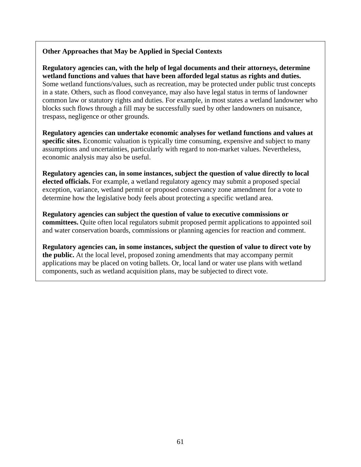# **Other Approaches that May be Applied in Special Contexts**

**Regulatory agencies can, with the help of legal documents and their attorneys, determine wetland functions and values that have been afforded legal status as rights and duties.**  Some wetland functions/values, such as recreation, may be protected under public trust concepts in a state. Others, such as flood conveyance, may also have legal status in terms of landowner common law or statutory rights and duties. For example, in most states a wetland landowner who blocks such flows through a fill may be successfully sued by other landowners on nuisance, trespass, negligence or other grounds.

**Regulatory agencies can undertake economic analyses for wetland functions and values at specific sites.** Economic valuation is typically time consuming, expensive and subject to many assumptions and uncertainties, particularly with regard to non-market values. Nevertheless, economic analysis may also be useful.

**Regulatory agencies can, in some instances, subject the question of value directly to local elected officials.** For example, a wetland regulatory agency may submit a proposed special exception, variance, wetland permit or proposed conservancy zone amendment for a vote to determine how the legislative body feels about protecting a specific wetland area.

**Regulatory agencies can subject the question of value to executive commissions or committees.** Quite often local regulators submit proposed permit applications to appointed soil and water conservation boards, commissions or planning agencies for reaction and comment.

**Regulatory agencies can, in some instances, subject the question of value to direct vote by the public.** At the local level, proposed zoning amendments that may accompany permit applications may be placed on voting ballets. Or, local land or water use plans with wetland components, such as wetland acquisition plans, may be subjected to direct vote.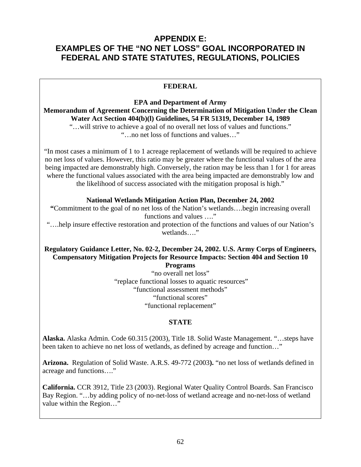# **APPENDIX E: EXAMPLES OF THE "NO NET LOSS" GOAL INCORPORATED IN FEDERAL AND STATE STATUTES, REGULATIONS, POLICIES**

# **FEDERAL**

**EPA and Department of Army Memorandum of Agreement Concerning the Determination of Mitigation Under the Clean Water Act Section 404(b)(l) Guidelines, 54 FR 51319, December 14, 1989**  "…will strive to achieve a goal of no overall net loss of values and functions."

"…no net loss of functions and values…"

"In most cases a minimum of 1 to 1 acreage replacement of wetlands will be required to achieve no net loss of values. However, this ratio may be greater where the functional values of the area being impacted are demonstrably high. Conversely, the ration may be less than 1 for 1 for areas where the functional values associated with the area being impacted are demonstrably low and the likelihood of success associated with the mitigation proposal is high."

#### **National Wetlands Mitigation Action Plan, December 24, 2002**

**"**Commitment to the goal of no net loss of the Nation's wetlands….begin increasing overall functions and values …."

"….help insure effective restoration and protection of the functions and values of our Nation's wetlands…."

#### **Regulatory Guidance Letter, No. 02-2, December 24, 2002. U.S. Army Corps of Engineers, Compensatory Mitigation Projects for Resource Impacts: Section 404 and Section 10 Programs**

"no overall net loss" "replace functional losses to aquatic resources" "functional assessment methods" "functional scores" "functional replacement"

#### **STATE**

**Alaska.** Alaska Admin. Code 60.315 (2003), Title 18. Solid Waste Management. "…steps have been taken to achieve no net loss of wetlands, as defined by acreage and function…"

**Arizona.** Regulation of Solid Waste. A.R.S. 49-772 (2003**).** "no net loss of wetlands defined in acreage and functions…."

**California.** CCR 3912, Title 23 (2003). Regional Water Quality Control Boards. San Francisco Bay Region. "…by adding policy of no-net-loss of wetland acreage and no-net-loss of wetland value within the Region…"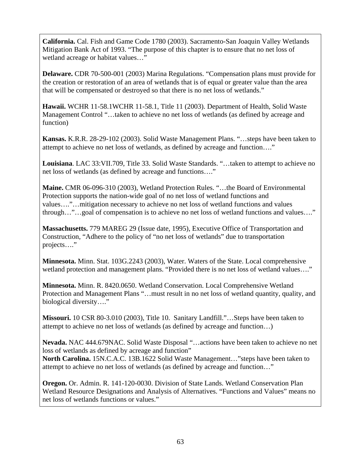**California.** Cal. Fish and Game Code 1780 (2003). Sacramento-San Joaquin Valley Wetlands Mitigation Bank Act of 1993. "The purpose of this chapter is to ensure that no net loss of wetland acreage or habitat values…"

**Delaware.** CDR 70-500-001 (2003) Marina Regulations. "Compensation plans must provide for the creation or restoration of an area of wetlands that is of equal or greater value than the area that will be compensated or destroyed so that there is no net loss of wetlands."

**Hawaii.** WCHR 11-58.1WCHR 11-58.1, Title 11 (2003). Department of Health, Solid Waste Management Control "…taken to achieve no net loss of wetlands (as defined by acreage and function)

**Kansas.** K.R.R. 28-29-102 (2003). Solid Waste Management Plans. "…steps have been taken to attempt to achieve no net loss of wetlands, as defined by acreage and function…."

**Louisiana**. LAC 33:VII.709, Title 33. Solid Waste Standards. "…taken to attempt to achieve no net loss of wetlands (as defined by acreage and functions…."

**Maine.** CMR 06-096-310 (2003), Wetland Protection Rules. "…the Board of Environmental Protection supports the nation-wide goal of no net loss of wetland functions and values…."…mitigation necessary to achieve no net loss of wetland functions and values through…"…goal of compensation is to achieve no net loss of wetland functions and values…."

**Massachusetts.** 779 MAREG 29 (Issue date, 1995), Executive Office of Transportation and Construction, "Adhere to the policy of "no net loss of wetlands" due to transportation projects…."

**Minnesota.** Minn. Stat. 103G.2243 (2003), Water. Waters of the State. Local comprehensive wetland protection and management plans. "Provided there is no net loss of wetland values…."

**Minnesota.** Minn. R. 8420.0650. Wetland Conservation. Local Comprehensive Wetland Protection and Management Plans "…must result in no net loss of wetland quantity, quality, and biological diversity…."

**Missouri.** 10 CSR 80-3.010 (2003), Title 10. Sanitary Landfill."…Steps have been taken to attempt to achieve no net loss of wetlands (as defined by acreage and function…)

**Nevada.** NAC 444.679NAC. Solid Waste Disposal "…actions have been taken to achieve no net loss of wetlands as defined by acreage and function"

**North Carolina.** 15N.C.A.C. 13B.1622 Solid Waste Management…"steps have been taken to attempt to achieve no net loss of wetlands (as defined by acreage and function…"

**Oregon.** Or. Admin. R. 141-120-0030. Division of State Lands. Wetland Conservation Plan Wetland Resource Designations and Analysis of Alternatives. "Functions and Values" means no net loss of wetlands functions or values."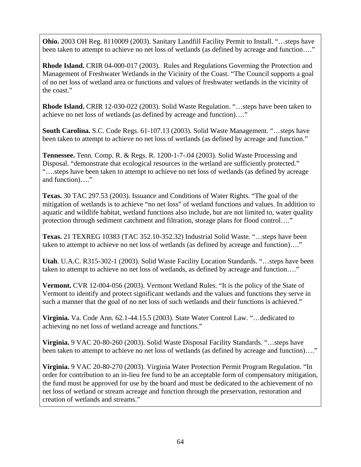**Ohio.** 2003 OH Reg. 8110009 (2003). Sanitary Landfill Facility Permit to Install. "…steps have been taken to attempt to achieve no net loss of wetlands (as defined by acreage and function...."

**Rhode Island.** CRIR 04-000-017 (2003). Rules and Regulations Governing the Protection and Management of Freshwater Wetlands in the Vicinity of the Coast. "The Council supports a goal of no net loss of wetland area or functions and values of freshwater wetlands in the vicinity of the coast."

**Rhode Island.** CRIR 12-030-022 (2003). Solid Waste Regulation. "…steps have been taken to achieve no net loss of wetlands (as defined by acreage and function)…."

**South Carolina.** S.C. Code Regs. 61-107.13 (2003). Solid Waste Management. "…steps have been taken to attempt to achieve no net loss of wetlands (as defined by acreage and function."

**Tennessee.** Tenn. Comp. R. & Regs. R. 1200-1-7-.04 (2003). Solid Waste Processing and Disposal. "demonstrate that ecological resources in the wetland are sufficiently protected." "….steps have been taken to attempt to achieve no net loss of wetlands (as defined by acreage and function)…."

**Texas.** 30 TAC 297.53 (2003). Issuance and Conditions of Water Rights. "The goal of the mitigation of wetlands is to achieve "no net loss" of wetland functions and values. In addition to aquatic and wildlife habitat, wetland functions also include, but are not limited to, water quality protection through sediment catchment and filtration, storage plans for flood control…."

**Texas.** 21 TEXREG 10383 (TAC 352.10-352.32) Industrial Solid Waste. "…steps have been taken to attempt to achieve no net loss of wetlands (as defined by acreage and function)…."

**Utah**. U.A.C. R315-302-1 (2003). Solid Waste Facility Location Standards. "…steps have been taken to attempt to achieve no net loss of wetlands, as defined by acreage and function…."

**Vermont.** CVR 12-004-056 (2003). Vermont Wetland Rules. "It is the policy of the State of Vermont to identify and protect significant wetlands and the values and functions they serve in such a manner that the goal of no net loss of such wetlands and their functions is achieved."

**Virginia.** Va. Code Ann. 62.1-44.15.5 (2003). State Water Control Law. "…dedicated to achieving no net loss of wetland acreage and functions."

**Virginia.** 9 VAC 20-80-260 (2003). Solid Waste Disposal Facility Standards. "…steps have been taken to attempt to achieve no net loss of wetlands (as defined by acreage and function)...."

**Virginia.** 9 VAC 20-80-270 (2003). Virginia Water Protection Permit Program Regulation. "In order for contribution to an in-lieu fee fund to be an acceptable form of compensatory mitigation, the fund must be approved for use by the board and must be dedicated to the achievement of no net loss of wetland or stream acreage and function through the preservation, restoration and creation of wetlands and streams."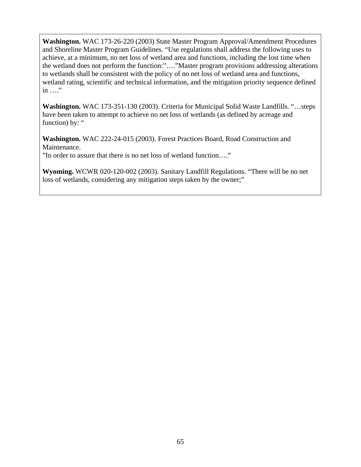**Washington.** WAC 173-26-220 (2003) State Master Program Approval/Amendment Procedures and Shoreline Master Program Guidelines. "Use regulations shall address the following uses to achieve, at a minimum, no net loss of wetland area and functions, including the lost time when the wetland does not perform the function:"…."Master program provisions addressing alterations to wetlands shall be consistent with the policy of no net loss of wetland area and functions, wetland rating, scientific and technical information, and the mitigation priority sequence defined in …."

**Washington.** WAC 173-351-130 (2003). Criteria for Municipal Solid Waste Landfills. "…steps have been taken to attempt to achieve no net loss of wetlands (as defined by acreage and function) by: "

**Washington.** WAC 222-24-015 (2003). Forest Practices Board, Road Construction and Maintenance.

"In order to assure that there is no net loss of wetland function…."

**Wyoming.** WCWR 020-120-002 (2003). Sanitary Landfill Regulations. "There will be no net loss of wetlands, considering any mitigation steps taken by the owner;"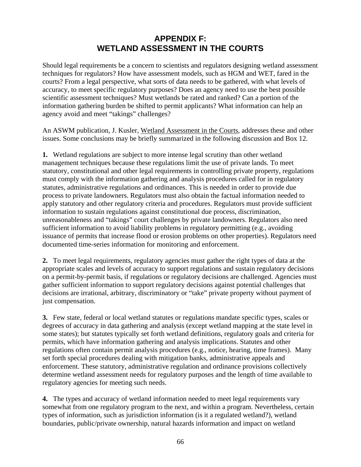# **APPENDIX F: WETLAND ASSESSMENT IN THE COURTS**

Should legal requirements be a concern to scientists and regulators designing wetland assessment techniques for regulators? How have assessment models, such as HGM and WET, fared in the courts? From a legal perspective, what sorts of data needs to be gathered, with what levels of accuracy, to meet specific regulatory purposes? Does an agency need to use the best possible scientific assessment techniques? Must wetlands be rated and ranked? Can a portion of the information gathering burden be shifted to permit applicants? What information can help an agency avoid and meet "takings" challenges?

An ASWM publication, J. Kusler, Wetland Assessment in the Courts, addresses these and other issues. Some conclusions may be briefly summarized in the following discussion and Box 12.

**1.** Wetland regulations are subject to more intense legal scrutiny than other wetland management techniques because these regulations limit the use of private lands. To meet statutory, constitutional and other legal requirements in controlling private property, regulations must comply with the information gathering and analysis procedures called for in regulatory statutes, administrative regulations and ordinances. This is needed in order to provide due process to private landowners. Regulators must also obtain the factual information needed to apply statutory and other regulatory criteria and procedures. Regulators must provide sufficient information to sustain regulations against constitutional due process, discrimination, unreasonableness and "takings" court challenges by private landowners. Regulators also need sufficient information to avoid liability problems in regulatory permitting (e.g., avoiding issuance of permits that increase flood or erosion problems on other properties). Regulators need documented time-series information for monitoring and enforcement.

**2.** To meet legal requirements, regulatory agencies must gather the right types of data at the appropriate scales and levels of accuracy to support regulations and sustain regulatory decisions on a permit-by-permit basis, if regulations or regulatory decisions are challenged. Agencies must gather sufficient information to support regulatory decisions against potential challenges that decisions are irrational, arbitrary, discriminatory or "take" private property without payment of just compensation.

**3.** Few state, federal or local wetland statutes or regulations mandate specific types, scales or degrees of accuracy in data gathering and analysis (except wetland mapping at the state level in some states); but statutes typically set forth wetland definitions, regulatory goals and criteria for permits, which have information gathering and analysis implications. Statutes and other regulations often contain permit analysis procedures (e.g., notice, hearing, time frames). Many set forth special procedures dealing with mitigation banks, administrative appeals and enforcement. These statutory, administrative regulation and ordinance provisions collectively determine wetland assessment needs for regulatory purposes and the length of time available to regulatory agencies for meeting such needs.

**4.** The types and accuracy of wetland information needed to meet legal requirements vary somewhat from one regulatory program to the next, and within a program. Nevertheless, certain types of information, such as jurisdiction information (is it a regulated wetland?), wetland boundaries, public/private ownership, natural hazards information and impact on wetland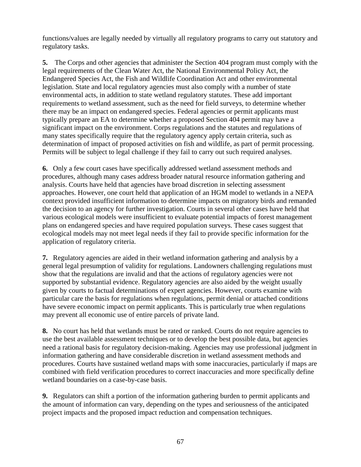functions/values are legally needed by virtually all regulatory programs to carry out statutory and regulatory tasks.

**5.** The Corps and other agencies that administer the Section 404 program must comply with the legal requirements of the Clean Water Act, the National Environmental Policy Act, the Endangered Species Act, the Fish and Wildlife Coordination Act and other environmental legislation. State and local regulatory agencies must also comply with a number of state environmental acts, in addition to state wetland regulatory statutes. These add important requirements to wetland assessment, such as the need for field surveys, to determine whether there may be an impact on endangered species. Federal agencies or permit applicants must typically prepare an EA to determine whether a proposed Section 404 permit may have a significant impact on the environment. Corps regulations and the statutes and regulations of many states specifically require that the regulatory agency apply certain criteria, such as determination of impact of proposed activities on fish and wildlife, as part of permit processing. Permits will be subject to legal challenge if they fail to carry out such required analyses.

**6.** Only a few court cases have specifically addressed wetland assessment methods and procedures, although many cases address broader natural resource information gathering and analysis. Courts have held that agencies have broad discretion in selecting assessment approaches. However, one court held that application of an HGM model to wetlands in a NEPA context provided insufficient information to determine impacts on migratory birds and remanded the decision to an agency for further investigation. Courts in several other cases have held that various ecological models were insufficient to evaluate potential impacts of forest management plans on endangered species and have required population surveys. These cases suggest that ecological models may not meet legal needs if they fail to provide specific information for the application of regulatory criteria.

**7.** Regulatory agencies are aided in their wetland information gathering and analysis by a general legal presumption of validity for regulations. Landowners challenging regulations must show that the regulations are invalid and that the actions of regulatory agencies were not supported by substantial evidence. Regulatory agencies are also aided by the weight usually given by courts to factual determinations of expert agencies. However, courts examine with particular care the basis for regulations when regulations, permit denial or attached conditions have severe economic impact on permit applicants. This is particularly true when regulations may prevent all economic use of entire parcels of private land.

**8.** No court has held that wetlands must be rated or ranked. Courts do not require agencies to use the best available assessment techniques or to develop the best possible data, but agencies need a rational basis for regulatory decision-making. Agencies may use professional judgment in information gathering and have considerable discretion in wetland assessment methods and procedures. Courts have sustained wetland maps with some inaccuracies, particularly if maps are combined with field verification procedures to correct inaccuracies and more specifically define wetland boundaries on a case-by-case basis.

**9.** Regulators can shift a portion of the information gathering burden to permit applicants and the amount of information can vary, depending on the types and seriousness of the anticipated project impacts and the proposed impact reduction and compensation techniques.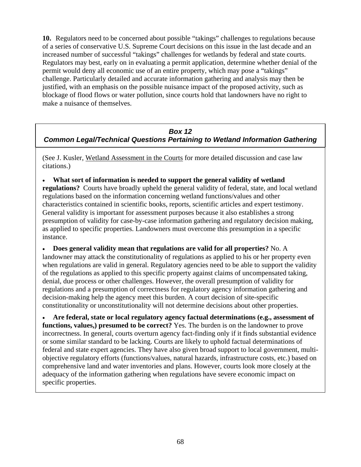**10.** Regulators need to be concerned about possible "takings" challenges to regulations because of a series of conservative U.S. Supreme Court decisions on this issue in the last decade and an increased number of successful "takings" challenges for wetlands by federal and state courts. Regulators may best, early on in evaluating a permit application, determine whether denial of the permit would deny all economic use of an entire property, which may pose a "takings" challenge. Particularly detailed and accurate information gathering and analysis may then be justified, with an emphasis on the possible nuisance impact of the proposed activity, such as blockage of flood flows or water pollution, since courts hold that landowners have no right to make a nuisance of themselves.

## *Box 12 Common Legal/Technical Questions Pertaining to Wetland Information Gathering*

(See J. Kusler, Wetland Assessment in the Courts for more detailed discussion and case law citations.)

• **What sort of information is needed to support the general validity of wetland regulations?** Courts have broadly upheld the general validity of federal, state, and local wetland regulations based on the information concerning wetland functions/values and other characteristics contained in scientific books, reports, scientific articles and expert testimony. General validity is important for assessment purposes because it also establishes a strong presumption of validity for case-by-case information gathering and regulatory decision making, as applied to specific properties. Landowners must overcome this presumption in a specific instance.

• **Does general validity mean that regulations are valid for all properties?** No. A landowner may attack the constitutionality of regulations as applied to his or her property even when regulations are valid in general. Regulatory agencies need to be able to support the validity of the regulations as applied to this specific property against claims of uncompensated taking, denial, due process or other challenges. However, the overall presumption of validity for regulations and a presumption of correctness for regulatory agency information gathering and decision-making help the agency meet this burden. A court decision of site-specific constitutionality or unconstitutionality will not determine decisions about other properties.

• **Are federal, state or local regulatory agency factual determinations (e.g., assessment of functions, values,) presumed to be correct?** Yes. The burden is on the landowner to prove incorrectness. In general, courts overturn agency fact-finding only if it finds substantial evidence or some similar standard to be lacking. Courts are likely to uphold factual determinations of federal and state expert agencies. They have also given broad support to local government, multiobjective regulatory efforts (functions/values, natural hazards, infrastructure costs, etc.) based on comprehensive land and water inventories and plans. However, courts look more closely at the adequacy of the information gathering when regulations have severe economic impact on specific properties.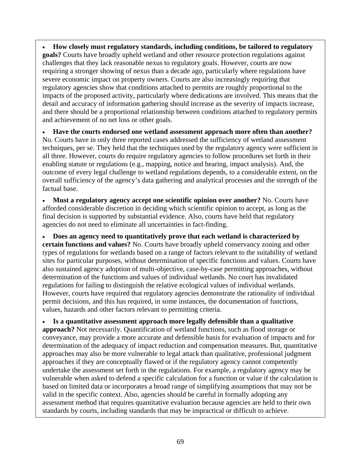• **How closely must regulatory standards, including conditions, be tailored to regulatory goals?** Courts have broadly upheld wetland and other resource protection regulations against challenges that they lack reasonable nexus to regulatory goals. However, courts are now requiring a stronger showing of nexus than a decade ago, particularly where regulations have severe economic impact on property owners. Courts are also increasingly requiring that regulatory agencies show that conditions attached to permits are roughly proportional to the impacts of the proposed activity, particularly where dedications are involved. This means that the detail and accuracy of information gathering should increase as the severity of impacts increase, and there should be a proportional relationship between conditions attached to regulatory permits and achievement of no net loss or other goals.

• **Have the courts endorsed one wetland assessment approach more often than another?**  No. Courts have in only three reported cases addressed the sufficiency of wetland assessment techniques, per se. They held that the techniques used by the regulatory agency were sufficient in all three. However, courts do require regulatory agencies to follow procedures set forth in their enabling statute or regulations (e.g., mapping, notice and hearing, impact analysis). And, the outcome of every legal challenge to wetland regulations depends, to a considerable extent, on the overall sufficiency of the agency's data gathering and analytical processes and the strength of the factual base.

• **Must a regulatory agency accept one scientific opinion over another?** No. Courts have afforded considerable discretion in deciding which scientific opinion to accept, as long as the final decision is supported by substantial evidence. Also, courts have held that regulatory agencies do not need to eliminate all uncertainties in fact-finding.

• **Does an agency need to quantitatively prove that each wetland is characterized by certain functions and values?** No. Courts have broadly upheld conservancy zoning and other types of regulations for wetlands based on a range of factors relevant to the suitability of wetland sites for particular purposes, without determination of specific functions and values. Courts have also sustained agency adoption of multi-objective, case-by-case permitting approaches, without determination of the functions and values of individual wetlands. No court has invalidated regulations for failing to distinguish the relative ecological values of individual wetlands. However, courts have required that regulatory agencies demonstrate the rationality of individual permit decisions, and this has required, in some instances, the documentation of functions, values, hazards and other factors relevant to permitting criteria.

• **Is a quantitative assessment approach more legally defensible than a qualitative approach?** Not necessarily. Quantification of wetland functions, such as flood storage or conveyance, may provide a more accurate and defensible basis for evaluation of impacts and for determination of the adequacy of impact reduction and compensation measures. But, quantitative approaches may also be more vulnerable to legal attack than qualitative, professional judgment approaches if they are conceptually flawed or if the regulatory agency cannot competently undertake the assessment set forth in the regulations. For example, a regulatory agency may be vulnerable when asked to defend a specific calculation for a function or value if the calculation is based on limited data or incorporates a broad range of simplifying assumptions that may not be valid in the specific context. Also, agencies should be careful in formally adopting any assessment method that requires quantitative evaluation because agencies are held to their own standards by courts, including standards that may be impractical or difficult to achieve.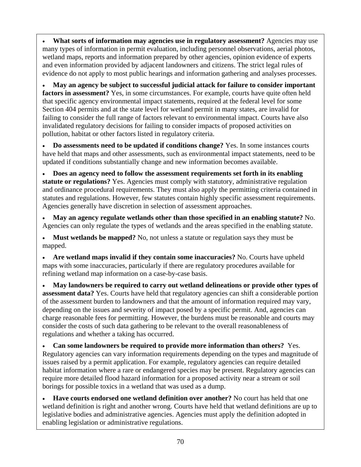• **What sorts of information may agencies use in regulatory assessment?** Agencies may use many types of information in permit evaluation, including personnel observations, aerial photos, wetland maps, reports and information prepared by other agencies, opinion evidence of experts and even information provided by adjacent landowners and citizens. The strict legal rules of evidence do not apply to most public hearings and information gathering and analyses processes.

• **May an agency be subject to successful judicial attack for failure to consider important factors in assessment?** Yes, in some circumstances. For example, courts have quite often held that specific agency environmental impact statements, required at the federal level for some Section 404 permits and at the state level for wetland permit in many states, are invalid for failing to consider the full range of factors relevant to environmental impact. Courts have also invalidated regulatory decisions for failing to consider impacts of proposed activities on pollution, habitat or other factors listed in regulatory criteria.

• **Do assessments need to be updated if conditions change?** Yes. In some instances courts have held that maps and other assessments, such as environmental impact statements, need to be updated if conditions substantially change and new information becomes available.

• **Does an agency need to follow the assessment requirements set forth in its enabling statute or regulations?** Yes. Agencies must comply with statutory, administrative regulation and ordinance procedural requirements. They must also apply the permitting criteria contained in statutes and regulations. However, few statutes contain highly specific assessment requirements. Agencies generally have discretion in selection of assessment approaches.

• **May an agency regulate wetlands other than those specified in an enabling statute?** No. Agencies can only regulate the types of wetlands and the areas specified in the enabling statute.

• **Must wetlands be mapped?** No, not unless a statute or regulation says they must be mapped.

• **Are wetland maps invalid if they contain some inaccuracies?** No. Courts have upheld maps with some inaccuracies, particularly if there are regulatory procedures available for refining wetland map information on a case-by-case basis.

• **May landowners be required to carry out wetland delineations or provide other types of assessment data?** Yes. Courts have held that regulatory agencies can shift a considerable portion of the assessment burden to landowners and that the amount of information required may vary, depending on the issues and severity of impact posed by a specific permit. And, agencies can charge reasonable fees for permitting. However, the burdens must be reasonable and courts may consider the costs of such data gathering to be relevant to the overall reasonableness of regulations and whether a taking has occurred.

• **Can some landowners be required to provide more information than others?** Yes. Regulatory agencies can vary information requirements depending on the types and magnitude of issues raised by a permit application. For example, regulatory agencies can require detailed habitat information where a rare or endangered species may be present. Regulatory agencies can require more detailed flood hazard information for a proposed activity near a stream or soil borings for possible toxics in a wetland that was used as a dump.

• **Have courts endorsed one wetland definition over another?** No court has held that one wetland definition is right and another wrong. Courts have held that wetland definitions are up to legislative bodies and administrative agencies. Agencies must apply the definition adopted in enabling legislation or administrative regulations.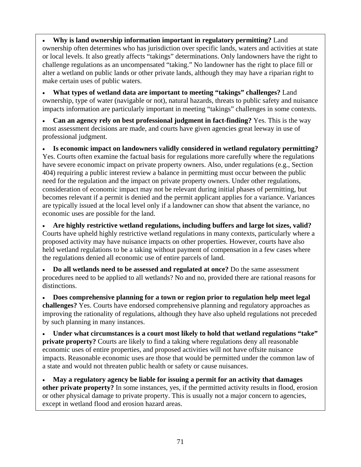• **Why is land ownership information important in regulatory permitting?** Land ownership often determines who has jurisdiction over specific lands, waters and activities at state or local levels. It also greatly affects "takings" determinations. Only landowners have the right to challenge regulations as an uncompensated "taking." No landowner has the right to place fill or alter a wetland on public lands or other private lands, although they may have a riparian right to make certain uses of public waters.

• **What types of wetland data are important to meeting "takings" challenges?** Land ownership, type of water (navigable or not), natural hazards, threats to public safety and nuisance impacts information are particularly important in meeting "takings" challenges in some contexts.

• **Can an agency rely on best professional judgment in fact-finding?** Yes. This is the way most assessment decisions are made, and courts have given agencies great leeway in use of professional judgment.

• **Is economic impact on landowners validly considered in wetland regulatory permitting?**  Yes. Courts often examine the factual basis for regulations more carefully where the regulations have severe economic impact on private property owners. Also, under regulations (e.g., Section 404) requiring a public interest review a balance in permitting must occur between the public need for the regulation and the impact on private property owners. Under other regulations, consideration of economic impact may not be relevant during initial phases of permitting, but becomes relevant if a permit is denied and the permit applicant applies for a variance. Variances are typically issued at the local level only if a landowner can show that absent the variance, no economic uses are possible for the land.

• **Are highly restrictive wetland regulations, including buffers and large lot sizes, valid?**  Courts have upheld highly restrictive wetland regulations in many contexts, particularly where a proposed activity may have nuisance impacts on other properties. However, courts have also held wetland regulations to be a taking without payment of compensation in a few cases where the regulations denied all economic use of entire parcels of land.

• **Do all wetlands need to be assessed and regulated at once?** Do the same assessment procedures need to be applied to all wetlands? No and no, provided there are rational reasons for distinctions.

• **Does comprehensive planning for a town or region prior to regulation help meet legal challenges?** Yes. Courts have endorsed comprehensive planning and regulatory approaches as improving the rationality of regulations, although they have also upheld regulations not preceded by such planning in many instances.

• **Under what circumstances is a court most likely to hold that wetland regulations "take" private property?** Courts are likely to find a taking where regulations deny all reasonable economic uses of entire properties, and proposed activities will not have offsite nuisance impacts. Reasonable economic uses are those that would be permitted under the common law of a state and would not threaten public health or safety or cause nuisances.

• **May a regulatory agency be liable for issuing a permit for an activity that damages other private property?** In some instances, yes, if the permitted activity results in flood, erosion or other physical damage to private property. This is usually not a major concern to agencies, except in wetland flood and erosion hazard areas.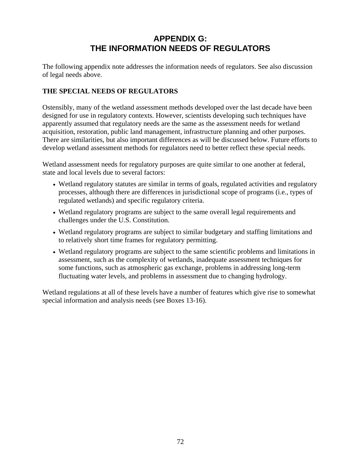# **APPENDIX G: THE INFORMATION NEEDS OF REGULATORS**

The following appendix note addresses the information needs of regulators. See also discussion of legal needs above.

#### **THE SPECIAL NEEDS OF REGULATORS**

Ostensibly, many of the wetland assessment methods developed over the last decade have been designed for use in regulatory contexts. However, scientists developing such techniques have apparently assumed that regulatory needs are the same as the assessment needs for wetland acquisition, restoration, public land management, infrastructure planning and other purposes. There are similarities, but also important differences as will be discussed below. Future efforts to develop wetland assessment methods for regulators need to better reflect these special needs.

Wetland assessment needs for regulatory purposes are quite similar to one another at federal, state and local levels due to several factors:

- Wetland regulatory statutes are similar in terms of goals, regulated activities and regulatory processes, although there are differences in jurisdictional scope of programs (i.e., types of regulated wetlands) and specific regulatory criteria.
- Wetland regulatory programs are subject to the same overall legal requirements and challenges under the U.S. Constitution.
- Wetland regulatory programs are subject to similar budgetary and staffing limitations and to relatively short time frames for regulatory permitting.
- Wetland regulatory programs are subject to the same scientific problems and limitations in assessment, such as the complexity of wetlands, inadequate assessment techniques for some functions, such as atmospheric gas exchange, problems in addressing long-term fluctuating water levels, and problems in assessment due to changing hydrology.

Wetland regulations at all of these levels have a number of features which give rise to somewhat special information and analysis needs (see Boxes 13-16).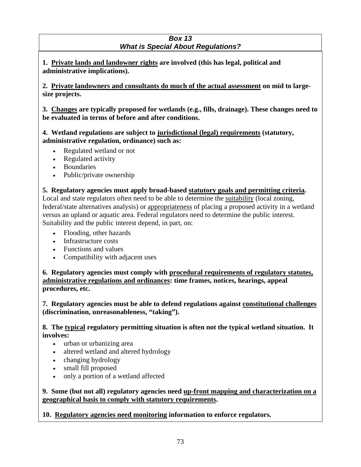#### *Box 13 What is Special About Regulations?*

**1. Private lands and landowner rights are involved (this has legal, political and administrative implications).** 

**2. Private landowners and consultants do much of the actual assessment on mid to largesize projects.** 

**3. Changes are typically proposed for wetlands (e.g., fills, drainage). These changes need to be evaluated in terms of before and after conditions.** 

**4. Wetland regulations are subject to jurisdictional (legal) requirements (statutory, administrative regulation, ordinance) such as:** 

- Regulated wetland or not
- Regulated activity
- Boundaries
- Public/private ownership

**5. Regulatory agencies must apply broad-based statutory goals and permitting criteria.**  Local and state regulators often need to be able to determine the suitability (local zoning, federal/state alternatives analysis) or appropriateness of placing a proposed activity in a wetland versus an upland or aquatic area. Federal regulators need to determine the public interest. Suitability and the public interest depend, in part, on:

- Flooding, other hazards
- Infrastructure costs
- Functions and values
- Compatibility with adjacent uses

**6. Regulatory agencies must comply with procedural requirements of regulatory statutes, administrative regulations and ordinances: time frames, notices, hearings, appeal procedures, etc.** 

**7. Regulatory agencies must be able to defend regulations against constitutional challenges (discrimination, unreasonableness, "taking").** 

**8. The typical regulatory permitting situation is often not the typical wetland situation. It involves:** 

- urban or urbanizing area
- altered wetland and altered hydrology
- changing hydrology
- small fill proposed
- only a portion of a wetland affected

**9. Some (but not all) regulatory agencies need up-front mapping and characterization on a geographical basis to comply with statutory requirements.** 

**10. Regulatory agencies need monitoring information to enforce regulators.**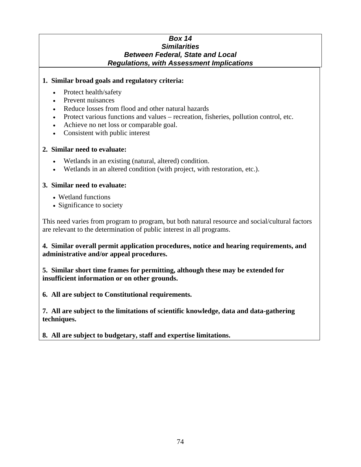#### *Box 14 Similarities Between Federal, State and Local Regulations, with Assessment Implications*

#### **1. Similar broad goals and regulatory criteria:**

- Protect health/safety
- Prevent nuisances
- Reduce losses from flood and other natural hazards
- Protect various functions and values recreation, fisheries, pollution control, etc.
- Achieve no net loss or comparable goal.
- Consistent with public interest

#### **2. Similar need to evaluate:**

- Wetlands in an existing (natural, altered) condition.
- Wetlands in an altered condition (with project, with restoration, etc.).

#### **3. Similar need to evaluate:**

- Wetland functions
- Significance to society

This need varies from program to program, but both natural resource and social/cultural factors are relevant to the determination of public interest in all programs.

**4. Similar overall permit application procedures, notice and hearing requirements, and administrative and/or appeal procedures.** 

**5. Similar short time frames for permitting, although these may be extended for insufficient information or on other grounds.** 

**6. All are subject to Constitutional requirements.** 

**7. All are subject to the limitations of scientific knowledge, data and data-gathering techniques.** 

**8. All are subject to budgetary, staff and expertise limitations.**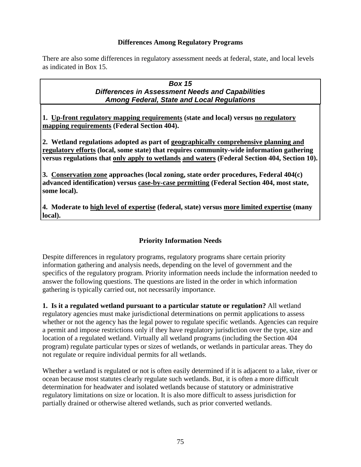#### **Differences Among Regulatory Programs**

There are also some differences in regulatory assessment needs at federal, state, and local levels as indicated in Box 15.

#### *Box 15 Differences in Assessment Needs and Capabilities Among Federal, State and Local Regulations*

**1. Up-front regulatory mapping requirements (state and local) versus no regulatory mapping requirements (Federal Section 404).** 

**2. Wetland regulations adopted as part of geographically comprehensive planning and regulatory efforts (local, some state) that requires community-wide information gathering versus regulations that only apply to wetlands and waters (Federal Section 404, Section 10).** 

**3. Conservation zone approaches (local zoning, state order procedures, Federal 404(c) advanced identification) versus case-by-case permitting (Federal Section 404, most state, some local).** 

**4. Moderate to high level of expertise (federal, state) versus more limited expertise (many local).** 

## **Priority Information Needs**

Despite differences in regulatory programs, regulatory programs share certain priority information gathering and analysis needs, depending on the level of government and the specifics of the regulatory program. Priority information needs include the information needed to answer the following questions. The questions are listed in the order in which information gathering is typically carried out, not necessarily importance.

**1. Is it a regulated wetland pursuant to a particular statute or regulation?** All wetland regulatory agencies must make jurisdictional determinations on permit applications to assess whether or not the agency has the legal power to regulate specific wetlands. Agencies can require a permit and impose restrictions only if they have regulatory jurisdiction over the type, size and location of a regulated wetland. Virtually all wetland programs (including the Section 404 program) regulate particular types or sizes of wetlands, or wetlands in particular areas. They do not regulate or require individual permits for all wetlands.

Whether a wetland is regulated or not is often easily determined if it is adjacent to a lake, river or ocean because most statutes clearly regulate such wetlands. But, it is often a more difficult determination for headwater and isolated wetlands because of statutory or administrative regulatory limitations on size or location. It is also more difficult to assess jurisdiction for partially drained or otherwise altered wetlands, such as prior converted wetlands.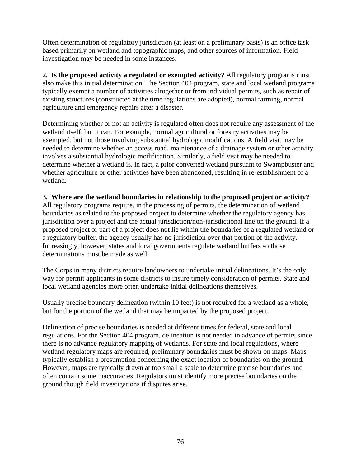Often determination of regulatory jurisdiction (at least on a preliminary basis) is an office task based primarily on wetland and topographic maps, and other sources of information. Field investigation may be needed in some instances.

**2. Is the proposed activity a regulated or exempted activity?** All regulatory programs must also make this initial determination. The Section 404 program, state and local wetland programs typically exempt a number of activities altogether or from individual permits, such as repair of existing structures (constructed at the time regulations are adopted), normal farming, normal agriculture and emergency repairs after a disaster.

Determining whether or not an activity is regulated often does not require any assessment of the wetland itself, but it can. For example, normal agricultural or forestry activities may be exempted, but not those involving substantial hydrologic modifications. A field visit may be needed to determine whether an access road, maintenance of a drainage system or other activity involves a substantial hydrologic modification. Similarly, a field visit may be needed to determine whether a wetland is, in fact, a prior converted wetland pursuant to Swampbuster and whether agriculture or other activities have been abandoned, resulting in re-establishment of a wetland.

#### **3. Where are the wetland boundaries in relationship to the proposed project or activity?**

All regulatory programs require, in the processing of permits, the determination of wetland boundaries as related to the proposed project to determine whether the regulatory agency has jurisdiction over a project and the actual jurisdiction/non-jurisdictional line on the ground. If a proposed project or part of a project does not lie within the boundaries of a regulated wetland or a regulatory buffer, the agency usually has no jurisdiction over that portion of the activity. Increasingly, however, states and local governments regulate wetland buffers so those determinations must be made as well.

The Corps in many districts require landowners to undertake initial delineations. It's the only way for permit applicants in some districts to insure timely consideration of permits. State and local wetland agencies more often undertake initial delineations themselves.

Usually precise boundary delineation (within 10 feet) is not required for a wetland as a whole, but for the portion of the wetland that may be impacted by the proposed project.

Delineation of precise boundaries is needed at different times for federal, state and local regulations. For the Section 404 program, delineation is not needed in advance of permits since there is no advance regulatory mapping of wetlands. For state and local regulations, where wetland regulatory maps are required, preliminary boundaries must be shown on maps. Maps typically establish a presumption concerning the exact location of boundaries on the ground. However, maps are typically drawn at too small a scale to determine precise boundaries and often contain some inaccuracies. Regulators must identify more precise boundaries on the ground though field investigations if disputes arise.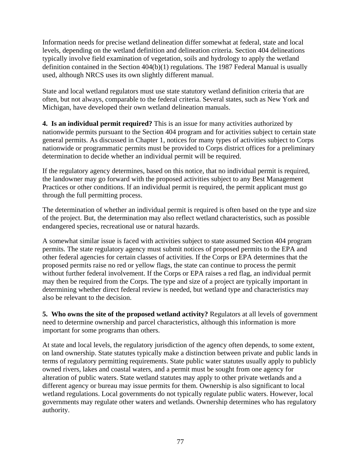Information needs for precise wetland delineation differ somewhat at federal, state and local levels, depending on the wetland definition and delineation criteria. Section 404 delineations typically involve field examination of vegetation, soils and hydrology to apply the wetland definition contained in the Section 404(b)(1) regulations. The 1987 Federal Manual is usually used, although NRCS uses its own slightly different manual.

State and local wetland regulators must use state statutory wetland definition criteria that are often, but not always, comparable to the federal criteria. Several states, such as New York and Michigan, have developed their own wetland delineation manuals.

**4. Is an individual permit required?** This is an issue for many activities authorized by nationwide permits pursuant to the Section 404 program and for activities subject to certain state general permits. As discussed in Chapter 1, notices for many types of activities subject to Corps nationwide or programmatic permits must be provided to Corps district offices for a preliminary determination to decide whether an individual permit will be required.

If the regulatory agency determines, based on this notice, that no individual permit is required, the landowner may go forward with the proposed activities subject to any Best Management Practices or other conditions. If an individual permit is required, the permit applicant must go through the full permitting process.

The determination of whether an individual permit is required is often based on the type and size of the project. But, the determination may also reflect wetland characteristics, such as possible endangered species, recreational use or natural hazards.

A somewhat similar issue is faced with activities subject to state assumed Section 404 program permits. The state regulatory agency must submit notices of proposed permits to the EPA and other federal agencies for certain classes of activities. If the Corps or EPA determines that the proposed permits raise no red or yellow flags, the state can continue to process the permit without further federal involvement. If the Corps or EPA raises a red flag, an individual permit may then be required from the Corps. The type and size of a project are typically important in determining whether direct federal review is needed, but wetland type and characteristics may also be relevant to the decision.

**5. Who owns the site of the proposed wetland activity?** Regulators at all levels of government need to determine ownership and parcel characteristics, although this information is more important for some programs than others.

At state and local levels, the regulatory jurisdiction of the agency often depends, to some extent, on land ownership. State statutes typically make a distinction between private and public lands in terms of regulatory permitting requirements. State public water statutes usually apply to publicly owned rivers, lakes and coastal waters, and a permit must be sought from one agency for alteration of public waters. State wetland statutes may apply to other private wetlands and a different agency or bureau may issue permits for them. Ownership is also significant to local wetland regulations. Local governments do not typically regulate public waters. However, local governments may regulate other waters and wetlands. Ownership determines who has regulatory authority.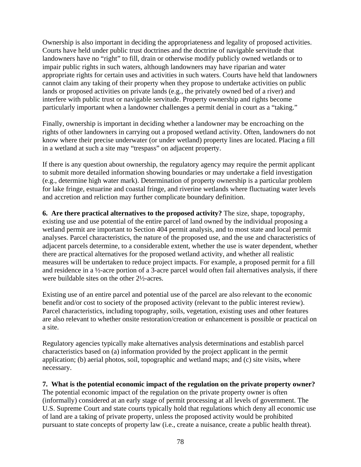Ownership is also important in deciding the appropriateness and legality of proposed activities. Courts have held under public trust doctrines and the doctrine of navigable servitude that landowners have no "right" to fill, drain or otherwise modify publicly owned wetlands or to impair public rights in such waters, although landowners may have riparian and water appropriate rights for certain uses and activities in such waters. Courts have held that landowners cannot claim any taking of their property when they propose to undertake activities on public lands or proposed activities on private lands (e.g., the privately owned bed of a river) and interfere with public trust or navigable servitude. Property ownership and rights become particularly important when a landowner challenges a permit denial in court as a "taking."

Finally, ownership is important in deciding whether a landowner may be encroaching on the rights of other landowners in carrying out a proposed wetland activity. Often, landowners do not know where their precise underwater (or under wetland) property lines are located. Placing a fill in a wetland at such a site may "trespass" on adjacent property.

If there is any question about ownership, the regulatory agency may require the permit applicant to submit more detailed information showing boundaries or may undertake a field investigation (e.g., determine high water mark). Determination of property ownership is a particular problem for lake fringe, estuarine and coastal fringe, and riverine wetlands where fluctuating water levels and accretion and reliction may further complicate boundary definition.

**6. Are there practical alternatives to the proposed activity?** The size, shape, topography, existing use and use potential of the entire parcel of land owned by the individual proposing a wetland permit are important to Section 404 permit analysis, and to most state and local permit analyses. Parcel characteristics, the nature of the proposed use, and the use and characteristics of adjacent parcels determine, to a considerable extent, whether the use is water dependent, whether there are practical alternatives for the proposed wetland activity, and whether all realistic measures will be undertaken to reduce project impacts. For example, a proposed permit for a fill and residence in a ½-acre portion of a 3-acre parcel would often fail alternatives analysis, if there were buildable sites on the other 2½-acres.

Existing use of an entire parcel and potential use of the parcel are also relevant to the economic benefit and/or cost to society of the proposed activity (relevant to the public interest review). Parcel characteristics, including topography, soils, vegetation, existing uses and other features are also relevant to whether onsite restoration/creation or enhancement is possible or practical on a site.

Regulatory agencies typically make alternatives analysis determinations and establish parcel characteristics based on (a) information provided by the project applicant in the permit application; (b) aerial photos, soil, topographic and wetland maps; and (c) site visits, where necessary.

**7. What is the potential economic impact of the regulation on the private property owner?** The potential economic impact of the regulation on the private property owner is often (informally) considered at an early stage of permit processing at all levels of government. The U.S. Supreme Court and state courts typically hold that regulations which deny all economic use of land are a taking of private property, unless the proposed activity would be prohibited pursuant to state concepts of property law (i.e., create a nuisance, create a public health threat).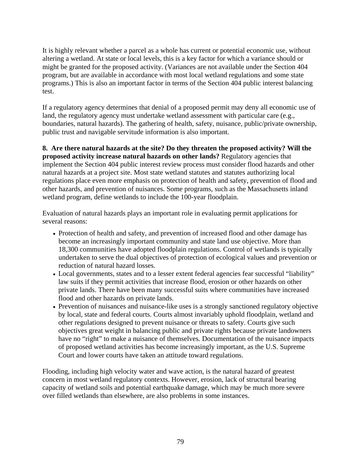It is highly relevant whether a parcel as a whole has current or potential economic use, without altering a wetland. At state or local levels, this is a key factor for which a variance should or might be granted for the proposed activity. (Variances are not available under the Section 404 program, but are available in accordance with most local wetland regulations and some state programs.) This is also an important factor in terms of the Section 404 public interest balancing test.

If a regulatory agency determines that denial of a proposed permit may deny all economic use of land, the regulatory agency must undertake wetland assessment with particular care (e.g., boundaries, natural hazards). The gathering of health, safety, nuisance, public/private ownership, public trust and navigable servitude information is also important.

# **8. Are there natural hazards at the site? Do they threaten the proposed activity? Will the**

**proposed activity increase natural hazards on other lands?** Regulatory agencies that implement the Section 404 public interest review process must consider flood hazards and other natural hazards at a project site. Most state wetland statutes and statutes authorizing local regulations place even more emphasis on protection of health and safety, prevention of flood and other hazards, and prevention of nuisances. Some programs, such as the Massachusetts inland wetland program, define wetlands to include the 100-year floodplain.

Evaluation of natural hazards plays an important role in evaluating permit applications for several reasons:

- Protection of health and safety, and prevention of increased flood and other damage has become an increasingly important community and state land use objective. More than 18,300 communities have adopted floodplain regulations. Control of wetlands is typically undertaken to serve the dual objectives of protection of ecological values and prevention or reduction of natural hazard losses.
- Local governments, states and to a lesser extent federal agencies fear successful "liability" law suits if they permit activities that increase flood, erosion or other hazards on other private lands. There have been many successful suits where communities have increased flood and other hazards on private lands.
- Prevention of nuisances and nuisance-like uses is a strongly sanctioned regulatory objective by local, state and federal courts. Courts almost invariably uphold floodplain, wetland and other regulations designed to prevent nuisance or threats to safety. Courts give such objectives great weight in balancing public and private rights because private landowners have no "right" to make a nuisance of themselves. Documentation of the nuisance impacts of proposed wetland activities has become increasingly important, as the U.S. Supreme Court and lower courts have taken an attitude toward regulations.

Flooding, including high velocity water and wave action, is the natural hazard of greatest concern in most wetland regulatory contexts. However, erosion, lack of structural bearing capacity of wetland soils and potential earthquake damage, which may be much more severe over filled wetlands than elsewhere, are also problems in some instances.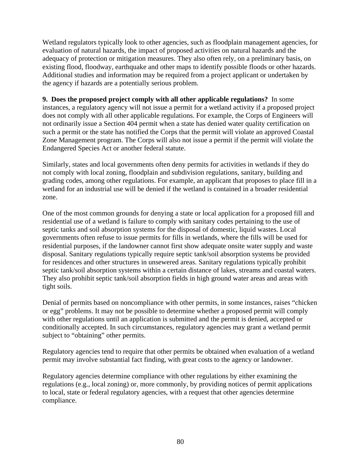Wetland regulators typically look to other agencies, such as floodplain management agencies, for evaluation of natural hazards, the impact of proposed activities on natural hazards and the adequacy of protection or mitigation measures. They also often rely, on a preliminary basis, on existing flood, floodway, earthquake and other maps to identify possible floods or other hazards. Additional studies and information may be required from a project applicant or undertaken by the agency if hazards are a potentially serious problem.

**9. Does the proposed project comply with all other applicable regulations?** In some instances, a regulatory agency will not issue a permit for a wetland activity if a proposed project does not comply with all other applicable regulations. For example, the Corps of Engineers will not ordinarily issue a Section 404 permit when a state has denied water quality certification on such a permit or the state has notified the Corps that the permit will violate an approved Coastal Zone Management program. The Corps will also not issue a permit if the permit will violate the Endangered Species Act or another federal statute.

Similarly, states and local governments often deny permits for activities in wetlands if they do not comply with local zoning, floodplain and subdivision regulations, sanitary, building and grading codes, among other regulations. For example, an applicant that proposes to place fill in a wetland for an industrial use will be denied if the wetland is contained in a broader residential zone.

One of the most common grounds for denying a state or local application for a proposed fill and residential use of a wetland is failure to comply with sanitary codes pertaining to the use of septic tanks and soil absorption systems for the disposal of domestic, liquid wastes. Local governments often refuse to issue permits for fills in wetlands, where the fills will be used for residential purposes, if the landowner cannot first show adequate onsite water supply and waste disposal. Sanitary regulations typically require septic tank/soil absorption systems be provided for residences and other structures in unsewered areas. Sanitary regulations typically prohibit septic tank/soil absorption systems within a certain distance of lakes, streams and coastal waters. They also prohibit septic tank/soil absorption fields in high ground water areas and areas with tight soils.

Denial of permits based on noncompliance with other permits, in some instances, raises "chicken or egg" problems. It may not be possible to determine whether a proposed permit will comply with other regulations until an application is submitted and the permit is denied, accepted or conditionally accepted. In such circumstances, regulatory agencies may grant a wetland permit subject to "obtaining" other permits.

Regulatory agencies tend to require that other permits be obtained when evaluation of a wetland permit may involve substantial fact finding, with great costs to the agency or landowner.

Regulatory agencies determine compliance with other regulations by either examining the regulations (e.g., local zoning) or, more commonly, by providing notices of permit applications to local, state or federal regulatory agencies, with a request that other agencies determine compliance.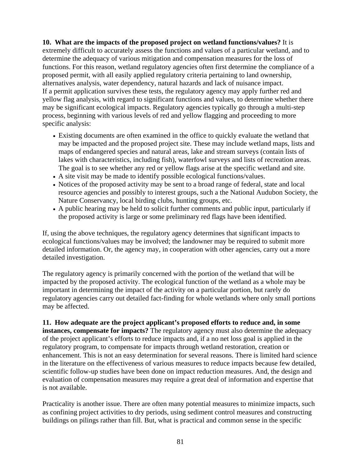**10. What are the impacts of the proposed project on wetland functions/values?** It is extremely difficult to accurately assess the functions and values of a particular wetland, and to determine the adequacy of various mitigation and compensation measures for the loss of functions. For this reason, wetland regulatory agencies often first determine the compliance of a proposed permit, with all easily applied regulatory criteria pertaining to land ownership, alternatives analysis, water dependency, natural hazards and lack of nuisance impact. If a permit application survives these tests, the regulatory agency may apply further red and yellow flag analysis, with regard to significant functions and values, to determine whether there may be significant ecological impacts. Regulatory agencies typically go through a multi-step process, beginning with various levels of red and yellow flagging and proceeding to more specific analysis:

- Existing documents are often examined in the office to quickly evaluate the wetland that may be impacted and the proposed project site. These may include wetland maps, lists and maps of endangered species and natural areas, lake and stream surveys (contain lists of lakes with characteristics, including fish), waterfowl surveys and lists of recreation areas. The goal is to see whether any red or yellow flags arise at the specific wetland and site.
- A site visit may be made to identify possible ecological functions/values.
- Notices of the proposed activity may be sent to a broad range of federal, state and local resource agencies and possibly to interest groups, such a the National Audubon Society, the Nature Conservancy, local birding clubs, hunting groups, etc.
- A public hearing may be held to solicit further comments and public input, particularly if the proposed activity is large or some preliminary red flags have been identified.

If, using the above techniques, the regulatory agency determines that significant impacts to ecological functions/values may be involved; the landowner may be required to submit more detailed information. Or, the agency may, in cooperation with other agencies, carry out a more detailed investigation.

The regulatory agency is primarily concerned with the portion of the wetland that will be impacted by the proposed activity. The ecological function of the wetland as a whole may be important in determining the impact of the activity on a particular portion, but rarely do regulatory agencies carry out detailed fact-finding for whole wetlands where only small portions may be affected.

**11. How adequate are the project applicant's proposed efforts to reduce and, in some instances, compensate for impacts?** The regulatory agency must also determine the adequacy of the project applicant's efforts to reduce impacts and, if a no net loss goal is applied in the regulatory program, to compensate for impacts through wetland restoration, creation or enhancement. This is not an easy determination for several reasons. There is limited hard science in the literature on the effectiveness of various measures to reduce impacts because few detailed, scientific follow-up studies have been done on impact reduction measures. And, the design and evaluation of compensation measures may require a great deal of information and expertise that is not available.

Practicality is another issue. There are often many potential measures to minimize impacts, such as confining project activities to dry periods, using sediment control measures and constructing buildings on pilings rather than fill. But, what is practical and common sense in the specific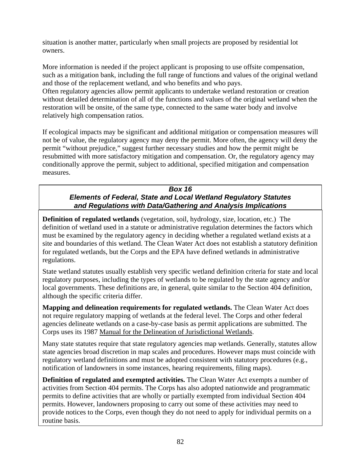situation is another matter, particularly when small projects are proposed by residential lot owners.

More information is needed if the project applicant is proposing to use offsite compensation, such as a mitigation bank, including the full range of functions and values of the original wetland and those of the replacement wetland, and who benefits and who pays.

Often regulatory agencies allow permit applicants to undertake wetland restoration or creation without detailed determination of all of the functions and values of the original wetland when the restoration will be onsite, of the same type, connected to the same water body and involve relatively high compensation ratios.

If ecological impacts may be significant and additional mitigation or compensation measures will not be of value, the regulatory agency may deny the permit. More often, the agency will deny the permit "without prejudice," suggest further necessary studies and how the permit might be resubmitted with more satisfactory mitigation and compensation. Or, the regulatory agency may conditionally approve the permit, subject to additional, specified mitigation and compensation measures.

#### *Box 16 Elements of Federal, State and Local Wetland Regulatory Statutes and Regulations with Data/Gathering and Analysis Implications*

**Definition of regulated wetlands** (vegetation, soil, hydrology, size, location, etc.) The definition of wetland used in a statute or administrative regulation determines the factors which must be examined by the regulatory agency in deciding whether a regulated wetland exists at a site and boundaries of this wetland. The Clean Water Act does not establish a statutory definition for regulated wetlands, but the Corps and the EPA have defined wetlands in administrative regulations.

State wetland statutes usually establish very specific wetland definition criteria for state and local regulatory purposes, including the types of wetlands to be regulated by the state agency and/or local governments. These definitions are, in general, quite similar to the Section 404 definition, although the specific criteria differ.

**Mapping and delineation requirements for regulated wetlands.** The Clean Water Act does not require regulatory mapping of wetlands at the federal level. The Corps and other federal agencies delineate wetlands on a case-by-case basis as permit applications are submitted. The Corps uses its 1987 Manual for the Delineation of Jurisdictional Wetlands.

Many state statutes require that state regulatory agencies map wetlands. Generally, statutes allow state agencies broad discretion in map scales and procedures. However maps must coincide with regulatory wetland definitions and must be adopted consistent with statutory procedures (e.g., notification of landowners in some instances, hearing requirements, filing maps).

**Definition of regulated and exempted activities.** The Clean Water Act exempts a number of activities from Section 404 permits. The Corps has also adopted nationwide and programmatic permits to define activities that are wholly or partially exempted from individual Section 404 permits. However, landowners proposing to carry out some of these activities may need to provide notices to the Corps, even though they do not need to apply for individual permits on a routine basis.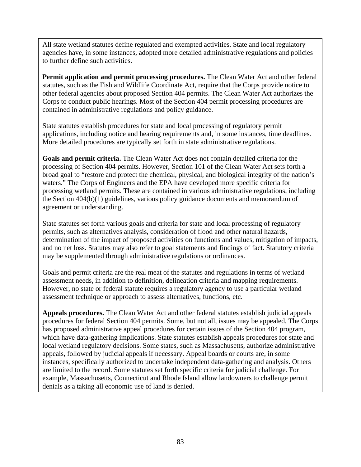All state wetland statutes define regulated and exempted activities. State and local regulatory agencies have, in some instances, adopted more detailed administrative regulations and policies to further define such activities.

**Permit application and permit processing procedures.** The Clean Water Act and other federal statutes, such as the Fish and Wildlife Coordinate Act, require that the Corps provide notice to other federal agencies about proposed Section 404 permits. The Clean Water Act authorizes the Corps to conduct public hearings. Most of the Section 404 permit processing procedures are contained in administrative regulations and policy guidance.

State statutes establish procedures for state and local processing of regulatory permit applications, including notice and hearing requirements and, in some instances, time deadlines. More detailed procedures are typically set forth in state administrative regulations.

**Goals and permit criteria.** The Clean Water Act does not contain detailed criteria for the processing of Section 404 permits. However, Section 101 of the Clean Water Act sets forth a broad goal to "restore and protect the chemical, physical, and biological integrity of the nation's waters." The Corps of Engineers and the EPA have developed more specific criteria for processing wetland permits. These are contained in various administrative regulations, including the Section 404(b)(1) guidelines, various policy guidance documents and memorandum of agreement or understanding.

State statutes set forth various goals and criteria for state and local processing of regulatory permits, such as alternatives analysis, consideration of flood and other natural hazards, determination of the impact of proposed activities on functions and values, mitigation of impacts, and no net loss. Statutes may also refer to goal statements and findings of fact. Statutory criteria may be supplemented through administrative regulations or ordinances.

Goals and permit criteria are the real meat of the statutes and regulations in terms of wetland assessment needs, in addition to definition, delineation criteria and mapping requirements. However, no state or federal statute requires a regulatory agency to use a particular wetland assessment technique or approach to assess alternatives, functions, etc.

**Appeals procedures.** The Clean Water Act and other federal statutes establish judicial appeals procedures for federal Section 404 permits. Some, but not all, issues may be appealed. The Corps has proposed administrative appeal procedures for certain issues of the Section 404 program, which have data-gathering implications. State statutes establish appeals procedures for state and local wetland regulatory decisions. Some states, such as Massachusetts, authorize administrative appeals, followed by judicial appeals if necessary. Appeal boards or courts are, in some instances, specifically authorized to undertake independent data-gathering and analysis. Others are limited to the record. Some statutes set forth specific criteria for judicial challenge. For example, Massachusetts, Connecticut and Rhode Island allow landowners to challenge permit denials as a taking all economic use of land is denied.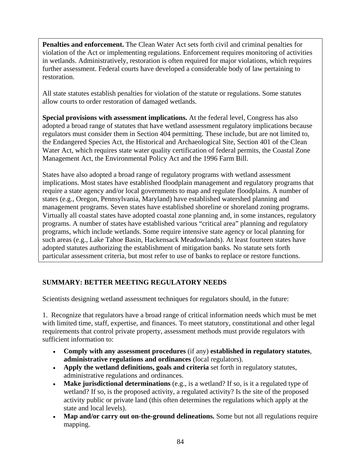**Penalties and enforcement.** The Clean Water Act sets forth civil and criminal penalties for violation of the Act or implementing regulations. Enforcement requires monitoring of activities in wetlands. Administratively, restoration is often required for major violations, which requires further assessment. Federal courts have developed a considerable body of law pertaining to restoration.

All state statutes establish penalties for violation of the statute or regulations. Some statutes allow courts to order restoration of damaged wetlands.

**Special provisions with assessment implications.** At the federal level, Congress has also adopted a broad range of statutes that have wetland assessment regulatory implications because regulators must consider them in Section 404 permitting. These include, but are not limited to, the Endangered Species Act, the Historical and Archaeological Site, Section 401 of the Clean Water Act, which requires state water quality certification of federal permits, the Coastal Zone Management Act, the Environmental Policy Act and the 1996 Farm Bill.

States have also adopted a broad range of regulatory programs with wetland assessment implications. Most states have established floodplain management and regulatory programs that require a state agency and/or local governments to map and regulate floodplains. A number of states (e.g., Oregon, Pennsylvania, Maryland) have established watershed planning and management programs. Seven states have established shoreline or shoreland zoning programs. Virtually all coastal states have adopted coastal zone planning and, in some instances, regulatory programs. A number of states have established various "critical area" planning and regulatory programs, which include wetlands. Some require intensive state agency or local planning for such areas (e.g., Lake Tahoe Basin, Hackensack Meadowlands). At least fourteen states have adopted statutes authorizing the establishment of mitigation banks. No statute sets forth particular assessment criteria, but most refer to use of banks to replace or restore functions.

# **SUMMARY: BETTER MEETING REGULATORY NEEDS**

Scientists designing wetland assessment techniques for regulators should, in the future:

1. Recognize that regulators have a broad range of critical information needs which must be met with limited time, staff, expertise, and finances. To meet statutory, constitutional and other legal requirements that control private property, assessment methods must provide regulators with sufficient information to:

- **Comply with any assessment procedures** (if any) **established in regulatory statutes**, **administrative regulations and ordinances** (local regulators).
- **Apply the wetland definitions, goals and criteria** set forth in regulatory statutes, administrative regulations and ordinances.
- **Make jurisdictional determinations** (e.g., is a wetland? If so, is it a regulated type of wetland? If so, is the proposed activity, a regulated activity? Is the site of the proposed activity public or private land (this often determines the regulations which apply at the state and local levels).
- Map and/or carry out on-the-ground delineations. Some but not all regulations require mapping.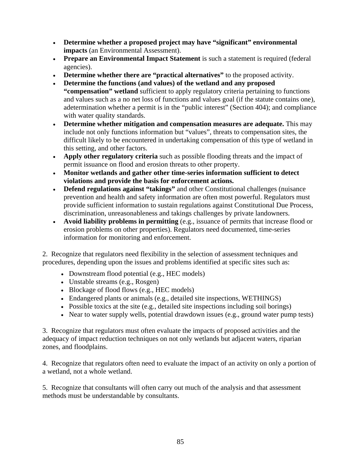- **Determine whether a proposed project may have "significant" environmental impacts** (an Environmental Assessment).
- **Prepare an Environmental Impact Statement** is such a statement is required (federal agencies).
- **Determine whether there are "practical alternatives"** to the proposed activity.
- **Determine the functions (and values) of the wetland and any proposed**
- **"compensation" wetland** sufficient to apply regulatory criteria pertaining to functions and values such as a no net loss of functions and values goal (if the statute contains one), adetermination whether a permit is in the "public interest" (Section 404); and compliance with water quality standards.
- **Determine whether mitigation and compensation measures are adequate.** This may include not only functions information but "values", threats to compensation sites, the difficult likely to be encountered in undertaking compensation of this type of wetland in this setting, and other factors.
- **Apply other regulatory criteria** such as possible flooding threats and the impact of permit issuance on flood and erosion threats to other property.
- **Monitor wetlands and gather other time-series information sufficient to detect violations and provide the basis for enforcement actions.**
- **Defend regulations against "takings"** and other Constitutional challenges (nuisance prevention and health and safety information are often most powerful. Regulators must provide sufficient information to sustain regulations against Constitutional Due Process, discrimination, unreasonableness and takings challenges by private landowners.
- **Avoid liability problems in permitting** (e.g., issuance of permits that increase flood or erosion problems on other properties). Regulators need documented, time-series information for monitoring and enforcement.

2. Recognize that regulators need flexibility in the selection of assessment techniques and procedures, depending upon the issues and problems identified at specific sites such as:

- Downstream flood potential (e.g., HEC models)
- Unstable streams (e.g., Rosgen)
- Blockage of flood flows (e.g., HEC models)
- Endangered plants or animals (e.g., detailed site inspections, WETHINGS)
- Possible toxics at the site (e.g., detailed site inspections including soil borings)
- Near to water supply wells, potential drawdown issues (e.g., ground water pump tests)

3. Recognize that regulators must often evaluate the impacts of proposed activities and the adequacy of impact reduction techniques on not only wetlands but adjacent waters, riparian zones, and floodplains.

4. Recognize that regulators often need to evaluate the impact of an activity on only a portion of a wetland, not a whole wetland.

5. Recognize that consultants will often carry out much of the analysis and that assessment methods must be understandable by consultants.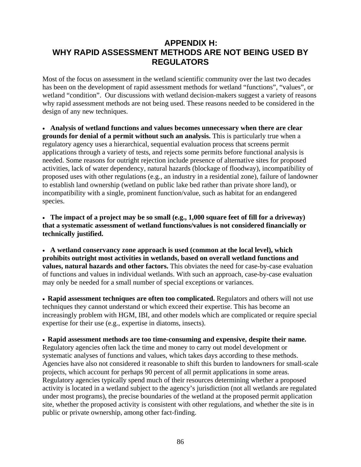# **APPENDIX H: WHY RAPID ASSESSMENT METHODS ARE NOT BEING USED BY REGULATORS**

Most of the focus on assessment in the wetland scientific community over the last two decades has been on the development of rapid assessment methods for wetland "functions", "values", or wetland "condition". Our discussions with wetland decision-makers suggest a variety of reasons why rapid assessment methods are not being used. These reasons needed to be considered in the design of any new techniques.

• **Analysis of wetland functions and values becomes unnecessary when there are clear grounds for denial of a permit without such an analysis.** This is particularly true when a regulatory agency uses a hierarchical, sequential evaluation process that screens permit applications through a variety of tests, and rejects some permits before functional analysis is needed. Some reasons for outright rejection include presence of alternative sites for proposed activities, lack of water dependency, natural hazards (blockage of floodway), incompatibility of proposed uses with other regulations (e.g., an industry in a residential zone), failure of landowner to establish land ownership (wetland on public lake bed rather than private shore land), or incompatibility with a single, prominent function/value, such as habitat for an endangered species.

• **The impact of a project may be so small (e.g., 1,000 square feet of fill for a driveway) that a systematic assessment of wetland functions/values is not considered financially or technically justified.** 

• **A wetland conservancy zone approach is used (common at the local level), which prohibits outright most activities in wetlands, based on overall wetland functions and**  values, natural hazards and other factors. This obviates the need for case-by-case evaluation of functions and values in individual wetlands. With such an approach, case-by-case evaluation may only be needed for a small number of special exceptions or variances.

• **Rapid assessment techniques are often too complicated.** Regulators and others will not use techniques they cannot understand or which exceed their expertise. This has become an increasingly problem with HGM, IBI, and other models which are complicated or require special expertise for their use (e.g., expertise in diatoms, insects).

• **Rapid assessment methods are too time-consuming and expensive, despite their name.** Regulatory agencies often lack the time and money to carry out model development or systematic analyses of functions and values, which takes days according to these methods. Agencies have also not considered it reasonable to shift this burden to landowners for small-scale projects, which account for perhaps 90 percent of all permit applications in some areas. Regulatory agencies typically spend much of their resources determining whether a proposed activity is located in a wetland subject to the agency's jurisdiction (not all wetlands are regulated under most programs), the precise boundaries of the wetland at the proposed permit application site, whether the proposed activity is consistent with other regulations, and whether the site is in public or private ownership, among other fact-finding.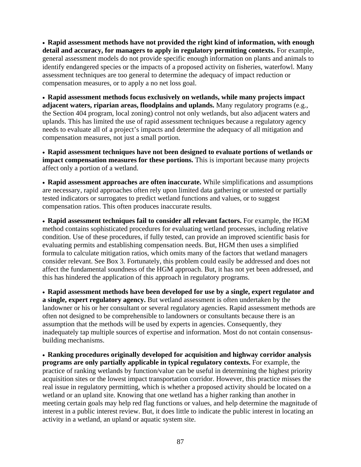• **Rapid assessment methods have not provided the right kind of information, with enough detail and accuracy, for managers to apply in regulatory permitting contexts.** For example, general assessment models do not provide specific enough information on plants and animals to identify endangered species or the impacts of a proposed activity on fisheries, waterfowl. Many assessment techniques are too general to determine the adequacy of impact reduction or compensation measures, or to apply a no net loss goal.

• **Rapid assessment methods focus exclusively on wetlands, while many projects impact adjacent waters, riparian areas, floodplains and uplands.** Many regulatory programs (e.g., the Section 404 program, local zoning) control not only wetlands, but also adjacent waters and uplands. This has limited the use of rapid assessment techniques because a regulatory agency needs to evaluate all of a project's impacts and determine the adequacy of all mitigation and compensation measures, not just a small portion.

• **Rapid assessment techniques have not been designed to evaluate portions of wetlands or impact compensation measures for these portions.** This is important because many projects affect only a portion of a wetland.

• **Rapid assessment approaches are often inaccurate.** While simplifications and assumptions are necessary, rapid approaches often rely upon limited data gathering or untested or partially tested indicators or surrogates to predict wetland functions and values, or to suggest compensation ratios. This often produces inaccurate results.

• **Rapid assessment techniques fail to consider all relevant factors.** For example, the HGM method contains sophisticated procedures for evaluating wetland processes, including relative condition. Use of these procedures, if fully tested, can provide an improved scientific basis for evaluating permits and establishing compensation needs. But, HGM then uses a simplified formula to calculate mitigation ratios, which omits many of the factors that wetland managers consider relevant. See Box 3. Fortunately, this problem could easily be addressed and does not affect the fundamental soundness of the HGM approach. But, it has not yet been addressed, and this has hindered the application of this approach in regulatory programs.

• **Rapid assessment methods have been developed for use by a single, expert regulator and a single, expert regulatory agency.** But wetland assessment is often undertaken by the landowner or his or her consultant or several regulatory agencies. Rapid assessment methods are often not designed to be comprehensible to landowners or consultants because there is an assumption that the methods will be used by experts in agencies. Consequently, they inadequately tap multiple sources of expertise and information. Most do not contain consensusbuilding mechanisms.

• **Ranking procedures originally developed for acquisition and highway corridor analysis programs are only partially applicable in typical regulatory contexts.** For example, the practice of ranking wetlands by function/value can be useful in determining the highest priority acquisition sites or the lowest impact transportation corridor. However, this practice misses the real issue in regulatory permitting, which is whether a proposed activity should be located on a wetland or an upland site. Knowing that one wetland has a higher ranking than another in meeting certain goals may help red flag functions or values, and help determine the magnitude of interest in a public interest review. But, it does little to indicate the public interest in locating an activity in a wetland, an upland or aquatic system site.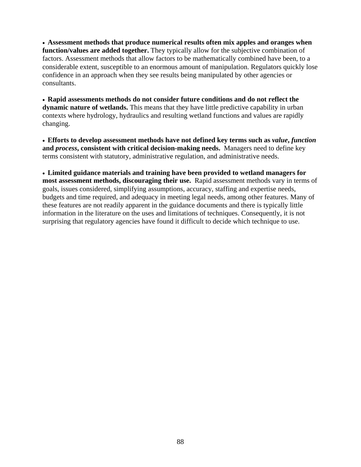• **Assessment methods that produce numerical results often mix apples and oranges when function/values are added together.** They typically allow for the subjective combination of factors. Assessment methods that allow factors to be mathematically combined have been, to a considerable extent, susceptible to an enormous amount of manipulation. Regulators quickly lose confidence in an approach when they see results being manipulated by other agencies or consultants.

• **Rapid assessments methods do not consider future conditions and do not reflect the dynamic nature of wetlands.** This means that they have little predictive capability in urban contexts where hydrology, hydraulics and resulting wetland functions and values are rapidly changing.

• **Efforts to develop assessment methods have not defined key terms such as** *value***,** *function* **and** *process***, consistent with critical decision-making needs.** Managers need to define key terms consistent with statutory, administrative regulation, and administrative needs.

• **Limited guidance materials and training have been provided to wetland managers for most assessment methods, discouraging their use.** Rapid assessment methods vary in terms of goals, issues considered, simplifying assumptions, accuracy, staffing and expertise needs, budgets and time required, and adequacy in meeting legal needs, among other features. Many of these features are not readily apparent in the guidance documents and there is typically little information in the literature on the uses and limitations of techniques. Consequently, it is not surprising that regulatory agencies have found it difficult to decide which technique to use.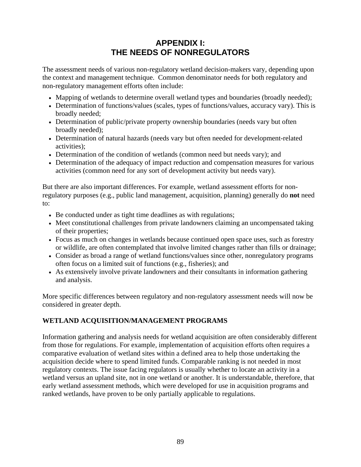# **APPENDIX I: THE NEEDS OF NONREGULATORS**

The assessment needs of various non-regulatory wetland decision-makers vary, depending upon the context and management technique. Common denominator needs for both regulatory and non-regulatory management efforts often include:

- Mapping of wetlands to determine overall wetland types and boundaries (broadly needed);
- Determination of functions/values (scales, types of functions/values, accuracy vary). This is broadly needed;
- Determination of public/private property ownership boundaries (needs vary but often broadly needed);
- Determination of natural hazards (needs vary but often needed for development-related activities);
- Determination of the condition of wetlands (common need but needs vary); and
- Determination of the adequacy of impact reduction and compensation measures for various activities (common need for any sort of development activity but needs vary).

But there are also important differences. For example, wetland assessment efforts for nonregulatory purposes (e.g., public land management, acquisition, planning) generally do **not** need to:

- Be conducted under as tight time deadlines as with regulations;
- Meet constitutional challenges from private landowners claiming an uncompensated taking of their properties;
- Focus as much on changes in wetlands because continued open space uses, such as forestry or wildlife, are often contemplated that involve limited changes rather than fills or drainage;
- Consider as broad a range of wetland functions/values since other, nonregulatory programs often focus on a limited suit of functions (e.g., fisheries); and
- As extensively involve private landowners and their consultants in information gathering and analysis.

More specific differences between regulatory and non-regulatory assessment needs will now be considered in greater depth.

## **WETLAND ACQUISITION/MANAGEMENT PROGRAMS**

Information gathering and analysis needs for wetland acquisition are often considerably different from those for regulations. For example, implementation of acquisition efforts often requires a comparative evaluation of wetland sites within a defined area to help those undertaking the acquisition decide where to spend limited funds. Comparable ranking is not needed in most regulatory contexts. The issue facing regulators is usually whether to locate an activity in a wetland versus an upland site, not in one wetland or another. It is understandable, therefore, that early wetland assessment methods, which were developed for use in acquisition programs and ranked wetlands, have proven to be only partially applicable to regulations.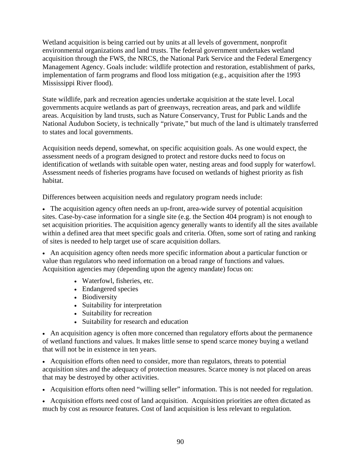Wetland acquisition is being carried out by units at all levels of government, nonprofit environmental organizations and land trusts. The federal government undertakes wetland acquisition through the FWS, the NRCS, the National Park Service and the Federal Emergency Management Agency. Goals include: wildlife protection and restoration, establishment of parks, implementation of farm programs and flood loss mitigation (e.g., acquisition after the 1993 Mississippi River flood).

State wildlife, park and recreation agencies undertake acquisition at the state level. Local governments acquire wetlands as part of greenways, recreation areas, and park and wildlife areas. Acquisition by land trusts, such as Nature Conservancy, Trust for Public Lands and the National Audubon Society, is technically "private," but much of the land is ultimately transferred to states and local governments.

Acquisition needs depend, somewhat, on specific acquisition goals. As one would expect, the assessment needs of a program designed to protect and restore ducks need to focus on identification of wetlands with suitable open water, nesting areas and food supply for waterfowl. Assessment needs of fisheries programs have focused on wetlands of highest priority as fish habitat.

Differences between acquisition needs and regulatory program needs include:

• The acquisition agency often needs an up-front, area-wide survey of potential acquisition sites. Case-by-case information for a single site (e.g. the Section 404 program) is not enough to set acquisition priorities. The acquisition agency generally wants to identify all the sites available within a defined area that meet specific goals and criteria. Often, some sort of rating and ranking of sites is needed to help target use of scare acquisition dollars.

• An acquisition agency often needs more specific information about a particular function or value than regulators who need information on a broad range of functions and values. Acquisition agencies may (depending upon the agency mandate) focus on:

- Waterfowl, fisheries, etc.
- Endangered species
- Biodiversity
- Suitability for interpretation
- Suitability for recreation
- Suitability for research and education

• An acquisition agency is often more concerned than regulatory efforts about the permanence of wetland functions and values. It makes little sense to spend scarce money buying a wetland that will not be in existence in ten years.

• Acquisition efforts often need to consider, more than regulators, threats to potential acquisition sites and the adequacy of protection measures. Scarce money is not placed on areas that may be destroyed by other activities.

• Acquisition efforts often need "willing seller" information. This is not needed for regulation.

• Acquisition efforts need cost of land acquisition. Acquisition priorities are often dictated as much by cost as resource features. Cost of land acquisition is less relevant to regulation.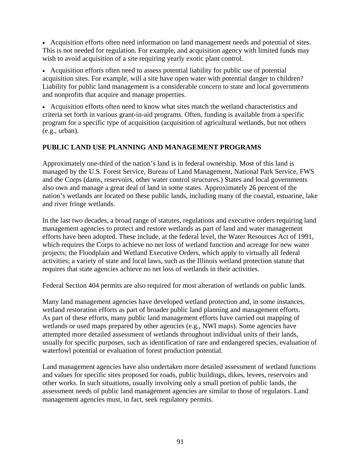• Acquisition efforts often need information on land management needs and potential of sites. This is not needed for regulation. For example, and acquisition agency with limited funds may wish to avoid acquisition of a site requiring yearly exotic plant control.

• Acquisition efforts often need to assess potential liability for public use of potential acquisition sites. For example, will a site have open water with potential danger to children? Liability for public land management is a considerable concern to state and local governments and nonprofits that acquire and manage properties.

• Acquisition efforts often need to know what sites match the wetland characteristics and criteria set forth in various grant-in-aid programs. Often, funding is available from a specific program for a specific type of acquisition (acquisition of agricultural wetlands, but not others (e.g., urban).

#### **PUBLIC LAND USE PLANNING AND MANAGEMENT PROGRAMS**

Approximately one-third of the nation's land is in federal ownership. Most of this land is managed by the U.S. Forest Service, Bureau of Land Management, National Park Service, FWS and the Corps (dams, reservoirs, other water control structures.) States and local governments also own and manage a great deal of land in some states. Approximately 26 percent of the nation's wetlands are located on these public lands, including many of the coastal, estuarine, lake and river fringe wetlands.

In the last two decades, a broad range of statutes, regulations and executive orders requiring land management agencies to protect and restore wetlands as part of land and water management efforts have been adopted. These include, at the federal level, the Water Resources Act of 1991, which requires the Corps to achieve no net loss of wetland function and acreage for new water projects; the Floodplain and Wetland Executive Orders, which apply to virtually all federal activities; a variety of state and local laws, such as the Illinois wetland protection statute that requires that state agencies achieve no net loss of wetlands in their activities.

Federal Section 404 permits are also required for most alteration of wetlands on public lands.

Many land management agencies have developed wetland protection and, in some instances, wetland restoration efforts as part of broader public land planning and management efforts. As part of these efforts, many public land management efforts have carried out mapping of wetlands or used maps prepared by other agencies (e.g., NWI maps). Some agencies have attempted more detailed assessment of wetlands throughout individual units of their lands, usually for specific purposes, such as identification of rare and endangered species, evaluation of waterfowl potential or evaluation of forest production potential.

Land management agencies have also undertaken more detailed assessment of wetland functions and values for specific sites proposed for roads, public buildings, dikes, levees, reservoirs and other works. In such situations, usually involving only a small portion of public lands, the assessment needs of public land management agencies are similar to those of regulators. Land management agencies must, in fact, seek regulatory permits.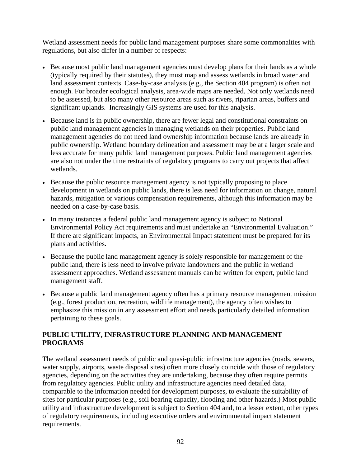Wetland assessment needs for public land management purposes share some commonalties with regulations, but also differ in a number of respects:

- Because most public land management agencies must develop plans for their lands as a whole (typically required by their statutes), they must map and assess wetlands in broad water and land assessment contexts. Case-by-case analysis (e.g., the Section 404 program) is often not enough. For broader ecological analysis, area-wide maps are needed. Not only wetlands need to be assessed, but also many other resource areas such as rivers, riparian areas, buffers and significant uplands. Increasingly GIS systems are used for this analysis.
- Because land is in public ownership, there are fewer legal and constitutional constraints on public land management agencies in managing wetlands on their properties. Public land management agencies do not need land ownership information because lands are already in public ownership. Wetland boundary delineation and assessment may be at a larger scale and less accurate for many public land management purposes. Public land management agencies are also not under the time restraints of regulatory programs to carry out projects that affect wetlands.
- Because the public resource management agency is not typically proposing to place development in wetlands on public lands, there is less need for information on change, natural hazards, mitigation or various compensation requirements, although this information may be needed on a case-by-case basis.
- In many instances a federal public land management agency is subject to National Environmental Policy Act requirements and must undertake an "Environmental Evaluation." If there are significant impacts, an Environmental Impact statement must be prepared for its plans and activities.
- Because the public land management agency is solely responsible for management of the public land, there is less need to involve private landowners and the public in wetland assessment approaches. Wetland assessment manuals can be written for expert, public land management staff.
- Because a public land management agency often has a primary resource management mission (e.g., forest production, recreation, wildlife management), the agency often wishes to emphasize this mission in any assessment effort and needs particularly detailed information pertaining to these goals.

#### **PUBLIC UTILITY, INFRASTRUCTURE PLANNING AND MANAGEMENT PROGRAMS**

The wetland assessment needs of public and quasi-public infrastructure agencies (roads, sewers, water supply, airports, waste disposal sites) often more closely coincide with those of regulatory agencies, depending on the activities they are undertaking, because they often require permits from regulatory agencies. Public utility and infrastructure agencies need detailed data, comparable to the information needed for development purposes, to evaluate the suitability of sites for particular purposes (e.g., soil bearing capacity, flooding and other hazards.) Most public utility and infrastructure development is subject to Section 404 and, to a lesser extent, other types of regulatory requirements, including executive orders and environmental impact statement requirements.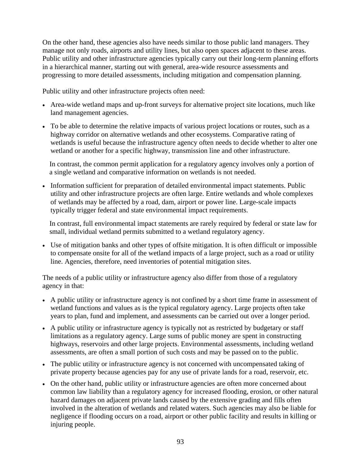On the other hand, these agencies also have needs similar to those public land managers. They manage not only roads, airports and utility lines, but also open spaces adjacent to these areas. Public utility and other infrastructure agencies typically carry out their long-term planning efforts in a hierarchical manner, starting out with general, area-wide resource assessments and progressing to more detailed assessments, including mitigation and compensation planning.

Public utility and other infrastructure projects often need:

- Area-wide wetland maps and up-front surveys for alternative project site locations, much like land management agencies.
- To be able to determine the relative impacts of various project locations or routes, such as a highway corridor on alternative wetlands and other ecosystems. Comparative rating of wetlands is useful because the infrastructure agency often needs to decide whether to alter one wetland or another for a specific highway, transmission line and other infrastructure.

 In contrast, the common permit application for a regulatory agency involves only a portion of a single wetland and comparative information on wetlands is not needed.

• Information sufficient for preparation of detailed environmental impact statements. Public utility and other infrastructure projects are often large. Entire wetlands and whole complexes of wetlands may be affected by a road, dam, airport or power line. Large-scale impacts typically trigger federal and state environmental impact requirements.

 In contrast, full environmental impact statements are rarely required by federal or state law for small, individual wetland permits submitted to a wetland regulatory agency.

• Use of mitigation banks and other types of offsite mitigation. It is often difficult or impossible to compensate onsite for all of the wetland impacts of a large project, such as a road or utility line. Agencies, therefore, need inventories of potential mitigation sites.

The needs of a public utility or infrastructure agency also differ from those of a regulatory agency in that:

- A public utility or infrastructure agency is not confined by a short time frame in assessment of wetland functions and values as is the typical regulatory agency. Large projects often take years to plan, fund and implement, and assessments can be carried out over a longer period.
- A public utility or infrastructure agency is typically not as restricted by budgetary or staff limitations as a regulatory agency. Large sums of public money are spent in constructing highways, reservoirs and other large projects. Environmental assessments, including wetland assessments, are often a small portion of such costs and may be passed on to the public.
- The public utility or infrastructure agency is not concerned with uncompensated taking of private property because agencies pay for any use of private lands for a road, reservoir, etc.
- On the other hand, public utility or infrastructure agencies are often more concerned about common law liability than a regulatory agency for increased flooding, erosion, or other natural hazard damages on adjacent private lands caused by the extensive grading and fills often involved in the alteration of wetlands and related waters. Such agencies may also be liable for negligence if flooding occurs on a road, airport or other public facility and results in killing or injuring people.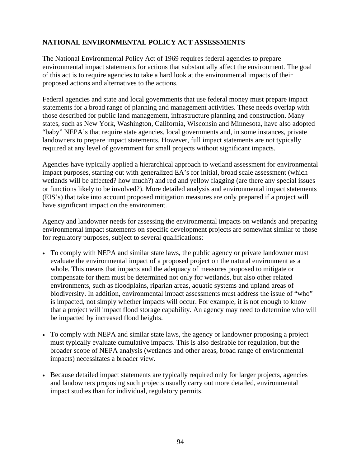## **NATIONAL ENVIRONMENTAL POLICY ACT ASSESSMENTS**

The National Environmental Policy Act of 1969 requires federal agencies to prepare environmental impact statements for actions that substantially affect the environment. The goal of this act is to require agencies to take a hard look at the environmental impacts of their proposed actions and alternatives to the actions.

Federal agencies and state and local governments that use federal money must prepare impact statements for a broad range of planning and management activities. These needs overlap with those described for public land management, infrastructure planning and construction. Many states, such as New York, Washington, California, Wisconsin and Minnesota, have also adopted "baby" NEPA's that require state agencies, local governments and, in some instances, private landowners to prepare impact statements. However, full impact statements are not typically required at any level of government for small projects without significant impacts.

Agencies have typically applied a hierarchical approach to wetland assessment for environmental impact purposes, starting out with generalized EA's for initial, broad scale assessment (which wetlands will be affected? how much?) and red and yellow flagging (are there any special issues or functions likely to be involved?). More detailed analysis and environmental impact statements (EIS's) that take into account proposed mitigation measures are only prepared if a project will have significant impact on the environment.

Agency and landowner needs for assessing the environmental impacts on wetlands and preparing environmental impact statements on specific development projects are somewhat similar to those for regulatory purposes, subject to several qualifications:

- To comply with NEPA and similar state laws, the public agency or private landowner must evaluate the environmental impact of a proposed project on the natural environment as a whole. This means that impacts and the adequacy of measures proposed to mitigate or compensate for them must be determined not only for wetlands, but also other related environments, such as floodplains, riparian areas, aquatic systems and upland areas of biodiversity. In addition, environmental impact assessments must address the issue of "who" is impacted, not simply whether impacts will occur. For example, it is not enough to know that a project will impact flood storage capability. An agency may need to determine who will be impacted by increased flood heights.
- To comply with NEPA and similar state laws, the agency or landowner proposing a project must typically evaluate cumulative impacts. This is also desirable for regulation, but the broader scope of NEPA analysis (wetlands and other areas, broad range of environmental impacts) necessitates a broader view.
- Because detailed impact statements are typically required only for larger projects, agencies and landowners proposing such projects usually carry out more detailed, environmental impact studies than for individual, regulatory permits.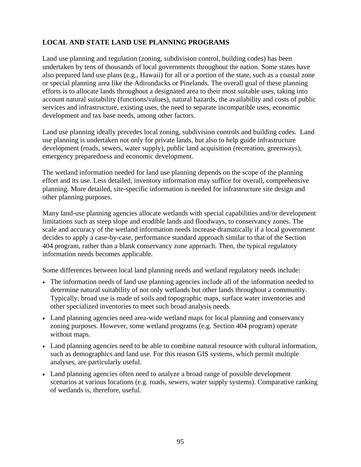## **LOCAL AND STATE LAND USE PLANNING PROGRAMS**

Land use planning and regulation (zoning, subdivision control, building codes) has been undertaken by tens of thousands of local governments throughout the nation. Some states have also prepared land use plans (e.g., Hawaii) for all or a portion of the state, such as a coastal zone or special planning area like the Adirondacks or Pinelands. The overall goal of these planning efforts is to allocate lands throughout a designated area to their most suitable uses, taking into account natural suitability (functions/values), natural hazards, the availability and costs of public services and infrastructure, existing uses, the need to separate incompatible uses, economic development and tax base needs, among other factors.

Land use planning ideally precedes local zoning, subdivision controls and building codes. Land use planning is undertaken not only for private lands, but also to help guide infrastructure development (roads, sewers, water supply), public land acquisition (recreation, greenways), emergency preparedness and economic development.

The wetland information needed for land use planning depends on the scope of the planning effort and its use. Less detailed, inventory information may suffice for overall, comprehensive planning. More detailed, site-specific information is needed for infrastructure site design and other planning purposes.

Many land-use planning agencies allocate wetlands with special capabilities and/or development limitations such as steep slope and erodible lands and floodways, to conservancy zones. The scale and accuracy of the wetland information needs increase dramatically if a local government decides to apply a case-by-case, performance standard approach similar to that of the Section 404 program, rather than a blank conservancy zone approach. Then, the typical regulatory information needs becomes applicable.

Some differences between local land planning needs and wetland regulatory needs include:

- The information needs of land use planning agencies include all of the information needed to determine natural suitability of not only wetlands but other lands throughout a community. Typically, broad use is made of soils and topographic maps, surface water inventories and other specialized inventories to meet such broad analysis needs.
- Land planning agencies need area-wide wetland maps for local planning and conservancy zoning purposes. However, some wetland programs (e.g. Section 404 program) operate without maps.
- Land planning agencies need to be able to combine natural resource with cultural information, such as demographics and land use. For this reason GIS systems, which permit multiple analyses, are particularly useful.
- Land planning agencies often need to analyze a broad range of possible development scenarios at various locations (e.g. roads, sewers, water supply systems). Comparative ranking of wetlands is, therefore, useful.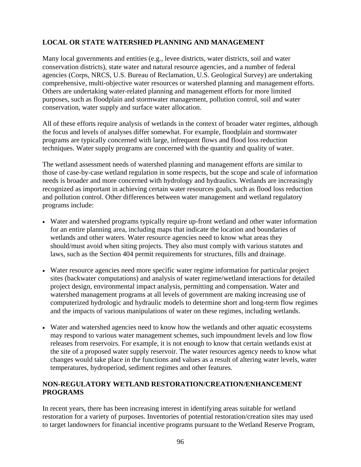# **LOCAL OR STATE WATERSHED PLANNING AND MANAGEMENT**

Many local governments and entities (e.g., levee districts, water districts, soil and water conservation districts), state water and natural resource agencies, and a number of federal agencies (Corps, NRCS, U.S. Bureau of Reclamation, U.S. Geological Survey) are undertaking comprehensive, multi-objective water resources or watershed planning and management efforts. Others are undertaking water-related planning and management efforts for more limited purposes, such as floodplain and stormwater management, pollution control, soil and water conservation, water supply and surface water allocation.

All of these efforts require analysis of wetlands in the context of broader water regimes, although the focus and levels of analyses differ somewhat. For example, floodplain and stormwater programs are typically concerned with large, infrequent flows and flood loss reduction techniques. Water supply programs are concerned with the quantity and quality of water.

The wetland assessment needs of watershed planning and management efforts are similar to those of case-by-case wetland regulation in some respects, but the scope and scale of information needs is broader and more concerned with hydrology and hydraulics. Wetlands are increasingly recognized as important in achieving certain water resources goals, such as flood loss reduction and pollution control. Other differences between water management and wetland regulatory programs include:

- Water and watershed programs typically require up-front wetland and other water information for an entire planning area, including maps that indicate the location and boundaries of wetlands and other waters. Water resource agencies need to know what areas they should/must avoid when siting projects. They also must comply with various statutes and laws, such as the Section 404 permit requirements for structures, fills and drainage.
- Water resource agencies need more specific water regime information for particular project sites (backwater computations) and analysis of water regime/wetland interactions for detailed project design, environmental impact analysis, permitting and compensation. Water and watershed management programs at all levels of government are making increasing use of computerized hydrologic and hydraulic models to determine short and long-term flow regimes and the impacts of various manipulations of water on these regimes, including wetlands.
- Water and watershed agencies need to know how the wetlands and other aquatic ecosystems may respond to various water management schemes, such impoundment levels and low flow releases from reservoirs. For example, it is not enough to know that certain wetlands exist at the site of a proposed water supply reservoir. The water resources agency needs to know what changes would take place in the functions and values as a result of altering water levels, water temperatures, hydroperiod, sediment regimes and other features.

#### **NON-REGULATORY WETLAND RESTORATION/CREATION/ENHANCEMENT PROGRAMS**

In recent years, there has been increasing interest in identifying areas suitable for wetland restoration for a variety of purposes. Inventories of potential restoration/creation sites may used to target landowners for financial incentive programs pursuant to the Wetland Reserve Program,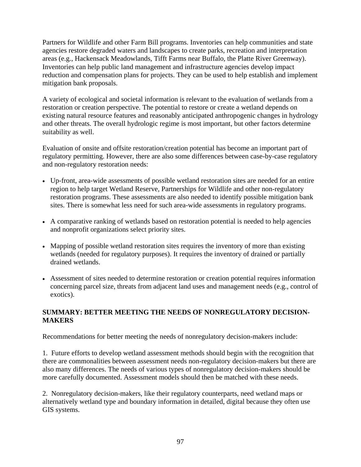Partners for Wildlife and other Farm Bill programs. Inventories can help communities and state agencies restore degraded waters and landscapes to create parks, recreation and interpretation areas (e.g., Hackensack Meadowlands, Tifft Farms near Buffalo, the Platte River Greenway). Inventories can help public land management and infrastructure agencies develop impact reduction and compensation plans for projects. They can be used to help establish and implement mitigation bank proposals.

A variety of ecological and societal information is relevant to the evaluation of wetlands from a restoration or creation perspective. The potential to restore or create a wetland depends on existing natural resource features and reasonably anticipated anthropogenic changes in hydrology and other threats. The overall hydrologic regime is most important, but other factors determine suitability as well.

Evaluation of onsite and offsite restoration/creation potential has become an important part of regulatory permitting. However, there are also some differences between case-by-case regulatory and non-regulatory restoration needs:

- Up-front, area-wide assessments of possible wetland restoration sites are needed for an entire region to help target Wetland Reserve, Partnerships for Wildlife and other non-regulatory restoration programs. These assessments are also needed to identify possible mitigation bank sites. There is somewhat less need for such area-wide assessments in regulatory programs.
- A comparative ranking of wetlands based on restoration potential is needed to help agencies and nonprofit organizations select priority sites.
- Mapping of possible wetland restoration sites requires the inventory of more than existing wetlands (needed for regulatory purposes). It requires the inventory of drained or partially drained wetlands.
- Assessment of sites needed to determine restoration or creation potential requires information concerning parcel size, threats from adjacent land uses and management needs (e.g., control of exotics).

#### **SUMMARY: BETTER MEETING THE NEEDS OF NONREGULATORY DECISION-MAKERS**

Recommendations for better meeting the needs of nonregulatory decision-makers include:

1. Future efforts to develop wetland assessment methods should begin with the recognition that there are commonalities between assessment needs non-regulatory decision-makers but there are also many differences. The needs of various types of nonregulatory decision-makers should be more carefully documented. Assessment models should then be matched with these needs.

2. Nonregulatory decision-makers, like their regulatory counterparts, need wetland maps or alternatively wetland type and boundary information in detailed, digital because they often use GIS systems.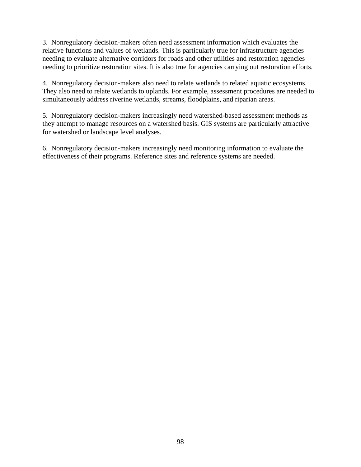3. Nonregulatory decision-makers often need assessment information which evaluates the relative functions and values of wetlands. This is particularly true for infrastructure agencies needing to evaluate alternative corridors for roads and other utilities and restoration agencies needing to prioritize restoration sites. It is also true for agencies carrying out restoration efforts.

4. Nonregulatory decision-makers also need to relate wetlands to related aquatic ecosystems. They also need to relate wetlands to uplands. For example, assessment procedures are needed to simultaneously address riverine wetlands, streams, floodplains, and riparian areas.

5. Nonregulatory decision-makers increasingly need watershed-based assessment methods as they attempt to manage resources on a watershed basis. GIS systems are particularly attractive for watershed or landscape level analyses.

6. Nonregulatory decision-makers increasingly need monitoring information to evaluate the effectiveness of their programs. Reference sites and reference systems are needed.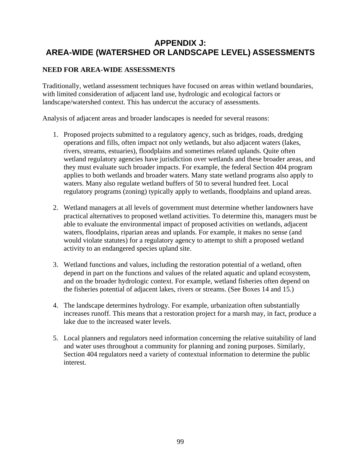# **APPENDIX J: AREA-WIDE (WATERSHED OR LANDSCAPE LEVEL) ASSESSMENTS**

# **NEED FOR AREA-WIDE ASSESSMENTS**

Traditionally, wetland assessment techniques have focused on areas within wetland boundaries, with limited consideration of adjacent land use, hydrologic and ecological factors or landscape/watershed context. This has undercut the accuracy of assessments.

Analysis of adjacent areas and broader landscapes is needed for several reasons:

- 1. Proposed projects submitted to a regulatory agency, such as bridges, roads, dredging operations and fills, often impact not only wetlands, but also adjacent waters (lakes, rivers, streams, estuaries), floodplains and sometimes related uplands. Quite often wetland regulatory agencies have jurisdiction over wetlands and these broader areas, and they must evaluate such broader impacts. For example, the federal Section 404 program applies to both wetlands and broader waters. Many state wetland programs also apply to waters. Many also regulate wetland buffers of 50 to several hundred feet. Local regulatory programs (zoning) typically apply to wetlands, floodplains and upland areas.
- 2. Wetland managers at all levels of government must determine whether landowners have practical alternatives to proposed wetland activities. To determine this, managers must be able to evaluate the environmental impact of proposed activities on wetlands, adjacent waters, floodplains, riparian areas and uplands. For example, it makes no sense (and would violate statutes) for a regulatory agency to attempt to shift a proposed wetland activity to an endangered species upland site.
- 3. Wetland functions and values, including the restoration potential of a wetland, often depend in part on the functions and values of the related aquatic and upland ecosystem, and on the broader hydrologic context. For example, wetland fisheries often depend on the fisheries potential of adjacent lakes, rivers or streams. (See Boxes 14 and 15.)
- 4. The landscape determines hydrology. For example, urbanization often substantially increases runoff. This means that a restoration project for a marsh may, in fact, produce a lake due to the increased water levels.
- 5. Local planners and regulators need information concerning the relative suitability of land and water uses throughout a community for planning and zoning purposes. Similarly, Section 404 regulators need a variety of contextual information to determine the public interest.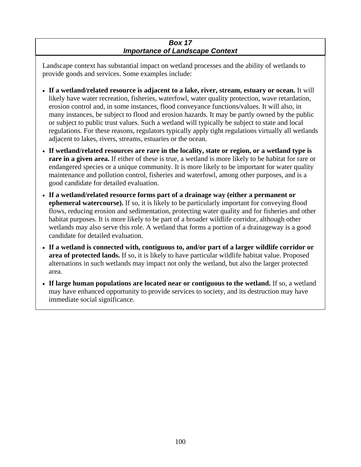### *Box 17 Importance of Landscape Context*

Landscape context has substantial impact on wetland processes and the ability of wetlands to provide goods and services. Some examples include:

- **If a wetland/related resource is adjacent to a lake, river, stream, estuary or ocean.** It will likely have water recreation, fisheries, waterfowl, water quality protection, wave retardation, erosion control and, in some instances, flood conveyance functions/values. It will also, in many instances, be subject to flood and erosion hazards. It may be partly owned by the public or subject to public trust values. Such a wetland will typically be subject to state and local regulations. For these reasons, regulators typically apply tight regulations virtually all wetlands adjacent to lakes, rivers, streams, estuaries or the ocean.
- **If wetland/related resources are rare in the locality, state or region, or a wetland type is rare in a given area.** If either of these is true, a wetland is more likely to be habitat for rare or endangered species or a unique community. It is more likely to be important for water quality maintenance and pollution control, fisheries and waterfowl, among other purposes, and is a good candidate for detailed evaluation.
- **If a wetland/related resource forms part of a drainage way (either a permanent or ephemeral watercourse).** If so, it is likely to be particularly important for conveying flood flows, reducing erosion and sedimentation, protecting water quality and for fisheries and other habitat purposes. It is more likely to be part of a broader wildlife corridor, although other wetlands may also serve this role. A wetland that forms a portion of a drainageway is a good candidate for detailed evaluation.
- **If a wetland is connected with, contiguous to, and/or part of a larger wildlife corridor or area of protected lands.** If so, it is likely to have particular wildlife habitat value. Proposed alternations in such wetlands may impact not only the wetland, but also the larger protected area.
- **If large human populations are located near or contiguous to the wetland.** If so, a wetland may have enhanced opportunity to provide services to society, and its destruction may have immediate social significance.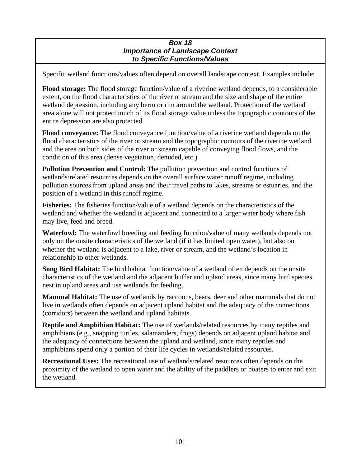#### *Box 18 Importance of Landscape Context to Specific Functions/Values*

Specific wetland functions/values often depend on overall landscape context. Examples include:

**Flood storage:** The flood storage function/value of a riverine wetland depends, to a considerable extent, on the flood characteristics of the river or stream and the size and shape of the entire wetland depression, including any berm or rim around the wetland. Protection of the wetland area alone will not protect much of its flood storage value unless the topographic contours of the entire depression are also protected.

**Flood conveyance:** The flood conveyance function/value of a riverine wetland depends on the flood characteristics of the river or stream and the topographic contours of the riverine wetland and the area on both sides of the river or stream capable of conveying flood flows, and the condition of this area (dense vegetation, denuded, etc.)

**Pollution Prevention and Control:** The pollution prevention and control functions of wetlands/related resources depends on the overall surface water runoff regime, including pollution sources from upland areas and their travel paths to lakes, streams or estuaries, and the position of a wetland in this runoff regime.

**Fisheries:** The fisheries function/value of a wetland depends on the characteristics of the wetland and whether the wetland is adjacent and connected to a larger water body where fish may live, feed and breed.

**Waterfowl:** The waterfowl breeding and feeding function/value of many wetlands depends not only on the onsite characteristics of the wetland (if it has limited open water), but also on whether the wetland is adjacent to a lake, river or stream, and the wetland's location in relationship to other wetlands.

**Song Bird Habitat:** The bird habitat function/value of a wetland often depends on the onsite characteristics of the wetland and the adjacent buffer and upland areas, since many bird species nest in upland areas and use wetlands for feeding.

**Mammal Habitat:** The use of wetlands by raccoons, bears, deer and other mammals that do not live in wetlands often depends on adjacent upland habitat and the adequacy of the connections (corridors) between the wetland and upland habitats.

**Reptile and Amphibian Habitat:** The use of wetlands/related resources by many reptiles and amphibians (e.g., snapping turtles, salamanders, frogs) depends on adjacent upland habitat and the adequacy of connections between the upland and wetland, since many reptiles and amphibians spend only a portion of their life cycles in wetlands/related resources.

**Recreational Uses:** The recreational use of wetlands/related resources often depends on the proximity of the wetland to open water and the ability of the paddlers or boaters to enter and exit the wetland.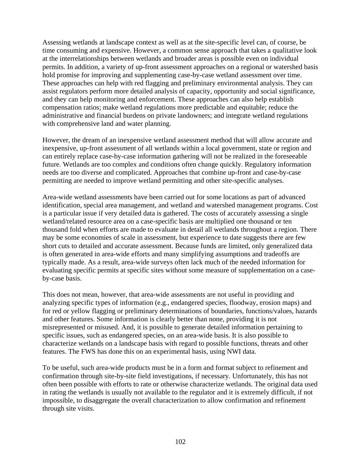Assessing wetlands at landscape context as well as at the site-specific level can, of course, be time consuming and expensive. However, a common sense approach that takes a qualitative look at the interrelationships between wetlands and broader areas is possible even on individual permits. In addition, a variety of up-front assessment approaches on a regional or watershed basis hold promise for improving and supplementing case-by-case wetland assessment over time. These approaches can help with red flagging and preliminary environmental analysis. They can assist regulators perform more detailed analysis of capacity, opportunity and social significance, and they can help monitoring and enforcement. These approaches can also help establish compensation ratios; make wetland regulations more predictable and equitable; reduce the administrative and financial burdens on private landowners; and integrate wetland regulations with comprehensive land and water planning.

However, the dream of an inexpensive wetland assessment method that will allow accurate and inexpensive, up-front assessment of all wetlands within a local government, state or region and can entirely replace case-by-case information gathering will not be realized in the foreseeable future. Wetlands are too complex and conditions often change quickly. Regulatory information needs are too diverse and complicated. Approaches that combine up-front and case-by-case permitting are needed to improve wetland permitting and other site-specific analyses.

Area-wide wetland assessments have been carried out for some locations as part of advanced identification, special area management, and wetland and watershed management programs. Cost is a particular issue if very detailed data is gathered. The costs of accurately assessing a single wetland/related resource area on a case-specific basis are multiplied one thousand or ten thousand fold when efforts are made to evaluate in detail all wetlands throughout a region. There may be some economies of scale in assessment, but experience to date suggests there are few short cuts to detailed and accurate assessment. Because funds are limited, only generalized data is often generated in area-wide efforts and many simplifying assumptions and tradeoffs are typically made. As a result, area-wide surveys often lack much of the needed information for evaluating specific permits at specific sites without some measure of supplementation on a caseby-case basis.

This does not mean, however, that area-wide assessments are not useful in providing and analyzing specific types of information (e.g., endangered species, floodway, erosion maps) and for red or yellow flagging or preliminary determinations of boundaries, functions/values, hazards and other features. Some information is clearly better than none, providing it is not misrepresented or misused. And, it is possible to generate detailed information pertaining to specific issues, such as endangered species, on an area-wide basis. It is also possible to characterize wetlands on a landscape basis with regard to possible functions, threats and other features. The FWS has done this on an experimental basis, using NWI data.

To be useful, such area-wide products must be in a form and format subject to refinement and confirmation through site-by-site field investigations, if necessary. Unfortunately, this has not often been possible with efforts to rate or otherwise characterize wetlands. The original data used in rating the wetlands is usually not available to the regulator and it is extremely difficult, if not impossible, to disaggregate the overall characterization to allow confirmation and refinement through site visits.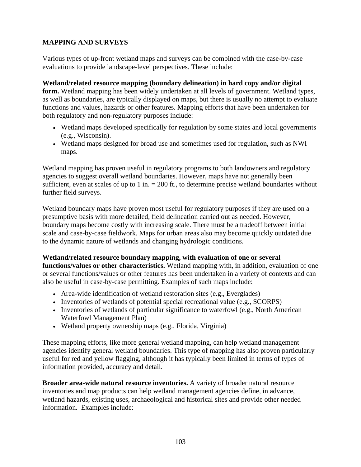# **MAPPING AND SURVEYS**

Various types of up-front wetland maps and surveys can be combined with the case-by-case evaluations to provide landscape-level perspectives. These include:

### **Wetland/related resource mapping (boundary delineation) in hard copy and/or digital**

**form.** Wetland mapping has been widely undertaken at all levels of government. Wetland types, as well as boundaries, are typically displayed on maps, but there is usually no attempt to evaluate functions and values, hazards or other features. Mapping efforts that have been undertaken for both regulatory and non-regulatory purposes include:

- Wetland maps developed specifically for regulation by some states and local governments (e.g., Wisconsin).
- Wetland maps designed for broad use and sometimes used for regulation, such as NWI maps.

Wetland mapping has proven useful in regulatory programs to both landowners and regulatory agencies to suggest overall wetland boundaries. However, maps have not generally been sufficient, even at scales of up to 1 in.  $= 200$  ft., to determine precise wetland boundaries without further field surveys.

Wetland boundary maps have proven most useful for regulatory purposes if they are used on a presumptive basis with more detailed, field delineation carried out as needed. However, boundary maps become costly with increasing scale. There must be a tradeoff between initial scale and case-by-case fieldwork. Maps for urban areas also may become quickly outdated due to the dynamic nature of wetlands and changing hydrologic conditions.

# **Wetland/related resource boundary mapping, with evaluation of one or several**

**functions/values or other characteristics.** Wetland mapping with, in addition, evaluation of one or several functions/values or other features has been undertaken in a variety of contexts and can also be useful in case-by-case permitting. Examples of such maps include:

- Area-wide identification of wetland restoration sites (e.g., Everglades)
- Inventories of wetlands of potential special recreational value (e.g., SCORPS)
- Inventories of wetlands of particular significance to waterfowl (e.g., North American Waterfowl Management Plan)
- Wetland property ownership maps (e.g., Florida, Virginia)

These mapping efforts, like more general wetland mapping, can help wetland management agencies identify general wetland boundaries. This type of mapping has also proven particularly useful for red and yellow flagging, although it has typically been limited in terms of types of information provided, accuracy and detail.

**Broader area-wide natural resource inventories.** A variety of broader natural resource inventories and map products can help wetland management agencies define, in advance, wetland hazards, existing uses, archaeological and historical sites and provide other needed information. Examples include: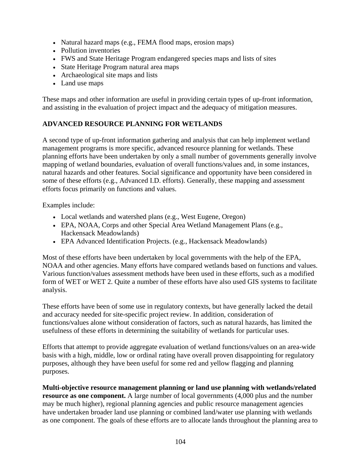- Natural hazard maps (e.g., FEMA flood maps, erosion maps)
- Pollution inventories
- FWS and State Heritage Program endangered species maps and lists of sites
- State Heritage Program natural area maps
- Archaeological site maps and lists
- Land use maps

These maps and other information are useful in providing certain types of up-front information, and assisting in the evaluation of project impact and the adequacy of mitigation measures.

# **ADVANCED RESOURCE PLANNING FOR WETLANDS**

A second type of up-front information gathering and analysis that can help implement wetland management programs is more specific, advanced resource planning for wetlands. These planning efforts have been undertaken by only a small number of governments generally involve mapping of wetland boundaries, evaluation of overall functions/values and, in some instances, natural hazards and other features. Social significance and opportunity have been considered in some of these efforts (e.g., Advanced I.D. efforts). Generally, these mapping and assessment efforts focus primarily on functions and values.

Examples include:

- Local wetlands and watershed plans (e.g., West Eugene, Oregon)
- EPA, NOAA, Corps and other Special Area Wetland Management Plans (e.g., Hackensack Meadowlands)
- EPA Advanced Identification Projects. (e.g., Hackensack Meadowlands)

Most of these efforts have been undertaken by local governments with the help of the EPA, NOAA and other agencies. Many efforts have compared wetlands based on functions and values. Various function/values assessment methods have been used in these efforts, such as a modified form of WET or WET 2. Quite a number of these efforts have also used GIS systems to facilitate analysis.

These efforts have been of some use in regulatory contexts, but have generally lacked the detail and accuracy needed for site-specific project review. In addition, consideration of functions/values alone without consideration of factors, such as natural hazards, has limited the usefulness of these efforts in determining the suitability of wetlands for particular uses.

Efforts that attempt to provide aggregate evaluation of wetland functions/values on an area-wide basis with a high, middle, low or ordinal rating have overall proven disappointing for regulatory purposes, although they have been useful for some red and yellow flagging and planning purposes.

**Multi-objective resource management planning or land use planning with wetlands/related resource as one component.** A large number of local governments  $(4,000$  plus and the number may be much higher), regional planning agencies and public resource management agencies have undertaken broader land use planning or combined land/water use planning with wetlands as one component. The goals of these efforts are to allocate lands throughout the planning area to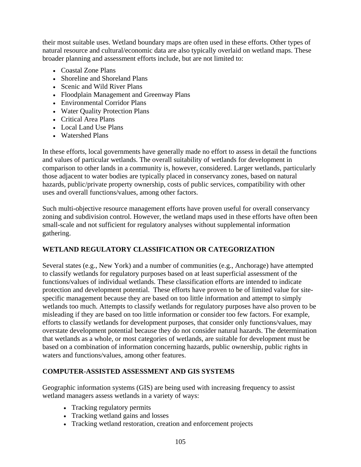their most suitable uses. Wetland boundary maps are often used in these efforts. Other types of natural resource and cultural/economic data are also typically overlaid on wetland maps. These broader planning and assessment efforts include, but are not limited to:

- Coastal Zone Plans
- Shoreline and Shoreland Plans
- Scenic and Wild River Plans
- Floodplain Management and Greenway Plans
- Environmental Corridor Plans
- Water Quality Protection Plans
- Critical Area Plans
- Local Land Use Plans
- Watershed Plans

In these efforts, local governments have generally made no effort to assess in detail the functions and values of particular wetlands. The overall suitability of wetlands for development in comparison to other lands in a community is, however, considered. Larger wetlands, particularly those adjacent to water bodies are typically placed in conservancy zones, based on natural hazards, public/private property ownership, costs of public services, compatibility with other uses and overall functions/values, among other factors.

Such multi-objective resource management efforts have proven useful for overall conservancy zoning and subdivision control. However, the wetland maps used in these efforts have often been small-scale and not sufficient for regulatory analyses without supplemental information gathering.

# **WETLAND REGULATORY CLASSIFICATION OR CATEGORIZATION**

Several states (e.g., New York) and a number of communities (e.g., Anchorage) have attempted to classify wetlands for regulatory purposes based on at least superficial assessment of the functions/values of individual wetlands. These classification efforts are intended to indicate protection and development potential. These efforts have proven to be of limited value for sitespecific management because they are based on too little information and attempt to simply wetlands too much. Attempts to classify wetlands for regulatory purposes have also proven to be misleading if they are based on too little information or consider too few factors. For example, efforts to classify wetlands for development purposes, that consider only functions/values, may overstate development potential because they do not consider natural hazards. The determination that wetlands as a whole, or most categories of wetlands, are suitable for development must be based on a combination of information concerning hazards, public ownership, public rights in waters and functions/values, among other features.

# **COMPUTER-ASSISTED ASSESSMENT AND GIS SYSTEMS**

Geographic information systems (GIS) are being used with increasing frequency to assist wetland managers assess wetlands in a variety of ways:

- Tracking regulatory permits
- Tracking wetland gains and losses
- Tracking wetland restoration, creation and enforcement projects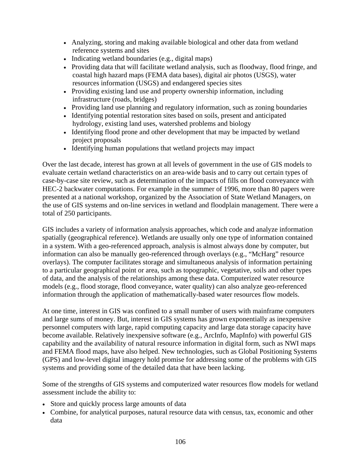- Analyzing, storing and making available biological and other data from wetland reference systems and sites
- Indicating wetland boundaries (e.g., digital maps)
- Providing data that will facilitate wetland analysis, such as floodway, flood fringe, and coastal high hazard maps (FEMA data bases), digital air photos (USGS), water resources information (USGS) and endangered species sites
- Providing existing land use and property ownership information, including infrastructure (roads, bridges)
- Providing land use planning and regulatory information, such as zoning boundaries
- Identifying potential restoration sites based on soils, present and anticipated hydrology, existing land uses, watershed problems and biology
- Identifying flood prone and other development that may be impacted by wetland project proposals
- Identifying human populations that wetland projects may impact

Over the last decade, interest has grown at all levels of government in the use of GIS models to evaluate certain wetland characteristics on an area-wide basis and to carry out certain types of case-by-case site review, such as determination of the impacts of fills on flood conveyance with HEC-2 backwater computations. For example in the summer of 1996, more than 80 papers were presented at a national workshop, organized by the Association of State Wetland Managers, on the use of GIS systems and on-line services in wetland and floodplain management. There were a total of 250 participants.

GIS includes a variety of information analysis approaches, which code and analyze information spatially (geographical reference). Wetlands are usually only one type of information contained in a system. With a geo-referenced approach, analysis is almost always done by computer, but information can also be manually geo-referenced through overlays (e.g., "McHarg" resource overlays). The computer facilitates storage and simultaneous analysis of information pertaining to a particular geographical point or area, such as topographic, vegetative, soils and other types of data, and the analysis of the relationships among these data. Computerized water resource models (e.g., flood storage, flood conveyance, water quality) can also analyze geo-referenced information through the application of mathematically-based water resources flow models.

At one time, interest in GIS was confined to a small number of users with mainframe computers and large sums of money. But, interest in GIS systems has grown exponentially as inexpensive personnel computers with large, rapid computing capacity and large data storage capacity have become available. Relatively inexpensive software (e.g., ArcInfo, MapInfo) with powerful GIS capability and the availability of natural resource information in digital form, such as NWI maps and FEMA flood maps, have also helped. New technologies, such as Global Positioning Systems (GPS) and low-level digital imagery hold promise for addressing some of the problems with GIS systems and providing some of the detailed data that have been lacking.

Some of the strengths of GIS systems and computerized water resources flow models for wetland assessment include the ability to:

- Store and quickly process large amounts of data
- Combine, for analytical purposes, natural resource data with census, tax, economic and other data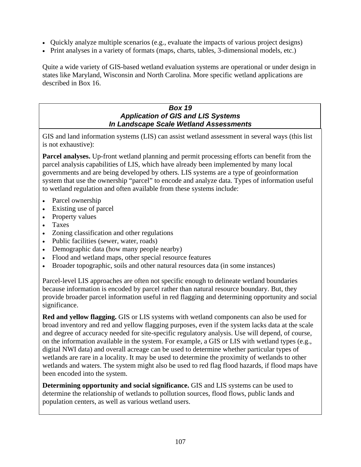- Quickly analyze multiple scenarios (e.g., evaluate the impacts of various project designs)
- Print analyses in a variety of formats (maps, charts, tables, 3-dimensional models, etc.)

Quite a wide variety of GIS-based wetland evaluation systems are operational or under design in states like Maryland, Wisconsin and North Carolina. More specific wetland applications are described in Box 16.

#### *Box 19 Application of GIS and LIS Systems In Landscape Scale Wetland Assessments*

GIS and land information systems (LIS) can assist wetland assessment in several ways (this list is not exhaustive):

**Parcel analyses.** Up-front wetland planning and permit processing efforts can benefit from the parcel analysis capabilities of LIS, which have already been implemented by many local governments and are being developed by others. LIS systems are a type of geoinformation system that use the ownership "parcel" to encode and analyze data. Types of information useful to wetland regulation and often available from these systems include:

- Parcel ownership
- Existing use of parcel
- Property values
- Taxes
- Zoning classification and other regulations
- Public facilities (sewer, water, roads)
- Demographic data (how many people nearby)
- Flood and wetland maps, other special resource features
- Broader topographic, soils and other natural resources data (in some instances)

Parcel-level LIS approaches are often not specific enough to delineate wetland boundaries because information is encoded by parcel rather than natural resource boundary. But, they provide broader parcel information useful in red flagging and determining opportunity and social significance.

**Red and yellow flagging.** GIS or LIS systems with wetland components can also be used for broad inventory and red and yellow flagging purposes, even if the system lacks data at the scale and degree of accuracy needed for site-specific regulatory analysis. Use will depend, of course, on the information available in the system. For example, a GIS or LIS with wetland types (e.g., digital NWI data) and overall acreage can be used to determine whether particular types of wetlands are rare in a locality. It may be used to determine the proximity of wetlands to other wetlands and waters. The system might also be used to red flag flood hazards, if flood maps have been encoded into the system.

**Determining opportunity and social significance.** GIS and LIS systems can be used to determine the relationship of wetlands to pollution sources, flood flows, public lands and population centers, as well as various wetland users.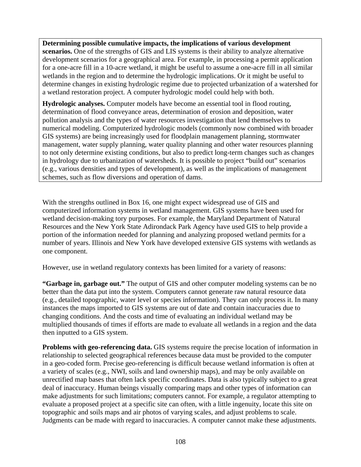**Determining possible cumulative impacts, the implications of various development** 

**scenarios.** One of the strengths of GIS and LIS systems is their ability to analyze alternative development scenarios for a geographical area. For example, in processing a permit application for a one-acre fill in a 10-acre wetland, it might be useful to assume a one-acre fill in all similar wetlands in the region and to determine the hydrologic implications. Or it might be useful to determine changes in existing hydrologic regime due to projected urbanization of a watershed for a wetland restoration project. A computer hydrologic model could help with both.

**Hydrologic analyses.** Computer models have become an essential tool in flood routing, determination of flood conveyance areas, determination of erosion and deposition, water pollution analysis and the types of water resources investigation that lend themselves to numerical modeling. Computerized hydrologic models (commonly now combined with broader GIS systems) are being increasingly used for floodplain management planning, stormwater management, water supply planning, water quality planning and other water resources planning to not only determine existing conditions, but also to predict long-term changes such as changes in hydrology due to urbanization of watersheds. It is possible to project "build out" scenarios (e.g., various densities and types of development), as well as the implications of management schemes, such as flow diversions and operation of dams.

With the strengths outlined in Box 16, one might expect widespread use of GIS and computerized information systems in wetland management. GIS systems have been used for wetland decision-making tory purposes. For example, the Maryland Department of Natural Resources and the New York State Adirondack Park Agency have used GIS to help provide a portion of the information needed for planning and analyzing proposed wetland permits for a number of years. Illinois and New York have developed extensive GIS systems with wetlands as one component.

However, use in wetland regulatory contexts has been limited for a variety of reasons:

**"Garbage in, garbage out."** The output of GIS and other computer modeling systems can be no better than the data put into the system. Computers cannot generate raw natural resource data (e.g., detailed topographic, water level or species information). They can only process it. In many instances the maps imported to GIS systems are out of date and contain inaccuracies due to changing conditions. And the costs and time of evaluating an individual wetland may be multiplied thousands of times if efforts are made to evaluate all wetlands in a region and the data then inputted to a GIS system.

**Problems with geo-referencing data.** GIS systems require the precise location of information in relationship to selected geographical references because data must be provided to the computer in a geo-coded form. Precise geo-referencing is difficult because wetland information is often at a variety of scales (e.g., NWI, soils and land ownership maps), and may be only available on unrectified map bases that often lack specific coordinates. Data is also typically subject to a great deal of inaccuracy. Human beings visually comparing maps and other types of information can make adjustments for such limitations; computers cannot. For example, a regulator attempting to evaluate a proposed project at a specific site can often, with a little ingenuity, locate this site on topographic and soils maps and air photos of varying scales, and adjust problems to scale. Judgments can be made with regard to inaccuracies. A computer cannot make these adjustments.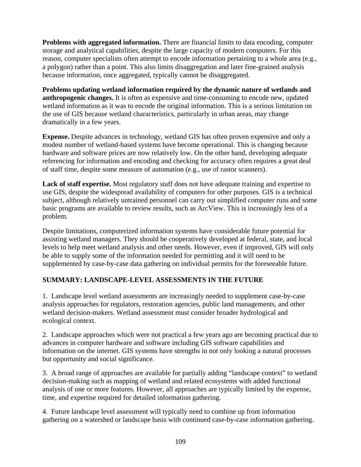**Problems with aggregated information.** There are financial limits to data encoding, computer storage and analytical capabilities, despite the large capacity of modern computers. For this reason, computer specialists often attempt to encode information pertaining to a whole area (e.g., a polygon) rather than a point. This also limits disaggregation and later fine-grained analysis because information, once aggregated, typically cannot be disaggregated.

**Problems updating wetland information required by the dynamic nature of wetlands and anthropogenic changes.** It is often as expensive and time-consuming to encode new, updated wetland information as it was to encode the original information. This is a serious limitation on the use of GIS because wetland characteristics, particularly in urban areas, may change dramatically in a few years.

**Expense.** Despite advances in technology, wetland GIS has often proven expensive and only a modest number of wetland-based systems have become operational. This is changing because hardware and software prices are now relatively low. On the other hand, developing adequate referencing for information and encoding and checking for accuracy often requires a great deal of staff time, despite some measure of automation (e.g., use of rastor scanners).

**Lack of staff expertise.** Most regulatory staff does not have adequate training and expertise to use GIS, despite the widespread availability of computers for other purposes. GIS is a technical subject, although relatively untrained personnel can carry out simplified computer runs and some basic programs are available to review results, such as ArcView. This is increasingly less of a problem.

Despite limitations, computerized information systems have considerable future potential for assisting wetland managers. They should be cooperatively developed at federal, state, and local levels to help meet wetland analysis and other needs. However, even if improved, GIS will only be able to supply some of the information needed for permitting and it will need to be supplemented by case-by-case data gathering on individual permits for the foreseeable future.

# **SUMMARY: LANDSCAPE-LEVEL ASSESSMENTS IN THE FUTURE**

1. Landscape level wetland assessments are increasingly needed to supplement case-by-case analysis approaches for regulators, restoration agencies, public land managements, and other wetland decision-makers. Wetland assessment must consider broader hydrological and ecological context.

2. Landscape approaches which were not practical a few years ago are becoming practical due to advances in computer hardware and software including GIS software capabilities and information on the internet. GIS systems have strengths in not only looking a natural processes but opportunity and social significance.

3. A broad range of approaches are available for partially adding "landscape context" to wetland decision-making such as mapping of wetland and related ecosystems with added functional analysis of one or more features. However, all approaches are typically limited by the expense, time, and expertise required for detailed information gathering.

4. Future landscape level assessment will typically need to combine up front information gathering on a watershed or landscape basis with continued case-by-case information gathering.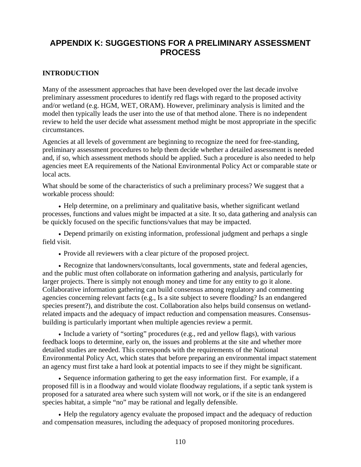# **APPENDIX K: SUGGESTIONS FOR A PRELIMINARY ASSESSMENT PROCESS**

### **INTRODUCTION**

Many of the assessment approaches that have been developed over the last decade involve preliminary assessment procedures to identify red flags with regard to the proposed activity and/or wetland (e.g. HGM, WET, ORAM). However, preliminary analysis is limited and the model then typically leads the user into the use of that method alone. There is no independent review to held the user decide what assessment method might be most appropriate in the specific circumstances.

Agencies at all levels of government are beginning to recognize the need for free-standing, preliminary assessment procedures to help them decide whether a detailed assessment is needed and, if so, which assessment methods should be applied. Such a procedure is also needed to help agencies meet EA requirements of the National Environmental Policy Act or comparable state or local acts.

What should be some of the characteristics of such a preliminary process? We suggest that a workable process should:

• Help determine, on a preliminary and qualitative basis, whether significant wetland processes, functions and values might be impacted at a site. It so, data gathering and analysis can be quickly focused on the specific functions/values that may be impacted.

• Depend primarily on existing information, professional judgment and perhaps a single field visit.

• Provide all reviewers with a clear picture of the proposed project.

• Recognize that landowners/consultants, local governments, state and federal agencies, and the public must often collaborate on information gathering and analysis, particularly for larger projects. There is simply not enough money and time for any entity to go it alone. Collaborative information gathering can build consensus among regulatory and commenting agencies concerning relevant facts (e.g., Is a site subject to severe flooding? Is an endangered species present?), and distribute the cost. Collaboration also helps build consensus on wetlandrelated impacts and the adequacy of impact reduction and compensation measures. Consensusbuilding is particularly important when multiple agencies review a permit.

• Include a variety of "sorting" procedures (e.g., red and yellow flags), with various feedback loops to determine, early on, the issues and problems at the site and whether more detailed studies are needed. This corresponds with the requirements of the National Environmental Policy Act, which states that before preparing an environmental impact statement an agency must first take a hard look at potential impacts to see if they might be significant.

• Sequence information gathering to get the easy information first. For example, if a proposed fill is in a floodway and would violate floodway regulations, if a septic tank system is proposed for a saturated area where such system will not work, or if the site is an endangered species habitat, a simple "no" may be rational and legally defensible.

• Help the regulatory agency evaluate the proposed impact and the adequacy of reduction and compensation measures, including the adequacy of proposed monitoring procedures.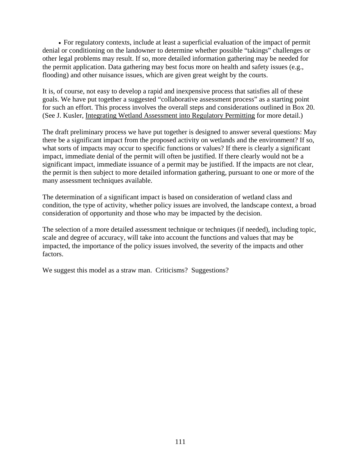• For regulatory contexts, include at least a superficial evaluation of the impact of permit denial or conditioning on the landowner to determine whether possible "takings" challenges or other legal problems may result. If so, more detailed information gathering may be needed for the permit application. Data gathering may best focus more on health and safety issues (e.g., flooding) and other nuisance issues, which are given great weight by the courts.

It is, of course, not easy to develop a rapid and inexpensive process that satisfies all of these goals. We have put together a suggested "collaborative assessment process" as a starting point for such an effort. This process involves the overall steps and considerations outlined in Box 20. (See J. Kusler, Integrating Wetland Assessment into Regulatory Permitting for more detail.)

The draft preliminary process we have put together is designed to answer several questions: May there be a significant impact from the proposed activity on wetlands and the environment? If so, what sorts of impacts may occur to specific functions or values? If there is clearly a significant impact, immediate denial of the permit will often be justified. If there clearly would not be a significant impact, immediate issuance of a permit may be justified. If the impacts are not clear, the permit is then subject to more detailed information gathering, pursuant to one or more of the many assessment techniques available.

The determination of a significant impact is based on consideration of wetland class and condition, the type of activity, whether policy issues are involved, the landscape context, a broad consideration of opportunity and those who may be impacted by the decision.

The selection of a more detailed assessment technique or techniques (if needed), including topic, scale and degree of accuracy, will take into account the functions and values that may be impacted, the importance of the policy issues involved, the severity of the impacts and other factors.

We suggest this model as a straw man. Criticisms? Suggestions?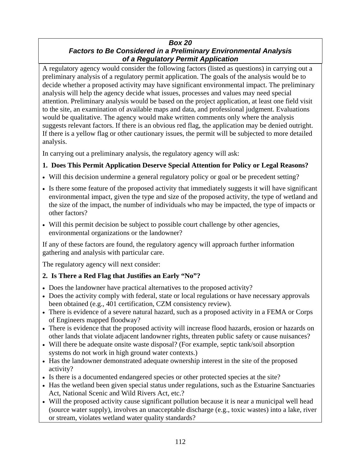### *Box 20 Factors to Be Considered in a Preliminary Environmental Analysis of a Regulatory Permit Application*

A regulatory agency would consider the following factors (listed as questions) in carrying out a preliminary analysis of a regulatory permit application. The goals of the analysis would be to decide whether a proposed activity may have significant environmental impact. The preliminary analysis will help the agency decide what issues, processes and values may need special attention. Preliminary analysis would be based on the project application, at least one field visit to the site, an examination of available maps and data, and professional judgment. Evaluations would be qualitative. The agency would make written comments only where the analysis suggests relevant factors. If there is an obvious red flag, the application may be denied outright. If there is a yellow flag or other cautionary issues, the permit will be subjected to more detailed analysis.

In carrying out a preliminary analysis, the regulatory agency will ask:

# **1. Does This Permit Application Deserve Special Attention for Policy or Legal Reasons?**

- Will this decision undermine a general regulatory policy or goal or be precedent setting?
- Is there some feature of the proposed activity that immediately suggests it will have significant environmental impact, given the type and size of the proposed activity, the type of wetland and the size of the impact, the number of individuals who may be impacted, the type of impacts or other factors?
- Will this permit decision be subject to possible court challenge by other agencies, environmental organizations or the landowner?

If any of these factors are found, the regulatory agency will approach further information gathering and analysis with particular care.

The regulatory agency will next consider:

# **2. Is There a Red Flag that Justifies an Early "No"?**

- Does the landowner have practical alternatives to the proposed activity?
- Does the activity comply with federal, state or local regulations or have necessary approvals been obtained (e.g., 401 certification, CZM consistency review).
- There is evidence of a severe natural hazard, such as a proposed activity in a FEMA or Corps of Engineers mapped floodway?
- There is evidence that the proposed activity will increase flood hazards, erosion or hazards on other lands that violate adjacent landowner rights, threaten public safety or cause nuisances?
- Will there be adequate onsite waste disposal? (For example, septic tank/soil absorption systems do not work in high ground water contexts.)
- Has the landowner demonstrated adequate ownership interest in the site of the proposed activity?
- Is there is a documented endangered species or other protected species at the site?
- Has the wetland been given special status under regulations, such as the Estuarine Sanctuaries Act, National Scenic and Wild Rivers Act, etc.?
- Will the proposed activity cause significant pollution because it is near a municipal well head (source water supply), involves an unacceptable discharge (e.g., toxic wastes) into a lake, river or stream, violates wetland water quality standards?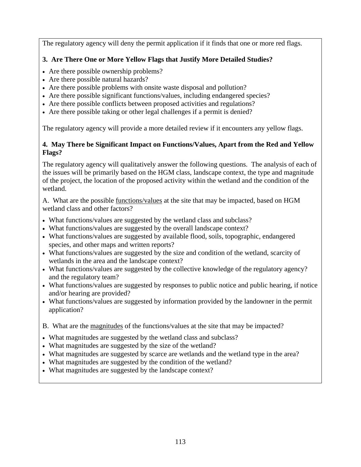The regulatory agency will deny the permit application if it finds that one or more red flags.

# **3. Are There One or More Yellow Flags that Justify More Detailed Studies?**

- Are there possible ownership problems?
- Are there possible natural hazards?
- Are there possible problems with onsite waste disposal and pollution?
- Are there possible significant functions/values, including endangered species?
- Are there possible conflicts between proposed activities and regulations?
- Are there possible taking or other legal challenges if a permit is denied?

The regulatory agency will provide a more detailed review if it encounters any yellow flags.

### **4. May There be Significant Impact on Functions/Values, Apart from the Red and Yellow Flags?**

The regulatory agency will qualitatively answer the following questions. The analysis of each of the issues will be primarily based on the HGM class, landscape context, the type and magnitude of the project, the location of the proposed activity within the wetland and the condition of the wetland.

A. What are the possible functions/values at the site that may be impacted, based on HGM wetland class and other factors?

- What functions/values are suggested by the wetland class and subclass?
- What functions/values are suggested by the overall landscape context?
- What functions/values are suggested by available flood, soils, topographic, endangered species, and other maps and written reports?
- What functions/values are suggested by the size and condition of the wetland, scarcity of wetlands in the area and the landscape context?
- What functions/values are suggested by the collective knowledge of the regulatory agency? and the regulatory team?
- What functions/values are suggested by responses to public notice and public hearing, if notice and/or hearing are provided?
- What functions/values are suggested by information provided by the landowner in the permit application?
- B. What are the magnitudes of the functions/values at the site that may be impacted?
- What magnitudes are suggested by the wetland class and subclass?
- What magnitudes are suggested by the size of the wetland?
- What magnitudes are suggested by scarce are wetlands and the wetland type in the area?
- What magnitudes are suggested by the condition of the wetland?
- What magnitudes are suggested by the landscape context?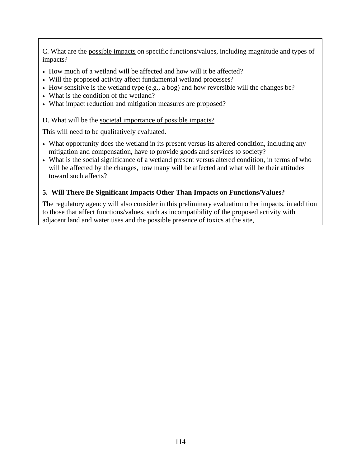C. What are the possible impacts on specific functions/values, including magnitude and types of impacts?

- How much of a wetland will be affected and how will it be affected?
- Will the proposed activity affect fundamental wetland processes?
- How sensitive is the wetland type (e.g., a bog) and how reversible will the changes be?
- What is the condition of the wetland?
- What impact reduction and mitigation measures are proposed?

### D. What will be the societal importance of possible impacts?

This will need to be qualitatively evaluated.

- What opportunity does the wetland in its present versus its altered condition, including any mitigation and compensation, have to provide goods and services to society?
- What is the social significance of a wetland present versus altered condition, in terms of who will be affected by the changes, how many will be affected and what will be their attitudes toward such affects?

# **5. Will There Be Significant Impacts Other Than Impacts on Functions/Values?**

The regulatory agency will also consider in this preliminary evaluation other impacts, in addition to those that affect functions/values, such as incompatibility of the proposed activity with adjacent land and water uses and the possible presence of toxics at the site,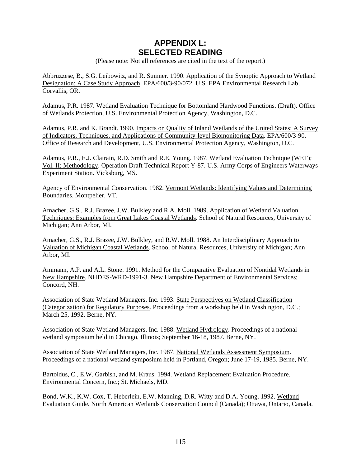# **APPENDIX L: SELECTED READING**

(Please note: Not all references are cited in the text of the report.)

Abbruzzese, B., S.G. Leibowitz, and R. Sumner. 1990. Application of the Synoptic Approach to Wetland Designation: A Case Study Approach. EPA/600/3-90/072. U.S. EPA Environmental Research Lab, Corvallis, OR.

Adamus, P.R. 1987. Wetland Evaluation Technique for Bottomland Hardwood Functions. (Draft). Office of Wetlands Protection, U.S. Environmental Protection Agency, Washington, D.C.

Adamus, P.R. and K. Brandt. 1990. Impacts on Quality of Inland Wetlands of the United States: A Survey of Indicators, Techniques, and Applications of Community-level Biomonitoring Data. EPA/600/3-90. Office of Research and Development, U.S. Environmental Protection Agency, Washington, D.C.

Adamus, P.R., E.J. Clairain, R.D. Smith and R.E. Young. 1987. Wetland Evaluation Technique (WET); Vol. II: Methodology. Operation Draft Technical Report Y-87. U.S. Army Corps of Engineers Waterways Experiment Station. Vicksburg, MS.

Agency of Environmental Conservation. 1982. Vermont Wetlands: Identifying Values and Determining Boundaries. Montpelier, VT.

Amacher, G.S., R.J. Brazee, J.W. Bulkley and R.A. Moll. 1989. Application of Wetland Valuation Techniques: Examples from Great Lakes Coastal Wetlands. School of Natural Resources, University of Michigan; Ann Arbor, MI.

Amacher, G.S., R.J. Brazee, J.W. Bulkley, and R.W. Moll. 1988. An Interdisciplinary Approach to Valuation of Michigan Coastal Wetlands. School of Natural Resources, University of Michigan; Ann Arbor, MI.

Ammann, A.P. and A.L. Stone. 1991. Method for the Comparative Evaluation of Nontidal Wetlands in New Hampshire. NHDES-WRD-1991-3. New Hampshire Department of Environmental Services; Concord, NH.

Association of State Wetland Managers, Inc. 1993. State Perspectives on Wetland Classification (Categorization) for Regulatory Purposes. Proceedings from a workshop held in Washington, D.C.; March 25, 1992. Berne, NY.

Association of State Wetland Managers, Inc. 1988. Wetland Hydrology. Proceedings of a national wetland symposium held in Chicago, Illinois; September 16-18, 1987. Berne, NY.

Association of State Wetland Managers, Inc. 1987. National Wetlands Assessment Symposium. Proceedings of a national wetland symposium held in Portland, Oregon; June 17-19, 1985. Berne, NY.

Bartoldus, C., E.W. Garbish, and M. Kraus. 1994. Wetland Replacement Evaluation Procedure. Environmental Concern, Inc.; St. Michaels, MD.

Bond, W.K., K.W. Cox, T. Heberlein, E.W. Manning, D.R. Witty and D.A. Young. 1992. Wetland Evaluation Guide. North American Wetlands Conservation Council (Canada); Ottawa, Ontario, Canada.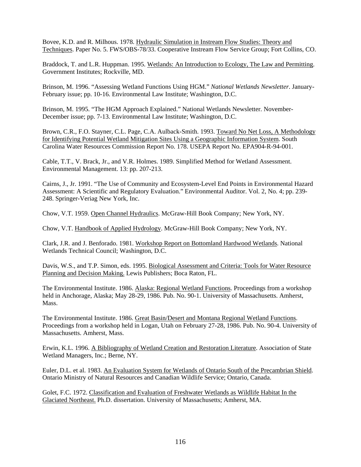Bovee, K.D. and R. Milhous. 1978. Hydraulic Simulation in Instream Flow Studies: Theory and Techniques. Paper No. 5. FWS/OBS-78/33. Cooperative Instream Flow Service Group; Fort Collins, CO.

Braddock, T. and L.R. Huppman. 1995. Wetlands: An Introduction to Ecology, The Law and Permitting. Government Institutes; Rockville, MD.

Brinson, M. 1996. "Assessing Wetland Functions Using HGM." *National Wetlands Newsletter*. January-February issue; pp. 10-16. Environmental Law Institute; Washington, D.C.

Brinson, M. 1995. "The HGM Approach Explained." National Wetlands Newsletter. November-December issue; pp. 7-13. Environmental Law Institute; Washington, D.C.

Brown, C.R., F.O. Stayner, C.L. Page, C.A. Aulback-Smith. 1993. Toward No Net Loss, A Methodology for Identifying Potential Wetland Mitigation Sites Using a Geographic Information System. South Carolina Water Resources Commission Report No. 178. USEPA Report No. EPA904-R-94-001.

Cable, T.T., V. Brack, Jr., and V.R. Holmes. 1989. Simplified Method for Wetland Assessment. Environmental Management. 13: pp. 207-213.

Cairns, J., Jr. 1991. "The Use of Community and Ecosystem-Level End Points in Environmental Hazard Assessment: A Scientific and Regulatory Evaluation." Environmental Auditor. Vol. 2, No. 4; pp. 239- 248. Springer-Veriag New York, Inc.

Chow, V.T. 1959. Open Channel Hydraulics. McGraw-Hill Book Company; New York, NY.

Chow, V.T. Handbook of Applied Hydrology. McGraw-Hill Book Company; New York, NY.

Clark, J.R. and J. Benforado. 1981. Workshop Report on Bottomland Hardwood Wetlands. National Wetlands Technical Council; Washington, D.C.

Davis, W.S., and T.P. Simon, eds. 1995. Biological Assessment and Criteria: Tools for Water Resource Planning and Decision Making. Lewis Publishers; Boca Raton, FL.

The Environmental Institute. 1986. Alaska: Regional Wetland Functions. Proceedings from a workshop held in Anchorage, Alaska; May 28-29, 1986. Pub. No. 90-1. University of Massachusetts. Amherst, Mass.

The Environmental Institute. 1986. Great Basin/Desert and Montana Regional Wetland Functions. Proceedings from a workshop held in Logan, Utah on February 27-28, 1986. Pub. No. 90-4. University of Massachusetts. Amherst, Mass.

Erwin, K.L. 1996. A Bibliography of Wetland Creation and Restoration Literature. Association of State Wetland Managers, Inc.; Berne, NY.

Euler, D.L. et al. 1983. An Evaluation System for Wetlands of Ontario South of the Precambrian Shield. Ontario Ministry of Natural Resources and Canadian Wildlife Service; Ontario, Canada.

Golet, F.C. 1972. Classification and Evaluation of Freshwater Wetlands as Wildlife Habitat In the Glaciated Northeast. Ph.D. dissertation. University of Massachusetts; Amherst, MA.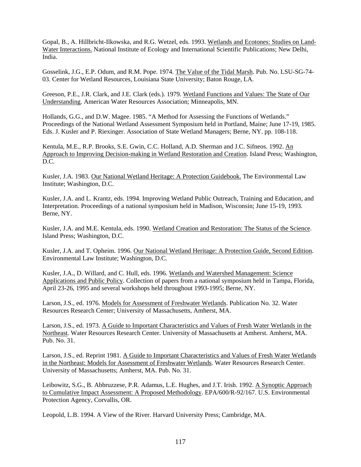Gopal, B., A. Hillbricht-Ilkowska, and R.G. Wetzel, eds. 1993. Wetlands and Ecotones: Studies on Land-Water Interactions. National Institute of Ecology and International Scientific Publications; New Delhi, India.

Gosselink, J.G., E.P. Odum, and R.M. Pope. 1974. The Value of the Tidal Marsh. Pub. No. LSU-SG-74- 03. Center for Wetland Resources, Louisiana State University; Baton Rouge, LA.

Greeson, P.E., J.R. Clark, and J.E. Clark (eds.). 1979. Wetland Functions and Values: The State of Our Understanding. American Water Resources Association; Minneapolis, MN.

Hollands, G.G., and D.W. Magee. 1985. "A Method for Assessing the Functions of Wetlands." Proceedings of the National Wetland Assessment Symposium held in Portland, Maine; June 17-19, 1985. Eds. J. Kusler and P. Riexinger. Association of State Wetland Managers; Berne, NY. pp. 108-118.

Kentula, M.E., R.P. Brooks, S.E. Gwin, C.C. Holland, A.D. Sherman and J.C. Sifneos. 1992. An Approach to Improving Decision-making in Wetland Restoration and Creation. Island Press; Washington, D.C.

Kusler, J.A. 1983. Our National Wetland Heritage: A Protection Guidebook. The Environmental Law Institute; Washington, D.C.

Kusler, J.A. and L. Krantz, eds. 1994. Improving Wetland Public Outreach, Training and Education, and Interpretation. Proceedings of a national symposium held in Madison, Wisconsin; June 15-19, 1993. Berne, NY.

Kusler, J.A. and M.E. Kentula, eds. 1990. Wetland Creation and Restoration: The Status of the Science. Island Press; Washington, D.C.

Kusler, J.A. and T. Opheim. 1996. Our National Wetland Heritage: A Protection Guide, Second Edition. Environmental Law Institute; Washington, D.C.

Kusler, J.A., D. Willard, and C. Hull, eds. 1996. Wetlands and Watershed Management: Science Applications and Public Policy. Collection of papers from a national symposium held in Tampa, Florida, April 23-26, 1995 and several workshops held throughout 1993-1995; Berne, NY.

Larson, J.S., ed. 1976. Models for Assessment of Freshwater Wetlands. Publication No. 32. Water Resources Research Center; University of Massachusetts, Amherst, MA.

Larson, J.S., ed. 1973. A Guide to Important Characteristics and Values of Fresh Water Wetlands in the Northeast. Water Resources Research Center. University of Massachusetts at Amherst. Amherst, MA. Pub. No. 31.

Larson, J.S., ed. Reprint 1981. A Guide to Important Characteristics and Values of Fresh Water Wetlands in the Northeast: Models for Assessment of Freshwater Wetlands. Water Resources Research Center. University of Massachusetts; Amherst, MA. Pub. No. 31.

Leibowitz, S.G., B. Abbruzzese, P.R. Adamus, L.E. Hughes, and J.T. Irish. 1992. <u>A Synoptic Approach</u> to Cumulative Impact Assessment: A Proposed Methodology. EPA/600/R-92/167. U.S. Environmental Protection Agency, Corvallis, OR.

Leopold, L.B. 1994. A View of the River. Harvard University Press; Cambridge, MA.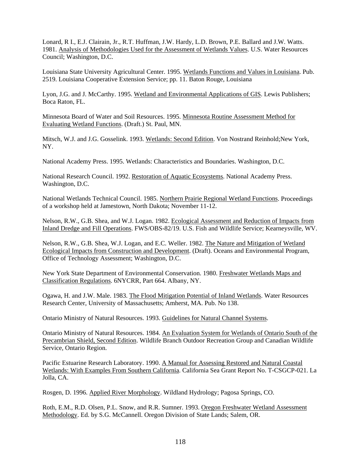Lonard, R I., E.J. Clairain, Jr., R.T. Huffman, J.W. Hardy, L.D. Brown, P.E. Ballard and J.W. Watts. 1981. Analysis of Methodologies Used for the Assessment of Wetlands Values. U.S. Water Resources Council; Washington, D.C.

Louisiana State University Agricultural Center. 1995. Wetlands Functions and Values in Louisiana. Pub. 2519. Louisiana Cooperative Extension Service; pp. 11. Baton Rouge, Louisiana

Lyon, J.G. and J. McCarthy. 1995. Wetland and Environmental Applications of GIS. Lewis Publishers; Boca Raton, FL.

Minnesota Board of Water and Soil Resources. 1995. Minnesota Routine Assessment Method for Evaluating Wetland Functions. (Draft.) St. Paul, MN.

Mitsch, W.J. and J.G. Gosselink. 1993. Wetlands: Second Edition. Von Nostrand Reinhold;New York, NY.

National Academy Press. 1995. Wetlands: Characteristics and Boundaries. Washington, D.C.

National Research Council. 1992. Restoration of Aquatic Ecosystems. National Academy Press. Washington, D.C.

National Wetlands Technical Council. 1985. Northern Prairie Regional Wetland Functions. Proceedings of a workshop held at Jamestown, North Dakota; November 11-12.

Nelson, R.W., G.B. Shea, and W.J. Logan. 1982. Ecological Assessment and Reduction of Impacts from Inland Dredge and Fill Operations. FWS/OBS-82/19. U.S. Fish and Wildlife Service; Kearneysville, WV.

Nelson, R.W., G.B. Shea, W.J. Logan, and E.C. Weller. 1982. The Nature and Mitigation of Wetland Ecological Impacts from Construction and Development. (Draft). Oceans and Environmental Program, Office of Technology Assessment; Washington, D.C.

New York State Department of Environmental Conservation. 1980. Freshwater Wetlands Maps and Classification Regulations. 6NYCRR, Part 664. Albany, NY.

Ogawa, H. and J.W. Male. 1983. The Flood Mitigation Potential of Inland Wetlands. Water Resources Research Center, University of Massachusetts; Amherst, MA. Pub. No 138.

Ontario Ministry of Natural Resources. 1993. Guidelines for Natural Channel Systems.

Ontario Ministry of Natural Resources. 1984. An Evaluation System for Wetlands of Ontario South of the Precambrian Shield, Second Edition. Wildlife Branch Outdoor Recreation Group and Canadian Wildlife Service, Ontario Region.

Pacific Estuarine Research Laboratory. 1990. A Manual for Assessing Restored and Natural Coastal Wetlands: With Examples From Southern California. California Sea Grant Report No. T-CSGCP-021. La Jolla, CA.

Rosgen, D. 1996. Applied River Morphology. Wildland Hydrology; Pagosa Springs, CO.

Roth, E.M., R.D. Olsen, P.L. Snow, and R.R. Sumner. 1993. Oregon Freshwater Wetland Assessment Methodology. Ed. by S.G. McCannell. Oregon Division of State Lands; Salem, OR.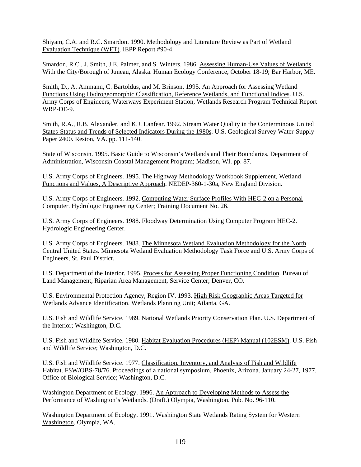Shiyam, C.A. and R.C. Smardon. 1990. Methodology and Literature Review as Part of Wetland Evaluation Technique (WET). IEPP Report #90-4.

Smardon, R.C., J. Smith, J.E. Palmer, and S. Winters. 1986. Assessing Human-Use Values of Wetlands With the City/Borough of Juneau, Alaska. Human Ecology Conference, October 18-19; Bar Harbor, ME.

Smith, D., A. Ammann, C. Bartoldus, and M. Brinson. 1995. An Approach for Assessing Wetland Functions Using Hydrogeomorphic Classification, Reference Wetlands, and Functional Indices. U.S. Army Corps of Engineers, Waterways Experiment Station, Wetlands Research Program Technical Report WRP-DE-9.

Smith, R.A., R.B. Alexander, and K.J. Lanfear. 1992. Stream Water Quality in the Conterminous United States-Status and Trends of Selected Indicators During the 1980s. U.S. Geological Survey Water-Supply Paper 2400. Reston, VA. pp. 111-140.

State of Wisconsin. 1995. Basic Guide to Wisconsin's Wetlands and Their Boundaries. Department of Administration, Wisconsin Coastal Management Program; Madison, WI. pp. 87.

U.S. Army Corps of Engineers. 1995. The Highway Methodology Workbook Supplement, Wetland Functions and Values, A Descriptive Approach. NEDEP-360-1-30a, New England Division.

U.S. Army Corps of Engineers. 1992. Computing Water Surface Profiles With HEC-2 on a Personal Computer. Hydrologic Engineering Center; Training Document No. 26.

U.S. Army Corps of Engineers. 1988. Floodway Determination Using Computer Program HEC-2. Hydrologic Engineering Center.

U.S. Army Corps of Engineers. 1988. The Minnesota Wetland Evaluation Methodology for the North Central United States. Minnesota Wetland Evaluation Methodology Task Force and U.S. Army Corps of Engineers, St. Paul District.

U.S. Department of the Interior. 1995. Process for Assessing Proper Functioning Condition. Bureau of Land Management, Riparian Area Management, Service Center; Denver, CO.

U.S. Environmental Protection Agency, Region IV. 1993. High Risk Geographic Areas Targeted for Wetlands Advance Identification. Wetlands Planning Unit; Atlanta, GA.

U.S. Fish and Wildlife Service. 1989. National Wetlands Priority Conservation Plan. U.S. Department of the Interior; Washington, D.C.

U.S. Fish and Wildlife Service. 1980. Habitat Evaluation Procedures (HEP) Manual (102ESM). U.S. Fish and Wildlife Service; Washington, D.C.

U.S. Fish and Wildlife Service. 1977. Classification, Inventory, and Analysis of Fish and Wildlife Habitat. FSW/OBS-78/76. Proceedings of a national symposium, Phoenix, Arizona. January 24-27, 1977. Office of Biological Service; Washington, D.C.

Washington Department of Ecology. 1996. An Approach to Developing Methods to Assess the Performance of Washington's Wetlands. (Draft.) Olympia, Washington. Pub. No. 96-110.

Washington Department of Ecology. 1991. Washington State Wetlands Rating System for Western Washington. Olympia, WA.